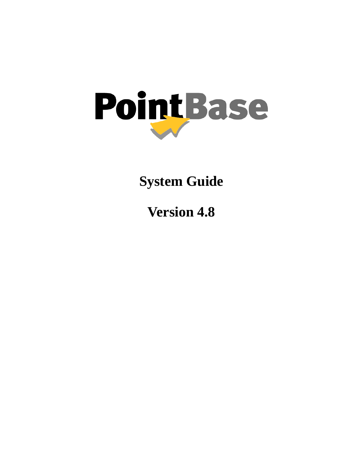

**System Guide**

**Version 4.8**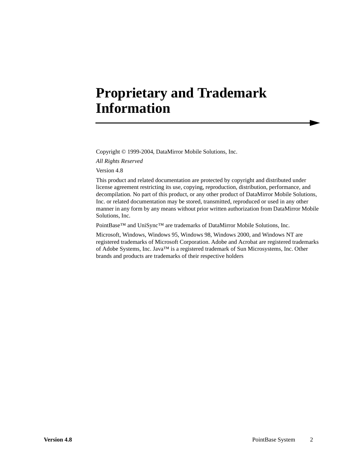# **Proprietary and Trademark Information**

Copyright © 1999-2004, DataMirror Mobile Solutions, Inc.

*All Rights Reserved*

Version 4.8

This product and related documentation are protected by copyright and distributed under license agreement restricting its use, copying, reproduction, distribution, performance, and decompilation. No part of this product, or any other product of DataMirror Mobile Solutions, Inc. or related documentation may be stored, transmitted, reproduced or used in any other manner in any form by any means without prior written authorization from DataMirror Mobile Solutions, Inc.

PointBase™ and UniSync™ are trademarks of DataMirror Mobile Solutions, Inc.

Microsoft, Windows, Windows 95, Windows 98, Windows 2000, and Windows NT are registered trademarks of Microsoft Corporation. Adobe and Acrobat are registered trademarks of Adobe Systems, Inc. Java™ is a registered trademark of Sun Microsystems, Inc. Other brands and products are trademarks of their respective holders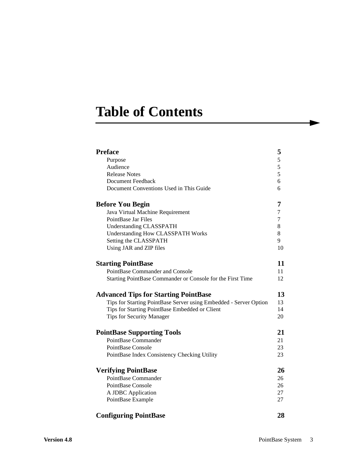# **Table of Contents**

| <b>Preface</b>                                                    | 5              |
|-------------------------------------------------------------------|----------------|
| Purpose                                                           | $\overline{5}$ |
| Audience                                                          | 5              |
| <b>Release Notes</b>                                              | 5              |
| <b>Document Feedback</b>                                          | 6              |
| Document Conventions Used in This Guide                           | 6              |
| <b>Before You Begin</b>                                           | 7              |
| Java Virtual Machine Requirement                                  | 7              |
| PointBase Jar Files                                               | $\overline{7}$ |
| <b>Understanding CLASSPATH</b>                                    | 8              |
| <b>Understanding How CLASSPATH Works</b>                          | 8              |
| Setting the CLASSPATH                                             | 9              |
| Using JAR and ZIP files                                           | 10             |
| <b>Starting PointBase</b>                                         | 11             |
| PointBase Commander and Console                                   | 11             |
| Starting PointBase Commander or Console for the First Time        | 12             |
| <b>Advanced Tips for Starting PointBase</b>                       | 13             |
| Tips for Starting PointBase Server using Embedded - Server Option | 13             |
| Tips for Starting PointBase Embedded or Client                    | 14             |
| <b>Tips for Security Manager</b>                                  | 20             |
| <b>PointBase Supporting Tools</b>                                 | 21             |
| PointBase Commander                                               | 21             |
| PointBase Console                                                 | 23             |
| PointBase Index Consistency Checking Utility                      | 23             |
| <b>Verifying PointBase</b>                                        | 26             |
| PointBase Commander                                               | 26             |
| PointBase Console                                                 | 26             |
| A JDBC Application                                                | 27             |
| PointBase Example                                                 | 27             |
|                                                                   | എ              |

## **[Configuring PointBase 28](#page-27-0)**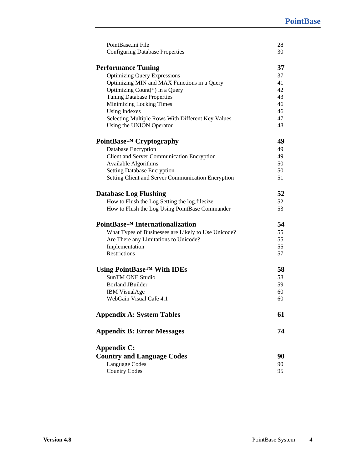| 30<br>37<br>37<br>41<br>42<br>43<br>46 |
|----------------------------------------|
|                                        |
|                                        |
|                                        |
|                                        |
|                                        |
|                                        |
|                                        |
| 46                                     |
| 47                                     |
| 48                                     |
| 49                                     |
| 49                                     |
| 49                                     |
| 50                                     |
| 50                                     |
| 51                                     |
| 52                                     |
| 52                                     |
| 53                                     |
| 54                                     |
| 55                                     |
| 55                                     |
| 55                                     |
| 57                                     |
| 58                                     |
| 58                                     |
| 59                                     |
| 60                                     |
| 60                                     |
| 61                                     |
| 74                                     |
|                                        |
| 90                                     |
| 90                                     |
| 95                                     |
|                                        |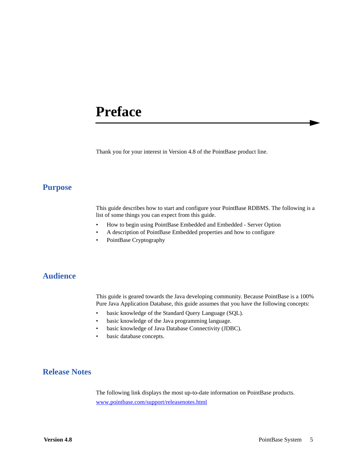# <span id="page-4-0"></span>**Preface**

Thank you for your interest in Version 4.8 of the PointBase product line.

## <span id="page-4-1"></span>**Purpose**

This guide describes how to start and configure your PointBase RDBMS. The following is a list of some things you can expect from this guide.

- How to begin using PointBase Embedded and Embedded Server Option
- A description of PointBase Embedded properties and how to configure
- PointBase Cryptography

## <span id="page-4-2"></span>**Audience**

This guide is geared towards the Java developing community. Because PointBase is a 100% Pure Java Application Database, this guide assumes that you have the following concepts:

- basic knowledge of the Standard Query Language (SQL).
- basic knowledge of the Java programming language.
- basic knowledge of Java Database Connectivity (JDBC).
- basic database concepts.

# <span id="page-4-3"></span>**Release Notes**

The following link displays the most up-to-date information on PointBase products. [www.pointbase.com/support/releasenotes.html](http://www.pointbase.com/support/releasenotes.html)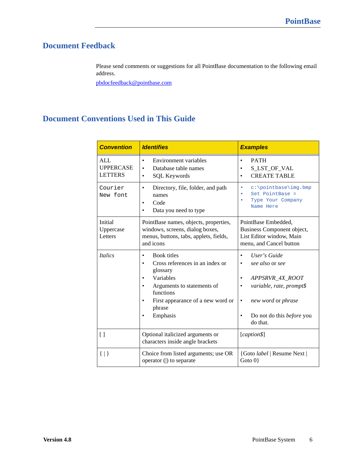# <span id="page-5-0"></span>**Document Feedback**

Please send comments or suggestions for all PointBase documentation to the following email address.

[pbdocfeedback@pointbase.com](mailto:docfeedback@pointbase.com)

# <span id="page-5-1"></span>**Document Conventions Used in This Guide**

| <b>Convention</b>                                | <b>Identifies</b>                                                                                                                                                                    | <b>Examples</b>                                                                                                                                                                                       |
|--------------------------------------------------|--------------------------------------------------------------------------------------------------------------------------------------------------------------------------------------|-------------------------------------------------------------------------------------------------------------------------------------------------------------------------------------------------------|
| <b>ALL</b><br><b>UPPERCASE</b><br><b>LETTERS</b> | Environment variables<br>$\bullet$<br>Database table names<br><b>SQL Keywords</b>                                                                                                    | <b>PATH</b><br>$\bullet$<br>S_LST_OF_VAL<br><b>CREATE TABLE</b>                                                                                                                                       |
| Courier<br>New font                              | Directory, file, folder, and path<br>names<br>Code<br>Data you need to type                                                                                                          | $c:\mathrm{pointbase}\img.\b{bmp}$<br>۰<br>$Set$ PointBase =<br>Type Your Company<br>Name Here                                                                                                        |
| Initial<br>Uppercase<br>Letters                  | PointBase names, objects, properties,<br>windows, screens, dialog boxes,<br>menus, buttons, tabs, applets, fields,<br>and icons                                                      | PointBase Embedded,<br>Business Component object,<br>List Editor window, Main<br>menu, and Cancel button                                                                                              |
| <i><u><b>Italics</b></u></i>                     | <b>Book titles</b><br>Cross references in an index or<br>glossary<br>Variables<br>Arguments to statements of<br>functions<br>First appearance of a new word or<br>phrase<br>Emphasis | User's Guide<br>$\bullet$<br>see also or see<br>٠<br>APPSRVR_4X_ROOT<br>variable, rate, prompt\$<br>٠<br>new word or phrase<br>$\bullet$<br>Do not do this <i>before</i> you<br>$\bullet$<br>do that. |
| $\lceil$                                         | Optional italicized arguments or<br>characters inside angle brackets                                                                                                                 | [caption\$]                                                                                                                                                                                           |
| $\{   \}$                                        | Choice from listed arguments; use OR<br>operator ( ) to separate                                                                                                                     | {Goto <i>label</i>   Resume Next  <br>Goto $0$                                                                                                                                                        |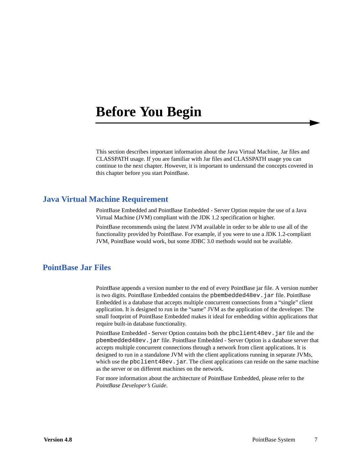# <span id="page-6-0"></span>**Before You Begin**

This section describes important information about the Java Virtual Machine, Jar files and CLASSPATH usage. If you are familiar with Jar files and CLASSPATH usage you can continue to the next chapter. However, it is important to understand the concepts covered in this chapter before you start PointBase.

## <span id="page-6-1"></span>**Java Virtual Machine Requirement**

PointBase Embedded and PointBase Embedded - Server Option require the use of a Java Virtual Machine (JVM) compliant with the JDK 1.2 specification or higher.

PointBase recommends using the latest JVM available in order to be able to use all of the functionality provided by PointBase. For example, if you were to use a JDK 1.2-compliant JVM, PointBase would work, but some JDBC 3.0 methods would not be available.

# <span id="page-6-2"></span>**PointBase Jar Files**

PointBase appends a version number to the end of every PointBase jar file. A version number is two digits. PointBase Embedded contains the pbembedded48ev.jar file. PointBase Embedded is a database that accepts multiple concurrent connections from a "single" client application. It is designed to run in the "same" JVM as the application of the developer. The small footprint of PointBase Embedded makes it ideal for embedding within applications that require built-in database functionality.

PointBase Embedded - Server Option contains both the pbclient48ev.jar file and the pbembedded48ev.jar file. PointBase Embedded - Server Option is a database server that accepts multiple concurrent connections through a network from client applications. It is designed to run in a standalone JVM with the client applications running in separate JVMs, which use the pbclient  $48ev$ , jar. The client applications can reside on the same machine as the server or on different machines on the network.

For more information about the architecture of PointBase Embedded, please refer to the *PointBase Developer's Guide*.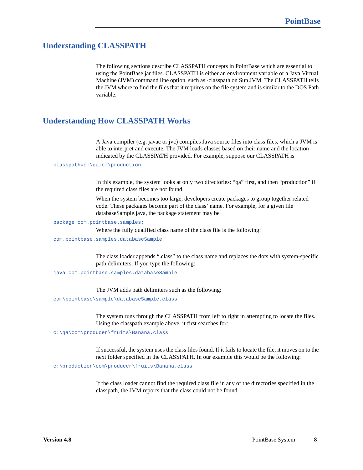# <span id="page-7-0"></span>**Understanding CLASSPATH**

The following sections describe CLASSPATH concepts in PointBase which are essential to using the PointBase jar files. CLASSPATH is either an environment variable or a Java Virtual Machine (JVM) command line option, such as -classpath on Sun JVM. The CLASSPATH tells the JVM where to find the files that it requires on the file system and is similar to the DOS Path variable.

# <span id="page-7-1"></span>**Understanding How CLASSPATH Works**

A Java compiler (e.g. javac or jvc) compiles Java source files into class files, which a JVM is able to interpret and execute. The JVM loads classes based on their name and the location indicated by the CLASSPATH provided. For example, suppose our CLASSPATH is

#### classpath=c:\qa;c:\production

In this example, the system looks at only two directories: "qa" first, and then "production" if the required class files are not found.

When the system becomes too large, developers create packages to group together related code. These packages become part of the class' name. For example, for a given file databaseSample.java, the package statement may be

#### package com.pointbase.samples;

Where the fully qualified class name of the class file is the following:

com.pointbase.samples.databaseSample

The class loader appends ".class" to the class name and replaces the dots with system-specific path delimiters. If you type the following:

java com.pointbase.samples.databaseSample

The JVM adds path delimiters such as the following:

com\pointbase\sample\databaseSample.class

The system runs through the CLASSPATH from left to right in attempting to locate the files. Using the classpath example above, it first searches for:

c:\qa\com\producer\fruits\Banana.class

If successful, the system uses the class files found. If it fails to locate the file, it moves on to the next folder specified in the CLASSPATH. In our example this would be the following:

c:\production\com\producer\fruits\Banana.class

If the class loader cannot find the required class file in any of the directories specified in the classpath, the JVM reports that the class could not be found.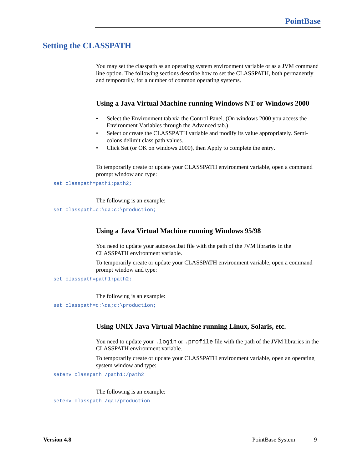# <span id="page-8-0"></span>**Setting the CLASSPATH**

You may set the classpath as an operating system environment variable or as a JVM command line option. The following sections describe how to set the CLASSPATH, both permanently and temporarily, for a number of common operating systems.

### **Using a Java Virtual Machine running Windows NT or Windows 2000**

- Select the Environment tab via the Control Panel. (On windows 2000 you access the Environment Variables through the Advanced tab.)
- Select or create the CLASSPATH variable and modify its value appropriately. Semicolons delimit class path values.
- Click Set (or OK on windows 2000), then Apply to complete the entry.

To temporarily create or update your CLASSPATH environment variable, open a command prompt window and type:

set classpath=path1;path2;

The following is an example:

set classpath=c:\qa;c:\production;

### **Using a Java Virtual Machine running Windows 95/98**

You need to update your autoexec.bat file with the path of the JVM libraries in the CLASSPATH environment variable.

To temporarily create or update your CLASSPATH environment variable, open a command prompt window and type:

set classpath=path1; path2;

The following is an example:

set classpath=c:\qa;c:\production;

### **Using UNIX Java Virtual Machine running Linux, Solaris, etc.**

You need to update your . login or . profile file with the path of the JVM libraries in the CLASSPATH environment variable.

To temporarily create or update your CLASSPATH environment variable, open an operating system window and type:

setenv classpath /path1:/path2

#### The following is an example:

setenv classpath /qa:/production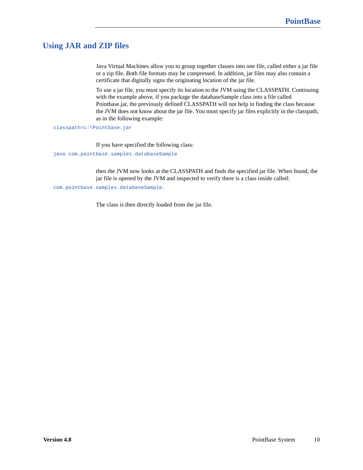# <span id="page-9-0"></span>**Using JAR and ZIP files**

Java Virtual Machines allow you to group together classes into one file, called either a jar file or a zip file. Both file formats may be compressed. In addition, jar files may also contain a certificate that digitally signs the originating location of the jar file.

To use a jar file, you must specify its location to the JVM using the CLASSPATH. Continuing with the example above, if you package the databaseSample class into a file called Pointbase.jar, the previously defined CLASSPATH will not help in finding the class because the JVM does not know about the jar file. You must specify jar files explicitly in the classpath, as in the following example:

classpath=c:\Pointbase.jar

If you have specified the following class:

java com.pointbase.samples.databaseSample

then the JVM now looks at the CLASSPATH and finds the specified jar file. When found, the jar file is opened by the JVM and inspected to verify there is a class inside called:

com.pointbase.samples.databaseSample.

The class is then directly loaded from the jar file.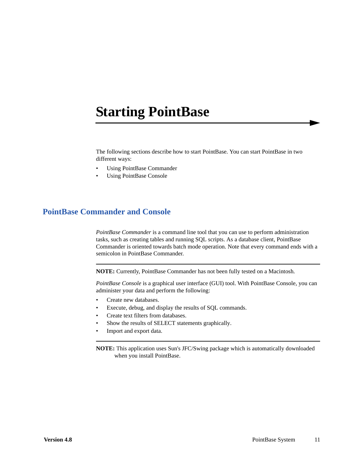# <span id="page-10-0"></span>**Starting PointBase**

The following sections describe how to start PointBase. You can start PointBase in two different ways:

- Using PointBase Commander
- Using PointBase Console

# <span id="page-10-1"></span>**PointBase Commander and Console**

*PointBase Commander* is a command line tool that you can use to perform administration tasks, such as creating tables and running SQL scripts. As a database client, PointBase Commander is oriented towards batch mode operation. Note that every command ends with a semicolon in PointBase Commander.

**NOTE:** Currently, PointBase Commander has not been fully tested on a Macintosh.

*PointBase Console* is a graphical user interface (GUI) tool. With PointBase Console, you can administer your data and perform the following:

- Create new databases.
- Execute, debug, and display the results of SQL commands.
- Create text filters from databases.
- Show the results of SELECT statements graphically.
- Import and export data.

**NOTE:** This application uses Sun's JFC/Swing package which is automatically downloaded when you install PointBase.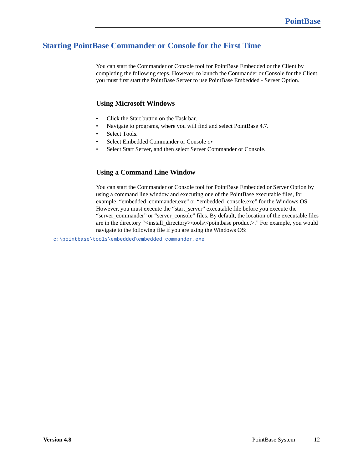# <span id="page-11-0"></span>**Starting PointBase Commander or Console for the First Time**

You can start the Commander or Console tool for PointBase Embedded or the Client by completing the following steps. However, to launch the Commander or Console for the Client, you must first start the PointBase Server to use PointBase Embedded - Server Option.

### **Using Microsoft Windows**

- Click the Start button on the Task bar.
- Navigate to programs, where you will find and select PointBase 4.7.
- Select Tools.
- Select Embedded Commander or Console *or*
- Select Start Server, and then select Server Commander or Console.

## **Using a Command Line Window**

You can start the Commander or Console tool for PointBase Embedded or Server Option by using a command line window and executing one of the PointBase executable files, for example, "embedded\_commander.exe" or "embedded\_console.exe" for the Windows OS. However, you must execute the "start\_server" executable file before you execute the "server\_commander" or "server\_console" files. By default, the location of the executable files are in the directory "<install\_directory>\tools\<pointbase product>." For example, you would navigate to the following file if you are using the Windows OS:

c:\pointbase\tools\embedded\embedded\_commander.exe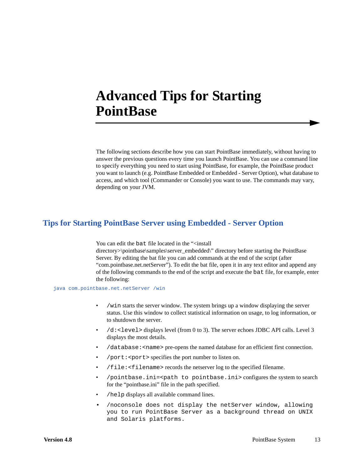# <span id="page-12-0"></span>**Advanced Tips for Starting PointBase**

The following sections describe how you can start PointBase immediately, without having to answer the previous questions every time you launch PointBase. You can use a command line to specify everything you need to start using PointBase, for example, the PointBase product you want to launch (e.g. PointBase Embedded or Embedded - Server Option), what database to access, and which tool (Commander or Console) you want to use. The commands may vary, depending on your JVM.

## <span id="page-12-1"></span>**Tips for Starting PointBase Server using Embedded - Server Option**

You can edit the bat file located in the "<install

directory>\pointbase\samples\server\_embedded\" directory before starting the PointBase Server. By editing the bat file you can add commands at the end of the script (after "com.pointbase.net.netServer"). To edit the bat file, open it in any text editor and append any of the following commands to the end of the script and execute the bat file, for example, enter the following:

java com.pointbase.net.netServer /win

- /win starts the server window. The system brings up a window displaying the server status. Use this window to collect statistical information on usage, to log information, or to shutdown the server.
- $/$ d: < level > displays level (from 0 to 3). The server echoes JDBC API calls. Level 3 displays the most details.
- /database:<name> pre-opens the named database for an efficient first connection.
- $\gamma$  port: < port > specifies the port number to listen on.
- /file:<filename> records the netserver log to the specified filename.
- /pointbase.ini=<path to pointbase.ini> configures the system to search for the "pointbase.ini" file in the path specified.
- /help displays all available command lines.
- /noconsole does not display the netServer window, allowing you to run PointBase Server as a background thread on UNIX and Solaris platforms.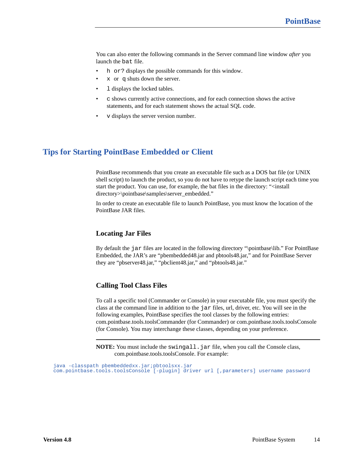You can also enter the following commands in the Server command line window *after* you launch the bat file.

- h or? displays the possible commands for this window.
- $x$  or q shuts down the server.
- 1 displays the locked tables.
- c shows currently active connections, and for each connection shows the active statements, and for each statement shows the actual SQL code.
- v displays the server version number.

## <span id="page-13-0"></span>**Tips for Starting PointBase Embedded or Client**

PointBase recommends that you create an executable file such as a DOS bat file (or UNIX shell script) to launch the product, so you do not have to retype the launch script each time you start the product. You can use, for example, the bat files in the directory: "<install directory>\pointbase\samples\server\_embedded."

In order to create an executable file to launch PointBase, you must know the location of the PointBase JAR files.

#### **Locating Jar Files**

By default the jar files are located in the following directory "\pointbase\lib." For PointBase Embedded, the JAR's are "pbembedded48.jar and pbtools48.jar," and for PointBase Server they are "pbserver48.jar," "pbclient48.jar," and "pbtools48.jar."

#### **Calling Tool Class Files**

To call a specific tool (Commander or Console) in your executable file, you must specify the class at the command line in addition to the jar files, url, driver, etc. You will see in the following examples, PointBase specifies the tool classes by the following entries: com.pointbase.tools.toolsCommander (for Commander) or com.pointbase.tools.toolsConsole (for Console). You may interchange these classes, depending on your preference.

**NOTE:** You must include the swingall.jar file, when you call the Console class, com.pointbase.tools.toolsConsole. For example:

java -classpath pbembeddedxx.jar;pbtoolsxx.jar com.pointbase.tools.toolsConsole [-plugin] driver url [,parameters] username password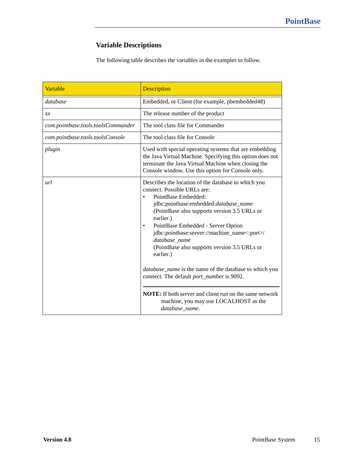# **Variable Descriptions**

The following table describes the variables in the examples to follow.

| Variable                           | <b>Description</b>                                                                                                                                                                                                                                                                                                                                                                                                                                                                                                                                                                                                             |
|------------------------------------|--------------------------------------------------------------------------------------------------------------------------------------------------------------------------------------------------------------------------------------------------------------------------------------------------------------------------------------------------------------------------------------------------------------------------------------------------------------------------------------------------------------------------------------------------------------------------------------------------------------------------------|
| database                           | Embedded, or Client (for example, pbembedded48)                                                                                                                                                                                                                                                                                                                                                                                                                                                                                                                                                                                |
| x x                                | The release number of the product                                                                                                                                                                                                                                                                                                                                                                                                                                                                                                                                                                                              |
| com.pointbase.tools.toolsCommander | The tool class file for Commander                                                                                                                                                                                                                                                                                                                                                                                                                                                                                                                                                                                              |
| com.pointbase.tools.toolsConsole   | The tool class file for Console                                                                                                                                                                                                                                                                                                                                                                                                                                                                                                                                                                                                |
| plugin                             | Used with special operating systems that are embedding<br>the Java Virtual Machine. Specifying this option does not<br>terminate the Java Virtual Machine when closing the<br>Console window. Use this option for Console only.                                                                                                                                                                                                                                                                                                                                                                                                |
| url                                | Describes the location of the database to which you<br>connect. Possible URLs are:<br>PointBase Embedded:<br>jdbc:pointbase:embedded:database_name<br>(PointBase also supports version 3.5 URLs or<br>earlier.)<br>PointBase Embedded - Server Option<br>jdbc:pointbase:server://machine_name<:port>/<br>database_name<br>(PointBase also supports version 3.5 URLs or<br>earlier.)<br>database_name is the name of the database to which you<br>connect. The default <i>port_number</i> is 9092.<br><b>NOTE:</b> If both server and client run on the same network<br>machine, you may use LOCALHOST as the<br>database name. |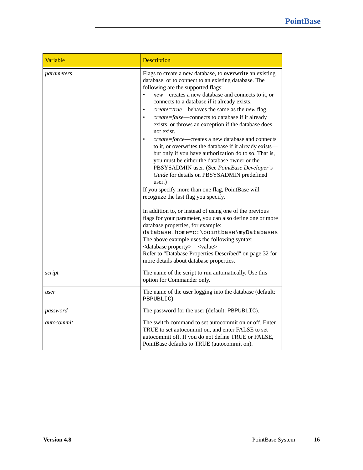| Variable   | Description                                                                                                                                                                                                                                                                                                                                                                                                                                                                                                                                                                                                                                                                                                                                                                                                                                                                                                                                                                                                                                                                                                                                                                                                                                                                                                                               |  |
|------------|-------------------------------------------------------------------------------------------------------------------------------------------------------------------------------------------------------------------------------------------------------------------------------------------------------------------------------------------------------------------------------------------------------------------------------------------------------------------------------------------------------------------------------------------------------------------------------------------------------------------------------------------------------------------------------------------------------------------------------------------------------------------------------------------------------------------------------------------------------------------------------------------------------------------------------------------------------------------------------------------------------------------------------------------------------------------------------------------------------------------------------------------------------------------------------------------------------------------------------------------------------------------------------------------------------------------------------------------|--|
| parameters | Flags to create a new database, to overwrite an existing<br>database, or to connect to an existing database. The<br>following are the supported flags:<br>new-creates a new database and connects to it, or<br>$\bullet$<br>connects to a database if it already exists.<br>create=true-behaves the same as the new flag.<br>$\bullet$<br>create=false-connects to database if it already<br>$\bullet$<br>exists, or throws an exception if the database does<br>not exist.<br>create=force-creates a new database and connects<br>to it, or overwrites the database if it already exists-<br>but only if you have authorization do to so. That is,<br>you must be either the database owner or the<br>PBSYSADMIN user. (See PointBase Developer's<br>Guide for details on PBSYSADMIN predefined<br>user.)<br>If you specify more than one flag, PointBase will<br>recognize the last flag you specify.<br>In addition to, or instead of using one of the previous<br>flags for your parameter, you can also define one or more<br>database properties, for example:<br>database.home=c:\pointbase\myDatabases<br>The above example uses the following syntax:<br>$\langle$ database property $\rangle$ = $\langle$ value $\rangle$<br>Refer to "Database Properties Described" on page 32 for<br>more details about database properties. |  |
| script     | The name of the script to run automatically. Use this<br>option for Commander only.                                                                                                                                                                                                                                                                                                                                                                                                                                                                                                                                                                                                                                                                                                                                                                                                                                                                                                                                                                                                                                                                                                                                                                                                                                                       |  |
| user       | The name of the user logging into the database (default:<br>PBPUBLIC)                                                                                                                                                                                                                                                                                                                                                                                                                                                                                                                                                                                                                                                                                                                                                                                                                                                                                                                                                                                                                                                                                                                                                                                                                                                                     |  |
| password   | The password for the user (default: PBPUBLIC).                                                                                                                                                                                                                                                                                                                                                                                                                                                                                                                                                                                                                                                                                                                                                                                                                                                                                                                                                                                                                                                                                                                                                                                                                                                                                            |  |
| autocommit | The switch command to set autocommit on or off. Enter<br>TRUE to set autocommit on, and enter FALSE to set<br>autocommit off. If you do not define TRUE or FALSE,<br>PointBase defaults to TRUE (autocommit on).                                                                                                                                                                                                                                                                                                                                                                                                                                                                                                                                                                                                                                                                                                                                                                                                                                                                                                                                                                                                                                                                                                                          |  |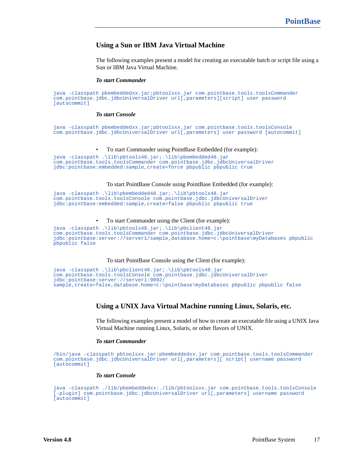### **Using a Sun or IBM Java Virtual Machine**

The following examples present a model for creating an executable batch or script file using a Sun or IBM Java Virtual Machine.

#### *To start Commander*

java -classpath pbembeddedxx.jar;pbtoolsxx.jar com.pointbase.tools.toolsCommander com.pointbase.jdbc.jdbcUniversalDriver url[,parameters][script] user password  $[$ autocommit]

#### *To start Console*

java -classpath pbembeddedxx.jar;pbtoolsxx.jar com.pointbase.tools.toolsConsole com.pointbase.jdbc.jdbcUniversalDriver url[,parameters] user password [autocommit]

#### • To start Commander using PointBase Embedded (for example):

```
java -classpath .\lib\pbtools48.jar;.\lib\pbembedded48.jar 
com.pointbase.tools.toolsCommander com.pointbase.jdbc.jdbcUniversalDriver 
jdbc:pointbase:embedded:sample,create=force pbpublic pbpublic true
```
#### To start PointBase Console using PointBase Embedded (for example):

```
java -classpath .\lib\pbembedded48.jar;.\lib\pbtools48.jar 
com.pointbase.tools.toolsConsole com.pointbase.jdbc.jdbcUniversalDriver 
jdbc:pointbase:embedded:sample,create=false pbpublic pbpublic true
```
#### • To start Commander using the Client (for example):

```
java -classpath .\lib\pbtools48.jar;.\lib\pbclient48.jar 
com.pointbase.tools.toolsCommander com.pointbase.jdbc.jdbcUniversalDriver 
jdbc:pointbase:server://server1/sample,database.home=c:\pointbase\myDatabases pbpublic 
pbpublic false
```
#### To start PointBase Console using the Client (for example):

```
java -classpath .\lib\pbclient48.jar;.\lib\pbtools48.jar 
com.pointbase.tools.toolsConsole com.pointbase.jdbc.jdbcUniversalDriver 
jdbc:pointbase:server://server1:9092/
sample, create=false,database.home=c:\pointbase\myDatabases pbpublic pbpublic false
```
#### **Using a UNIX Java Virtual Machine running Linux, Solaris, etc.**

The following examples present a model of how to create an executable file using a UNIX Java Virtual Machine running Linux, Solaris, or other flavors of UNIX.

#### *To start Commander*

```
/bin/java -classpath pbtoolsxx.jar:pbembeddedxx.jar com.pointbase.tools.toolsCommander 
com.pointbase.jdbc.jdbcUniversalDriver url[,parameters][ script] username password 
[autocommit]
```
#### *To start Console*

java -classpath ./lib/pbembeddedxx:./lib/pbtoolsxx.jar com.pointbase.tools.toolsConsole [-plugin] com.pointbase.jdbc.jdbcUniversalDriver url[,parameters] username password [autocommit]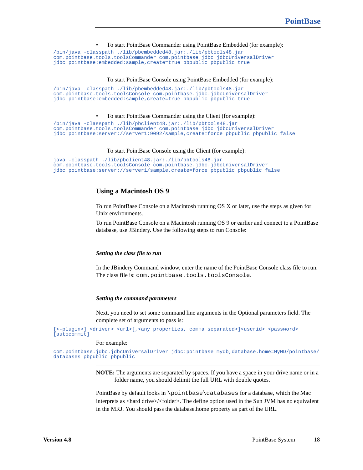• To start PointBase Commander using PointBase Embedded (for example):

/bin/java -classpath ./lib/pbembedded48.jar:./lib/pbtools48.jar com.pointbase.tools.toolsCommander com.pointbase.jdbc.jdbcUniversalDriver jdbc:pointbase:embedded:sample,create=true pbpublic pbpublic true

#### To start PointBase Console using PointBase Embedded (for example):

/bin/java -classpath ./lib/pbembedded48.jar:./lib/pbtools48.jar com.pointbase.tools.toolsConsole com.pointbase.jdbc.jdbcUniversalDriver jdbc:pointbase:embedded:sample,create=true pbpublic pbpublic true

#### • To start PointBase Commander using the Client (for example):

/bin/java -classpath ./lib/pbclient48.jar:./lib/pbtools48.jar com.pointbase.tools.toolsCommander com.pointbase.jdbc.jdbcUniversalDriver jdbc:pointbase:server://server1:9092/sample,create=force pbpublic pbpublic false

#### To start PointBase Console using the Client (for example):

```
java -classpath ./lib/pbclient48.jar:./lib/pbtools48.jar 
com.pointbase.tools.toolsConsole com.pointbase.jdbc.jdbcUniversalDriver 
jdbc:pointbase:server://server1/sample,create=force pbpublic pbpublic false
```
#### **Using a Macintosh OS 9**

To run PointBase Console on a Macintosh running OS X or later, use the steps as given for Unix environments.

To run PointBase Console on a Macintosh running OS 9 or earlier and connect to a PointBase database, use JBindery. Use the following steps to run Console:

#### *Setting the class file to run*

In the JBindery Command window, enter the name of the PointBase Console class file to run. The class file is: com.pointbase.tools.toolsConsole.

#### *Setting the command parameters*

Next, you need to set some command line arguments in the Optional parameters field. The complete set of arguments to pass is:

```
[<-plugin>] <driver> <url>[,<any properties, comma separated>]<userid> <password>
[autocommit]
```
#### For example:

com.pointbase.jdbc.jdbcUniversalDriver jdbc:pointbase:mydb,database.home=MyHD/pointbase/ databases pbpublic pbpublic

> **NOTE:** The arguments are separated by spaces. If you have a space in your drive name or in a folder name, you should delimit the full URL with double quotes.

> PointBase by default looks in \pointbase\databases for a database, which the Mac interprets as <hard drive>/<folder>. The define option used in the Sun JVM has no equivalent in the MRJ. You should pass the database.home property as part of the URL.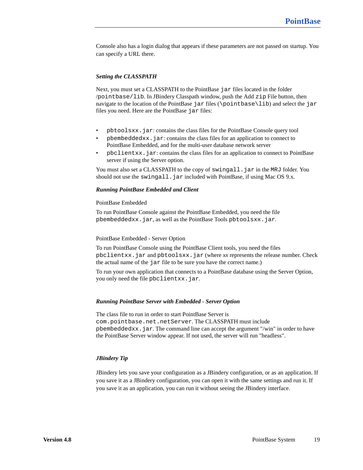Console also has a login dialog that appears if these parameters are not passed on startup. You can specify a URL there.

#### *Setting the CLASSPATH*

Next, you must set a CLASSPATH to the PointBase jar files located in the folder /pointbase/lib. In JBindery Classpath window, push the Add zip File button, then navigate to the location of the PointBase jar files (\pointbase\lib) and select the jar files you need. Here are the PointBase jar files:

- pbtoolsxx.jar: contains the class files for the PointBase Console query tool
- pbembeddedxx.jar: contains the class files for an application to connect to PointBase Embedded, and for the multi-user database network server
- pbclientxx.jar: contains the class files for an application to connect to PointBase server if using the Server option.

You must also set a CLASSPATH to the copy of swingall. jar in the MRJ folder. You should not use the swingall. jar included with PointBase, if using Mac OS 9.x.

#### *Running PointBase Embedded and Client*

#### PointBase Embedded

To run PointBase Console against the PointBase Embedded, you need the file pbembeddedxx.jar, as well as the PointBase Tools pbtoolsxx.jar.

#### PointBase Embedded - Server Option

To run PointBase Console using the PointBase Client tools, you need the files pbclientxx.jar and pbtoolsxx.jar (where *xx* represents the release number. Check the actual name of the jar file to be sure you have the correct name.)

To run your own application that connects to a PointBase database using the Server Option, you only need the file pbclientxx.jar.

#### *Running PointBase Server with Embedded - Server Option*

The class file to run in order to start PointBase Server is com.pointbase.net.netServer. The CLASSPATH must include pbembeddedxx.jar. The command line can accept the argument "/win" in order to have the PointBase Server window appear. If not used, the server will run "headless".

#### *JBindery Tip*

JBindery lets you save your configuration as a JBindery configuration, or as an application. If you save it as a JBindery configuration, you can open it with the same settings and run it. If you save it as an application, you can run it without seeing the JBindery interface.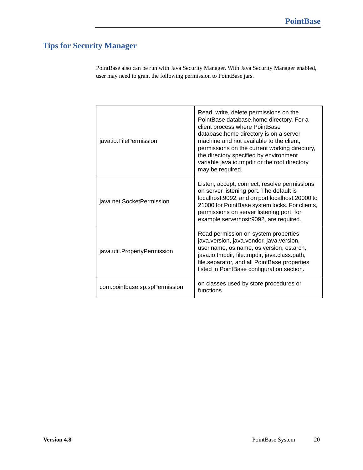# <span id="page-19-0"></span>**Tips for Security Manager**

PointBase also can be run with Java Security Manager. With Java Security Manager enabled, user may need to grant the following permission to PointBase jars.

| java.io.FilePermission        | Read, write, delete permissions on the<br>PointBase database.home directory. For a<br>client process where PointBase<br>database.home directory is on a server<br>machine and not available to the client,<br>permissions on the current working directory,<br>the directory specified by environment<br>variable java.io.tmpdir or the root directory<br>may be required. |
|-------------------------------|----------------------------------------------------------------------------------------------------------------------------------------------------------------------------------------------------------------------------------------------------------------------------------------------------------------------------------------------------------------------------|
| java.net.SocketPermission     | Listen, accept, connect, resolve permissions<br>on server listening port. The default is<br>localhost:9092, and on port localhost:20000 to<br>21000 for PointBase system locks. For clients,<br>permissions on server listening port, for<br>example serverhost:9092, are required.                                                                                        |
| java.util.PropertyPermission  | Read permission on system properties<br>java.version, java.vendor, java.version,<br>user.name, os.name, os.version, os.arch,<br>java.io.tmpdir, file.tmpdir, java.class.path,<br>file.separator, and all PointBase properties<br>listed in PointBase configuration section.                                                                                                |
| com.pointbase.sp.spPermission | on classes used by store procedures or<br>functions                                                                                                                                                                                                                                                                                                                        |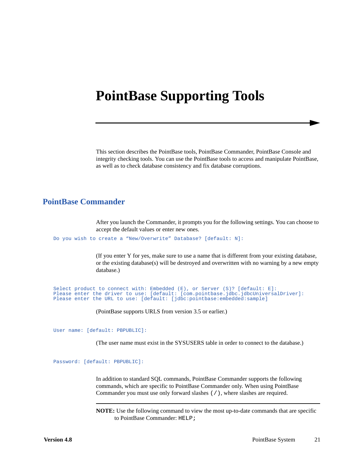# <span id="page-20-0"></span>**PointBase Supporting Tools**

This section describes the PointBase tools, PointBase Commander, PointBase Console and integrity checking tools. You can use the PointBase tools to access and manipulate PointBase, as well as to check database consistency and fix database corruptions.

## <span id="page-20-1"></span>**PointBase Commander**

After you launch the Commander, it prompts you for the following settings. You can choose to accept the default values or enter new ones.

Do you wish to create a "New/Overwrite" Database? [default: N]:

(If you enter Y for yes, make sure to use a name that is different from your existing database, or the existing database(s) will be destroyed and overwritten with no warning by a new empty database.)

```
Select product to connect with: Embedded (E), or Server (S)? [default: E]:
Please enter the driver to use: [default: [com.pointbase.jdbc.jdbcUniversalDriver]:
Please enter the URL to use: [default: [jdbc:pointbase:embedded:sample]
```
(PointBase supports URLS from version 3.5 or earlier.)

User name: [default: PBPUBLIC]:

(The user name must exist in the SYSUSERS table in order to connect to the database.)

Password: [default: PBPUBLIC]:

In addition to standard SQL commands, PointBase Commander supports the following commands, which are specific to PointBase Commander only. When using PointBase Commander you must use only forward slashes (/), where slashes are required.

**NOTE:** Use the following command to view the most up-to-date commands that are specific to PointBase Commander: HELP;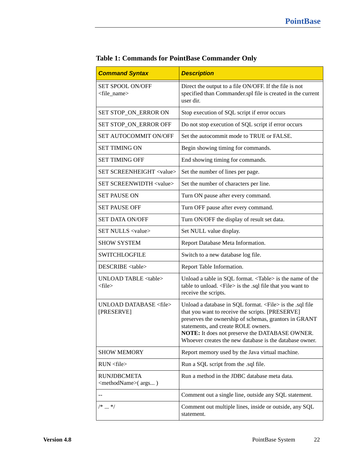| <b>Command Syntax</b>                                                   | <b>Description</b>                                                                                                                                                                                                                                                                                                                    |  |
|-------------------------------------------------------------------------|---------------------------------------------------------------------------------------------------------------------------------------------------------------------------------------------------------------------------------------------------------------------------------------------------------------------------------------|--|
| SET SPOOL ON/OFF<br><file_name></file_name>                             | Direct the output to a file ON/OFF. If the file is not<br>specified than Commander.spl file is created in the current<br>user dir.                                                                                                                                                                                                    |  |
| SET STOP_ON_ERROR ON                                                    | Stop execution of SQL script if error occurs                                                                                                                                                                                                                                                                                          |  |
| SET STOP_ON_ERROR OFF                                                   | Do not stop execution of SQL script if error occurs                                                                                                                                                                                                                                                                                   |  |
| SET AUTOCOMMIT ON/OFF                                                   | Set the autocommit mode to TRUE or FALSE.                                                                                                                                                                                                                                                                                             |  |
| <b>SET TIMING ON</b>                                                    | Begin showing timing for commands.                                                                                                                                                                                                                                                                                                    |  |
| <b>SET TIMING OFF</b>                                                   | End showing timing for commands.                                                                                                                                                                                                                                                                                                      |  |
| <b>SET SCREENHEIGHT <value></value></b>                                 | Set the number of lines per page.                                                                                                                                                                                                                                                                                                     |  |
| SET SCREENWIDTH <value></value>                                         | Set the number of characters per line.                                                                                                                                                                                                                                                                                                |  |
| <b>SET PAUSE ON</b>                                                     | Turn ON pause after every command.                                                                                                                                                                                                                                                                                                    |  |
| <b>SET PAUSE OFF</b>                                                    | Turn OFF pause after every command.                                                                                                                                                                                                                                                                                                   |  |
| <b>SET DATA ON/OFF</b>                                                  | Turn ON/OFF the display of result set data.                                                                                                                                                                                                                                                                                           |  |
| SET NULLS <value></value>                                               | Set NULL value display.                                                                                                                                                                                                                                                                                                               |  |
| <b>SHOW SYSTEM</b>                                                      | Report Database Meta Information.                                                                                                                                                                                                                                                                                                     |  |
| <b>SWITCHLOGFILE</b>                                                    | Switch to a new database log file.                                                                                                                                                                                                                                                                                                    |  |
| DESCRIBE <table></table>                                                | Report Table Information.                                                                                                                                                                                                                                                                                                             |  |
| UNLOAD TABLE <table><br/><math>&lt;</math>file<math>&gt;</math></table> | Unload a table in SQL format. <table> is the name of the<br/>table to unload. <file> is the .sql file that you want to<br/>receive the scripts.</file></table>                                                                                                                                                                        |  |
| UNLOAD DATABASE <file><br/>[PRESERVE]</file>                            | Unload a database in SQL format. <file> is the .sql file<br/>that you want to receive the scripts. [PRESERVE]<br/>preserves the ownership of schemas, grantors in GRANT<br/>statements, and create ROLE owners.<br/>NOTE: It does not preserve the DATABASE OWNER.<br/>Whoever creates the new database is the database owner.</file> |  |
| <b>SHOW MEMORY</b>                                                      | Report memory used by the Java virtual machine.                                                                                                                                                                                                                                                                                       |  |
| RUN <sub>file</sub>                                                     | Run a SQL script from the .sql file.                                                                                                                                                                                                                                                                                                  |  |
| <b>RUNJDBCMETA</b><br><methodname>(args)</methodname>                   | Run a method in the JDBC database meta data.                                                                                                                                                                                                                                                                                          |  |
| $\qquad \qquad -$                                                       | Comment out a single line, outside any SQL statement.                                                                                                                                                                                                                                                                                 |  |
| $/* \dots */$                                                           | Comment out multiple lines, inside or outside, any SQL<br>statement.                                                                                                                                                                                                                                                                  |  |

**Table 1: Commands for PointBase Commander Only**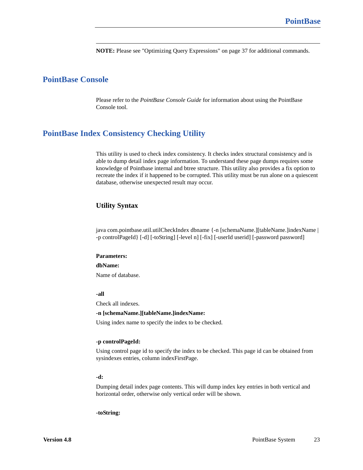**NOTE:** Please see ["Optimizing Query Expressions" on page 37](#page-36-2) for additional commands.

# <span id="page-22-0"></span>**PointBase Console**

Please refer to the *PointBase Console Guide* for information about using the PointBase Console tool.

## <span id="page-22-1"></span>**PointBase Index Consistency Checking Utility**

This utility is used to check index consistency. It checks index structural consistency and is able to dump detail index page information. To understand these page dumps requires some knowledge of Pointbase internal and btree structure. This utility also provides a fix option to recreate the index if it happened to be corrupted. This utility must be run alone on a quiescent database, otherwise unexpected result may occur.

#### **Utility Syntax**

java com.pointbase.util.utilCheckIndex dbname {-n [schemaName.][tableName.]indexName | -p controlPageId} [-d] [-toString] [-level n] [-fix] [-userId userid] [-password password]

#### **Parameters:**

**dbName:**

Name of database.

#### **-all**

Check all indexes.

#### **-n [schemaName.][tableName.]indexName:**

Using index name to specify the index to be checked.

#### **-p controlPageId:**

Using control page id to specify the index to be checked. This page id can be obtained from sysindexes entries, column indexFirstPage.

#### **-d:**

Dumping detail index page contents. This will dump index key entries in both vertical and horizontal order, otherwise only vertical order will be shown.

#### **-toString:**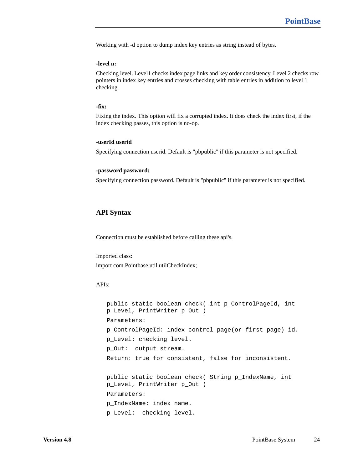Working with -d option to dump index key entries as string instead of bytes.

#### **-level n:**

Checking level. Level1 checks index page links and key order consistency. Level 2 checks row pointers in index key entries and crosses checking with table entries in addition to level 1 checking.

#### **-fix:**

Fixing the index. This option will fix a corrupted index. It does check the index first, if the index checking passes, this option is no-op.

#### **-userId userid**

Specifying connection userid. Default is "pbpublic" if this parameter is not specified.

#### **-password password:**

Specifying connection password. Default is "pbpublic" if this parameter is not specified.

#### **API Syntax**

Connection must be established before calling these api's.

Imported class:

import com.Pointbase.util.utilCheckIndex;

#### APIs:

public static boolean check( int p\_ControlPageId, int p\_Level, PrintWriter p\_Out ) Parameters: p\_ControlPageId: index control page(or first page) id. p\_Level: checking level. p\_Out: output stream. Return: true for consistent, false for inconsistent. public static boolean check( String p\_IndexName, int p\_Level, PrintWriter p\_Out ) Parameters: p\_IndexName: index name. p\_Level: checking level.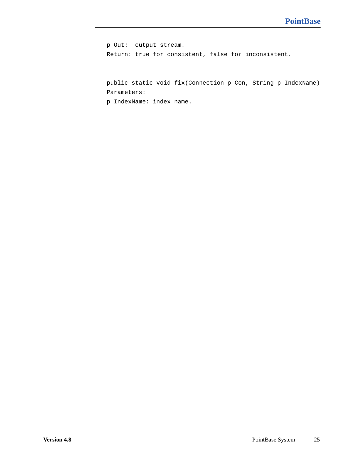p\_Out: output stream. Return: true for consistent, false for inconsistent.

public static void fix(Connection p\_Con, String p\_IndexName) Parameters:

p\_IndexName: index name.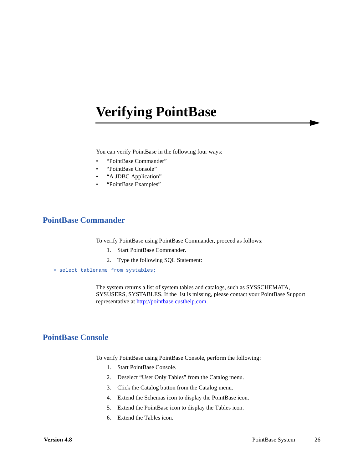# <span id="page-25-0"></span>**Verifying PointBase**

You can verify PointBase in the following four ways:

- "PointBase Commander"
- "PointBase Console"
- "A JDBC Application"
- "PointBase Examples"

## <span id="page-25-1"></span>**PointBase Commander**

To verify PointBase using PointBase Commander, proceed as follows:

- 1. Start PointBase Commander.
- 2. Type the following SQL Statement:
- > select tablename from systables;

The system returns a list of system tables and catalogs, such as SYSSCHEMATA, SYSUSERS, SYSTABLES. If the list is missing, please contact your PointBase Support representative at<http://pointbase.custhelp.com>.

## <span id="page-25-2"></span>**PointBase Console**

To verify PointBase using PointBase Console, perform the following:

- 1. Start PointBase Console.
- 2. Deselect "User Only Tables" from the Catalog menu.
- 3. Click the Catalog button from the Catalog menu.
- 4. Extend the Schemas icon to display the PointBase icon.
- 5. Extend the PointBase icon to display the Tables icon.
- 6. Extend the Tables icon.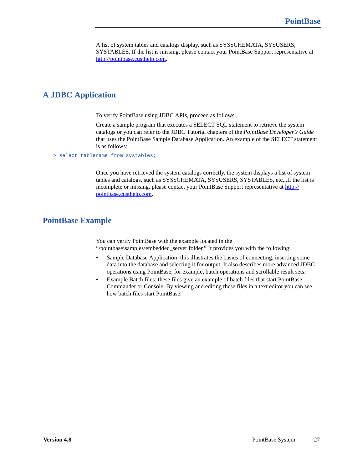A list of system tables and catalogs display, such as SYSSCHEMATA, SYSUSERS, SYSTABLES. If the list is missing, please contact your PointBase Support representative at [http://pointbase.custhelp.com.](http://pointbase.custhelp.com)

# <span id="page-26-0"></span>**A JDBC Application**

To verify PointBase using JDBC APIs, proceed as follows:

Create a sample program that executes a SELECT SQL statement to retrieve the system catalogs or you can refer to the JDBC Tutorial chapters of the *PointBase Developer's Guide* that uses the PointBase Sample Database Application. An example of the SELECT statement is as follows:

> select tablename from systables;

Once you have retrieved the system catalogs correctly, the system displays a list of system tables and catalogs, such as SYSSCHEMATA, SYSUSERS, SYSTABLES, etc...If the list is incomplete or missing, please contact your PointBase Support representative at [http://](http://pointbase.custhelp.com) [pointbase.custhelp.com.](http://pointbase.custhelp.com)

# <span id="page-26-1"></span>**PointBase Example**

You can verify PointBase with the example located in the "\pointbase\samples\embedded\_server folder." It provides you with the following:

- Sample Database Application: this illustrates the basics of connecting, inserting some data into the database and selecting it for output. It also describes more advanced JDBC operations using PointBase, for example, batch operations and scrollable result sets.
- Example Batch files: these files give an example of batch files that start PointBase Commander or Console. By viewing and editing these files in a text editor you can see how batch files start PointBase.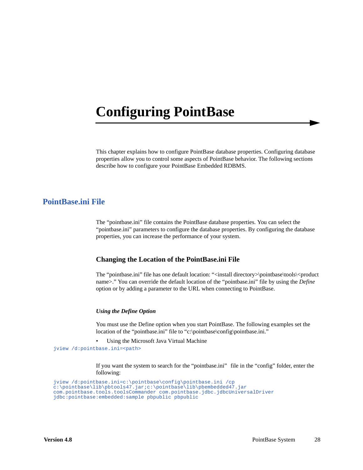# <span id="page-27-0"></span>**Configuring PointBase**

This chapter explains how to configure PointBase database properties. Configuring database properties allow you to control some aspects of PointBase behavior. The following sections describe how to configure your PointBase Embedded RDBMS.

## <span id="page-27-1"></span>**PointBase.ini File**

The "pointbase.ini" file contains the PointBase database properties. You can select the "pointbase.ini" parameters to configure the database properties. By configuring the database properties, you can increase the performance of your system.

### **Changing the Location of the PointBase.ini File**

The "pointbase.ini" file has one default location: "<install directory>\pointbase\tools\<product name>." You can override the default location of the "pointbase.ini" file by using the *Define*  option or by adding a parameter to the URL when connecting to PointBase.

#### *Using the Define Option*

You must use the Define option when you start PointBase. The following examples set the location of the "pointbase.ini" file to "c:\pointbase\config\pointbase.ini."

• Using the Microsoft Java Virtual Machine

jview /d:pointbase.ini=<path>

If you want the system to search for the "pointbase.ini" file in the "config" folder, enter the following:

```
jview /d:pointbase.ini=c:\pointbase\config\pointbase.ini /cp 
c:\pointbase\lib\pbtools47.jar;c:\pointbase\lib\pbembedded47.jar 
com.pointbase.tools.toolsCommander com.pointbase.jdbc.jdbcUniversalDriver 
jdbc:pointbase:embedded:sample pbpublic pbpublic
```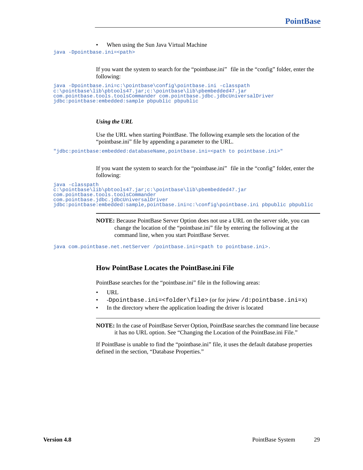• When using the Sun Java Virtual Machine

java -Dpointbase.ini=<path>

If you want the system to search for the "pointbase.ini" file in the "config" folder, enter the following:

```
java -Dpointbase.ini=c:\pointbase\config\pointbase.ini -classpath 
c:\pointbase\lib\pbtools47.jar;c:\pointbase\lib\pbembedded47.jar 
com.pointbase.tools.toolsCommander com.pointbase.jdbc.jdbcUniversalDriver 
jdbc:pointbase:embedded:sample pbpublic pbpublic
```
#### *Using the URL*

Use the URL when starting PointBase. The following example sets the location of the "pointbase.ini" file by appending a parameter to the URL.

"jdbc:pointbase:embedded:databaseName,pointbase.ini=<path to pointbase.ini>"

If you want the system to search for the "pointbase.ini" file in the "config" folder, enter the following:

```
java -classpath 
c:\pointbase\lib\pbtools47.jar;c:\pointbase\lib\pbembedded47.jar 
com.pointbase.tools.toolsCommander 
com.pointbase.jdbc.jdbcUniversalDriver 
jdbc:pointbase:embedded:sample,pointbase.ini=c:\config\pointbase.ini pbpublic pbpublic
```
**NOTE:** Because PointBase Server Option does not use a URL on the server side, you can change the location of the "pointbase.ini" file by entering the following at the command line, when you start PointBase Server.

java com.pointbase.net.netServer /pointbase.ini=<path to pointbase.ini>.

### **How PointBase Locates the PointBase.ini File**

PointBase searches for the "pointbase.ini" file in the following areas:

- URL
- -Dpointbase.ini=<folder\file> (or for jview /d:pointbase.ini=x)
- In the directory where the application loading the driver is located

**NOTE:** In the case of PointBase Server Option, PointBase searches the command line because it has no URL option. See "Changing the Location of the PointBase.ini File."

If PointBase is unable to find the "pointbase.ini" file, it uses the default database properties defined in the section, "Database Properties."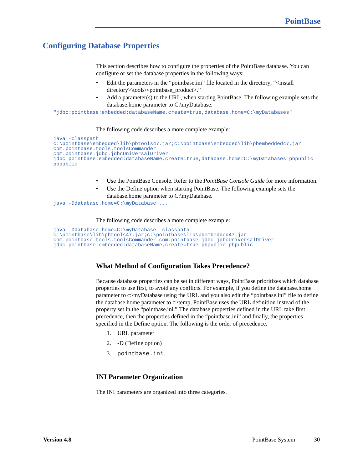# <span id="page-29-0"></span>**Configuring Database Properties**

This section describes how to configure the properties of the PointBase database. You can configure or set the database properties in the following ways:

- Edit the parameters in the "pointbase.ini" file located in the directory, "<install directory>\tools\<pointbase\_product>."
- Add a parameter(s) to the URL, when starting PointBase. The following example sets the database.home parameter to C:\myDatabase.

"jdbc:pointbase:embedded:databaseName,create=true,database.home=C:\myDatabases"

#### The following code describes a more complete example:

```
java -classpath 
c:\pointbase\embedded\lib\pbtools47.jar;c:\pointbase\embedded\lib\pbembedded47.jar 
com.pointbase.tools.toolsCommander 
com.pointbase.jdbc.jdbcUniversalDriver 
jdbc:pointbase:embedded:databaseName,create=true,database.home=C:\myDatabases pbpublic 
pbpublic
```
- Use the PointBase Console. Refer to the *PointBase Console Guide* for more information.
- Use the Define option when starting PointBase. The following example sets the database.home parameter to C:\myDatabase.

java -Ddatabase.home=C:\myDatabase ...

The following code describes a more complete example:

```
java -Ddatabase.home=C:\myDatabase -classpath 
c:\pointbase\lib\pbtools47.jar;c:\pointbase\lib\pbembedded47.jar 
com.pointbase.tools.toolsCommander com.pointbase.jdbc.jdbcUniversalDriver 
jdbc:pointbase:embedded:databaseName,create=true pbpublic pbpublic
```
### **What Method of Configuration Takes Precedence?**

Because database properties can be set in different ways, PointBase prioritizes which database properties to use first, to avoid any conflicts. For example, if you define the database.home parameter to c:\myDatabase using the URL and you also edit the "pointbase.ini" file to define the database.home parameter to c:\temp, PointBase uses the URL definition instead of the property set in the "pointbase.ini." The database properties defined in the URL take first precedence, then the properties defined in the "pointbase.ini" and finally, the properties specified in the Define option. The following is the order of precedence.

- 1. URL parameter
- 2. -D (Define option)
- 3. pointbase.ini.

#### **INI Parameter Organization**

The INI parameters are organized into three categories.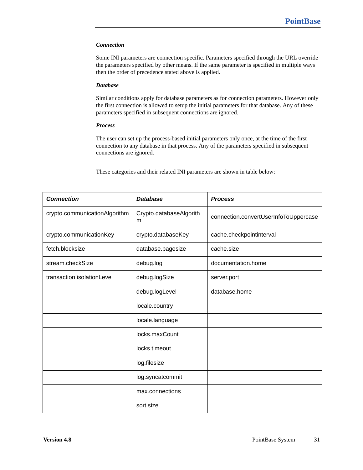#### *Connection*

Some INI parameters are connection specific. Parameters specified through the URL override the parameters specified by other means. If the same parameter is specified in multiple ways then the order of precedence stated above is applied.

#### *Database*

Similar conditions apply for database parameters as for connection parameters. However only the first connection is allowed to setup the initial parameters for that database. Any of these parameters specified in subsequent connections are ignored.

#### *Process*

The user can set up the process-based initial parameters only once, at the time of the first connection to any database in that process. Any of the parameters specified in subsequent connections are ignored.

These categories and their related INI parameters are shown in table below:

| <b>Connection</b>             | <b>Database</b>              | <b>Process</b>                        |
|-------------------------------|------------------------------|---------------------------------------|
| crypto.communicationAlgorithm | Crypto.databaseAlgorith<br>m | connection.convertUserInfoToUppercase |
| crypto.communicationKey       | crypto.databaseKey           | cache.checkpointinterval              |
| fetch.blocksize               | database.pagesize            | cache.size                            |
| stream.checkSize              | debug.log                    | documentation.home                    |
| transaction.isolationLevel    | debug.logSize                | server.port                           |
|                               | debug.logLevel               | database.home                         |
|                               | locale.country               |                                       |
|                               | locale.language              |                                       |
|                               | locks.maxCount               |                                       |
|                               | locks.timeout                |                                       |
|                               | log.filesize                 |                                       |
|                               | log.syncatcommit             |                                       |
|                               | max.connections              |                                       |
|                               | sort.size                    |                                       |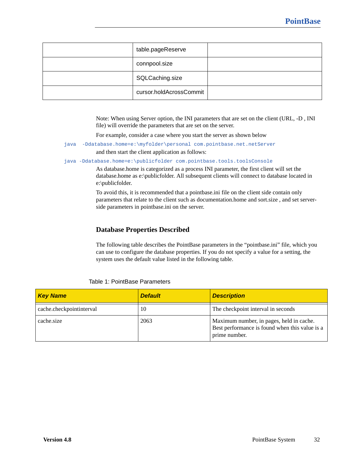| table.pageReserve       |  |
|-------------------------|--|
| connpool.size           |  |
| SQLCaching.size         |  |
| cursor.holdAcrossCommit |  |

Note: When using Server option, the INI parameters that are set on the client (URL, -D , INI file) will override the parameters that are set on the server.

For example, consider a case where you start the server as shown below

java -Ddatabase.home=e:\myfolder\personal com.pointbase.net.netServer

and then start the client application as follows:

java -Ddatabase.home=e:\publicfolder com.pointbase.tools.toolsConsole

As database.home is categorized as a process INI parameter, the first client will set the database.home as e:\publicfolder. All subsequent clients will connect to database located in e:\publicfolder.

To avoid this, it is recommended that a pointbase.ini file on the client side contain only parameters that relate to the client such as documentation.home and sort.size , and set serverside parameters in pointbase.ini on the server.

## <span id="page-31-0"></span>**Database Properties Described**

The following table describes the PointBase parameters in the "pointbase.ini" file*,* which you can use to configure the database properties. If you do not specify a value for a setting, the system uses the default value listed in the following table.

| <b>Key Name</b>          | <b>Default</b> | <b>Description</b>                                                                                          |
|--------------------------|----------------|-------------------------------------------------------------------------------------------------------------|
| cache.checkpointinterval | 10             | The checkpoint interval in seconds                                                                          |
| cache.size               | 2063           | Maximum number, in pages, held in cache.<br>Best performance is found when this value is a<br>prime number. |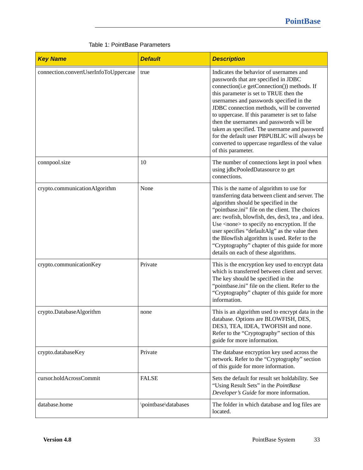| <b>Key Name</b>                       | <b>Default</b>       | <b>Description</b>                                                                                                                                                                                                                                                                                                                                                                                                                                                                                                                         |
|---------------------------------------|----------------------|--------------------------------------------------------------------------------------------------------------------------------------------------------------------------------------------------------------------------------------------------------------------------------------------------------------------------------------------------------------------------------------------------------------------------------------------------------------------------------------------------------------------------------------------|
| connection.convertUserInfoToUppercase | true                 | Indicates the behavior of usernames and<br>passwords that are specified in JDBC<br>connection(i.e getConnection()) methods. If<br>this parameter is set to TRUE then the<br>usernames and passwords specified in the<br>JDBC connection methods, will be converted<br>to uppercase. If this parameter is set to false<br>then the usernames and passwords will be<br>taken as specified. The username and password<br>for the default user PBPUBLIC will always be<br>converted to uppercase regardless of the value<br>of this parameter. |
| connpool.size                         | 10                   | The number of connections kept in pool when<br>using jdbcPooledDatasource to get<br>connections.                                                                                                                                                                                                                                                                                                                                                                                                                                           |
| crypto.communicationAlgorithm         | None                 | This is the name of algorithm to use for<br>transferring data between client and server. The<br>algorithm should be specified in the<br>"pointbase.ini" file on the client. The choices<br>are: twofish, blowfish, des, des3, tea, and idea.<br>Use <none> to specify no encryption. If the<br/>user specifies "defaultAlg" as the value then<br/>the Blowfish algorithm is used. Refer to the<br/>"Cryptography" chapter of this guide for more<br/>details on each of these algorithms.</none>                                           |
| crypto.communicationKey               | Private              | This is the encryption key used to encrypt data<br>which is transferred between client and server.<br>The key should be specified in the<br>"pointbase.ini" file on the client. Refer to the<br>"Cryptography" chapter of this guide for more<br>information.                                                                                                                                                                                                                                                                              |
| crypto.DatabaseAlgorithm              | none                 | This is an algorithm used to encrypt data in the<br>database. Options are BLOWFISH, DES,<br>DES3, TEA, IDEA, TWOFISH and none.<br>Refer to the "Cryptography" section of this<br>guide for more information.                                                                                                                                                                                                                                                                                                                               |
| crypto.databaseKey                    | Private              | The database encryption key used across the<br>network. Refer to the "Cryptography" section<br>of this guide for more information.                                                                                                                                                                                                                                                                                                                                                                                                         |
| cursor.holdAcrossCommit               | <b>FALSE</b>         | Sets the default for result set holdability. See<br>"Using Result Sets" in the PointBase<br>Developer's Guide for more information.                                                                                                                                                                                                                                                                                                                                                                                                        |
| database.home                         | \pointbase\databases | The folder in which database and log files are<br>located.                                                                                                                                                                                                                                                                                                                                                                                                                                                                                 |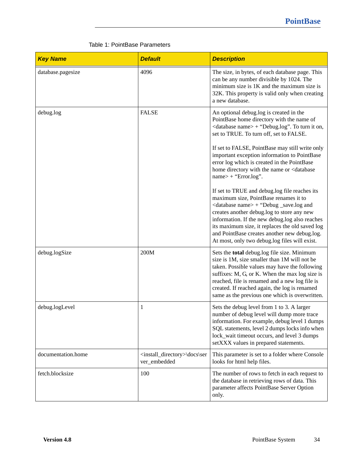| <b>Key Name</b>    | <b>Default</b>                                                    | <b>Description</b>                                                                                                                                                                                                                                                                                                                                                                                                                                      |
|--------------------|-------------------------------------------------------------------|---------------------------------------------------------------------------------------------------------------------------------------------------------------------------------------------------------------------------------------------------------------------------------------------------------------------------------------------------------------------------------------------------------------------------------------------------------|
| database.pagesize  | 4096                                                              | The size, in bytes, of each database page. This<br>can be any number divisible by 1024. The<br>minimum size is $1K$ and the maximum size is<br>32K. This property is valid only when creating<br>a new database.                                                                                                                                                                                                                                        |
| debug.log          | <b>FALSE</b>                                                      | An optional debug.log is created in the<br>PointBase home directory with the name of<br><database name=""> + "Debug.log". To turn it on,<br/>set to TRUE. To turn off, set to FALSE.<br/>If set to FALSE, PointBase may still write only<br/>important exception information to PointBase<br/>error log which is created in the PointBase<br/>home directory with the name or <database<br><math>name&gt;+</math> "Error.log".</database<br></database> |
|                    |                                                                   | If set to TRUE and debug.log file reaches its<br>maximum size, PointBase renames it to<br><database name=""> + "Debug _save.log and<br/>creates another debug.log to store any new<br/>information. If the new debug.log also reaches<br/>its maximum size, it replaces the old saved log<br/>and PointBase creates another new debug.log.<br/>At most, only two debug.log files will exist.</database>                                                 |
| debug.logSize      | 200M                                                              | Sets the total debug.log file size. Minimum<br>size is 1M, size smaller than 1M will not be<br>taken. Possible values may have the following<br>suffixes: M, G, or K. When the max log size is<br>reached, file is renamed and a new log file is<br>created. If reached again, the log is renamed<br>same as the previous one which is overwritten.                                                                                                     |
| debug.logLevel     | $\mathbf{1}$                                                      | Sets the debug level from 1 to 3. A larger<br>number of debug level will dump more trace<br>information. For example, debug level 1 dumps<br>SQL statements, level 2 dumps locks info when<br>lock_wait timeout occurs, and level 3 dumps<br>setXXX values in prepared statements.                                                                                                                                                                      |
| documentation.home | <install_directory>\docs\ser<br/>ver_embedded</install_directory> | This parameter is set to a folder where Console<br>looks for html help files.                                                                                                                                                                                                                                                                                                                                                                           |
| fetch.blocksize    | 100                                                               | The number of rows to fetch in each request to<br>the database in retrieving rows of data. This<br>parameter affects PointBase Server Option<br>only.                                                                                                                                                                                                                                                                                                   |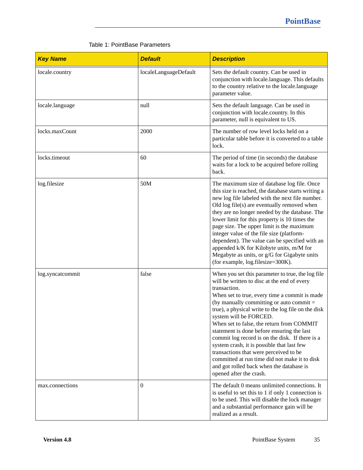| <b>Key Name</b>  | <b>Default</b>        | <b>Description</b>                                                                                                                                                                                                                                                                                                                                                                                                                                                                                                                                                                                                                                             |
|------------------|-----------------------|----------------------------------------------------------------------------------------------------------------------------------------------------------------------------------------------------------------------------------------------------------------------------------------------------------------------------------------------------------------------------------------------------------------------------------------------------------------------------------------------------------------------------------------------------------------------------------------------------------------------------------------------------------------|
| locale.country   | localeLanguageDefault | Sets the default country. Can be used in<br>conjunction with locale.language. This defaults<br>to the country relative to the locale.language<br>parameter value.                                                                                                                                                                                                                                                                                                                                                                                                                                                                                              |
| locale.language  | null                  | Sets the default language. Can be used in<br>conjunction with locale.country. In this<br>parameter, null is equivalent to US.                                                                                                                                                                                                                                                                                                                                                                                                                                                                                                                                  |
| locks.maxCount   | 2000                  | The number of row level locks held on a<br>particular table before it is converted to a table<br>lock.                                                                                                                                                                                                                                                                                                                                                                                                                                                                                                                                                         |
| locks.timeout    | 60                    | The period of time (in seconds) the database<br>waits for a lock to be acquired before rolling<br>back.                                                                                                                                                                                                                                                                                                                                                                                                                                                                                                                                                        |
| log.filesize     | 50M                   | The maximum size of database log file. Once<br>this size is reached, the database starts writing a<br>new log file labeled with the next file number.<br>Old log file(s) are eventually removed when<br>they are no longer needed by the database. The<br>lower limit for this property is 10 times the<br>page size. The upper limit is the maximum<br>integer value of the file size (platform-<br>dependent). The value can be specified with an<br>appended k/K for Kilobyte units, m/M for<br>Megabyte as units, or g/G for Gigabyte units<br>(for example, log.filesize=300K).                                                                           |
| log.syncatcommit | false                 | When you set this parameter to true, the log file<br>will be written to disc at the end of every<br>transaction.<br>When set to true, every time a commit is made<br>(by manually committing or auto commit $=$<br>true), a physical write to the log file on the disk<br>system will be FORCED.<br>When set to false, the return from COMMIT<br>statement is done before ensuring the last<br>commit log record is on the disk. If there is a<br>system crash, it is possible that last few<br>transactions that were perceived to be<br>committed at run time did not make it to disk<br>and got rolled back when the database is<br>opened after the crash. |
| max.connections  | $\Omega$              | The default 0 means unlimited connections. It<br>is useful to set this to 1 if only 1 connection is<br>to be used. This will disable the lock manager<br>and a substantial performance gain will be<br>realized as a result.                                                                                                                                                                                                                                                                                                                                                                                                                                   |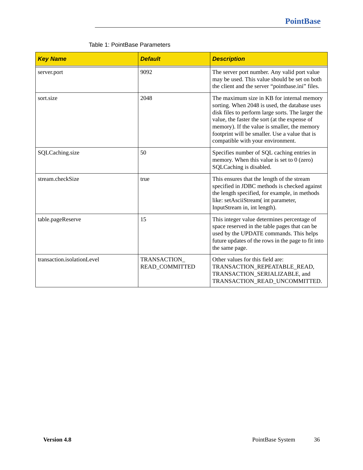| <b>Key Name</b>            | <b>Default</b>                       | <b>Description</b>                                                                                                                                                                                                                                                                                                                       |
|----------------------------|--------------------------------------|------------------------------------------------------------------------------------------------------------------------------------------------------------------------------------------------------------------------------------------------------------------------------------------------------------------------------------------|
| server.port                | 9092                                 | The server port number. Any valid port value<br>may be used. This value should be set on both<br>the client and the server "pointbase.ini" files.                                                                                                                                                                                        |
| sort.size                  | 2048                                 | The maximum size in KB for internal memory<br>sorting. When 2048 is used, the database uses<br>disk files to perform large sorts. The larger the<br>value, the faster the sort (at the expense of<br>memory). If the value is smaller, the memory<br>footprint will be smaller. Use a value that is<br>compatible with your environment. |
| SQLCaching.size            | 50                                   | Specifies number of SQL caching entries in<br>memory. When this value is set to $0$ (zero)<br>SQLCaching is disabled.                                                                                                                                                                                                                    |
| stream.checkSize           | true                                 | This ensures that the length of the stream<br>specified in JDBC methods is checked against<br>the length specified, for example, in methods<br>like: setAsciiStream(int parameter,<br>InputStream in, int length).                                                                                                                       |
| table.pageReserve          | 15                                   | This integer value determines percentage of<br>space reserved in the table pages that can be<br>used by the UPDATE commands. This helps<br>future updates of the rows in the page to fit into<br>the same page.                                                                                                                          |
| transaction.isolationLevel | TRANSACTION<br><b>READ_COMMITTED</b> | Other values for this field are:<br>TRANSACTION_REPEATABLE_READ,<br>TRANSACTION_SERIALIZABLE, and<br>TRANSACTION_READ_UNCOMMITTED.                                                                                                                                                                                                       |

## Table 1: PointBase Parameters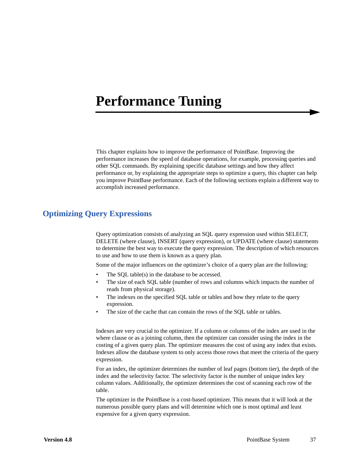# **Performance Tuning**

This chapter explains how to improve the performance of PointBase. Improving the performance increases the speed of database operations, for example, processing queries and other SQL commands. By explaining specific database settings and how they affect performance or, by explaining the appropriate steps to optimize a query, this chapter can help you improve PointBase performance. Each of the following sections explain a different way to accomplish increased performance.

# **Optimizing Query Expressions**

Query optimization consists of analyzing an SQL query expression used within SELECT, DELETE (where clause), INSERT (query expression), or UPDATE (where clause) statements to determine the best way to execute the query expression. The description of which resources to use and how to use them is known as a query plan.

Some of the major influences on the optimizer's choice of a query plan are the following:

- The SQL table(s) in the database to be accessed.
- The size of each SQL table (number of rows and columns which impacts the number of reads from physical storage).
- The indexes on the specified SQL table or tables and how they relate to the query expression.
- The size of the cache that can contain the rows of the SQL table or tables.

Indexes are very crucial to the optimizer. If a column or columns of the index are used in the where clause or as a joining column, then the optimizer can consider using the index in the costing of a given query plan. The optimizer measures the cost of using any index that exists. Indexes allow the database system to only access those rows that meet the criteria of the query expression.

For an index, the optimizer determines the number of leaf pages (bottom tier), the depth of the index and the selectivity factor. The selectivity factor is the number of unique index key column values. Additionally, the optimizer determines the cost of scanning each row of the table.

The optimizer in the PointBase is a cost-based optimizer. This means that it will look at the numerous possible query plans and will determine which one is most optimal and least expensive for a given query expression.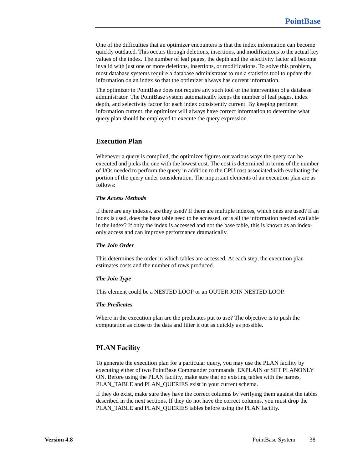One of the difficulties that an optimizer encounters is that the index information can become quickly outdated. This occurs through deletions, insertions, and modifications to the actual key values of the index. The number of leaf pages, the depth and the selectivity factor all become invalid with just one or more deletions, insertions, or modifications. To solve this problem, most database systems require a database administrator to run a statistics tool to update the information on an index so that the optimizer always has current information.

The optimizer in PointBase does not require any such tool or the intervention of a database administrator. The PointBase system automatically keeps the number of leaf pages, index depth, and selectivity factor for each index consistently current. By keeping pertinent information current, the optimizer will always have correct information to determine what query plan should be employed to execute the query expression.

## **Execution Plan**

Whenever a query is compiled, the optimizer figures out various ways the query can be executed and picks the one with the lowest cost. The cost is determined in terms of the number of I/Os needed to perform the query in addition to the CPU cost associated with evaluating the portion of the query under consideration. The important elements of an execution plan are as follows:

## *The Access Methods*

If there are any indexes, are they used? If there are multiple indexes, which ones are used? If an index is used, does the base table need to be accessed, or is all the information needed available in the index? If only the index is accessed and not the base table, this is known as an indexonly access and can improve performance dramatically.

#### *The Join Order*

This determines the order in which tables are accessed. At each step, the execution plan estimates costs and the number of rows produced.

#### *The Join Type*

This element could be a NESTED LOOP or an OUTER JOIN NESTED LOOP.

### *The Predicates*

Where in the execution plan are the predicates put to use? The objective is to push the computation as close to the data and filter it out as quickly as possible.

## <span id="page-37-0"></span>**PLAN Facility**

To generate the execution plan for a particular query, you may use the PLAN facility by executing either of two PointBase Commander commands: EXPLAIN or SET PLANONLY ON. Before using the PLAN facility, make sure that no existing tables with the names, PLAN\_TABLE and PLAN\_QUERIES exist in your current schema.

If they do exist, make sure they have the correct columns by verifying them against the tables described in the next sections. If they do not have the correct columns, you must drop the PLAN\_TABLE and PLAN\_QUERIES tables before using the PLAN facility.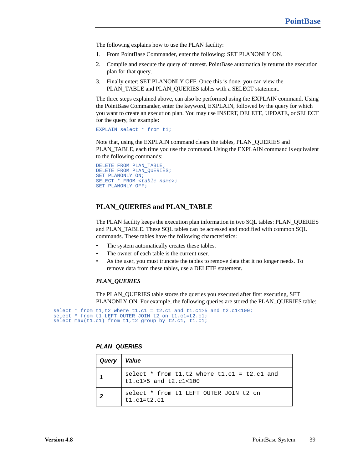The following explains how to use the PLAN facility:

- 1. From PointBase Commander, enter the following: SET PLANONLY ON.
- 2. Compile and execute the query of interest. PointBase automatically returns the execution plan for that query.
- 3. Finally enter: SET PLANONLY OFF. Once this is done, you can view the PLAN\_TABLE and PLAN\_QUERIES tables with a SELECT statement.

The three steps explained above, can also be performed using the EXPLAIN command. Using the PointBase Commander, enter the keyword, EXPLAIN, followed by the query for which you want to create an execution plan. You may use INSERT, DELETE, UPDATE, or SELECT for the query, for example:

EXPLAIN select \* from t1;

Note that, using the EXPLAIN command clears the tables, PLAN\_QUERIES and PLAN\_TABLE, each time you use the command. Using the EXPLAIN command is equivalent to the following commands:

```
DELETE FROM PLAN_TABLE;
DELETE FROM PLAN_QUERIES;
SET PLANONLY ON;
SELECT * FROM <table name>;
SET PLANONLY OFF;
```
## **PLAN\_QUERIES and PLAN\_TABLE**

The PLAN facility keeps the execution plan information in two SQL tables: PLAN\_QUERIES and PLAN\_TABLE. These SQL tables can be accessed and modified with common SQL commands. These tables have the following characteristics:

- The system automatically creates these tables.
- The owner of each table is the current user.
- As the user, you must truncate the tables to remove data that it no longer needs. To remove data from these tables, use a DELETE statement.

#### *PLAN\_QUERIES*

The PLAN\_QUERIES table stores the queries you executed after first executing, SET PLANONLY ON. For example, the following queries are stored the PLAN\_QUERIES table:

```
select * from t1, t2 where t1. c1 = t2. c1 and t1. c1 > 5 and t2. c1 < 100;
select * from t1 LEFT OUTER JOIN t2 on t1.c1=t2.c1;
select max(t1.c1) from t1,t2 group by t2.c1, t1.c1;
```

| Query | Value                                                                       |
|-------|-----------------------------------------------------------------------------|
|       | select * from $t1, t2$ where $t1. c1 = t2. c1$ and<br>t1.c1>5 and t2.c1<100 |
|       | select * from t1 LEFT OUTER JOIN t2 on<br>$t1. c1 = t2. c1$                 |

## **PLAN\_QUERIES**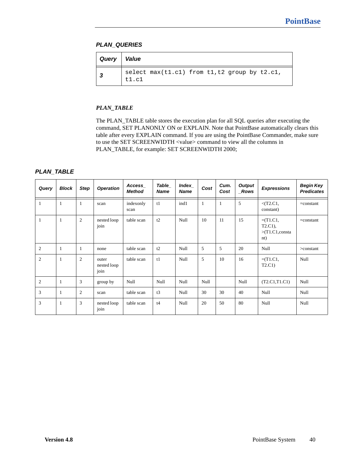# **PLAN\_QUERIES**

| Query   Value |                                                       |
|---------------|-------------------------------------------------------|
|               | select max(t1.c1) from t1,t2 group by t2.c1,<br>t1.c1 |

# *PLAN\_TABLE*

The PLAN\_TABLE table stores the execution plan for all SQL queries after executing the command, SET PLANONLY ON or EXPLAIN. Note that PointBase automatically clears this table after every EXPLAIN command. If you are using the PointBase Commander, make sure to use the SET SCREENWIDTH <value> command to view all the columns in PLAN\_TABLE, for example: SET SCREENWIDTH 2000;

# **PLAN\_TABLE**

| Query | <b>Block</b> | <b>Step</b>    | <b>Operation</b>             | Access_<br><b>Method</b> | Table_<br><b>Name</b> | Index<br><b>Name</b> | Cost | Cum.<br>Cost | <b>Output</b><br>_Rows | <b>Expressions</b>                                  | Begin Key<br><b>Predicates</b> |
|-------|--------------|----------------|------------------------------|--------------------------|-----------------------|----------------------|------|--------------|------------------------|-----------------------------------------------------|--------------------------------|
| 1     | 1            | 1              | scan                         | indexonly<br>scan        | t1                    | ind1                 | 1    | 1            | 5                      | $<$ (T2.C1,<br>constant)                            | $= constant$                   |
| 1     | $\mathbf{1}$ | $\overline{2}$ | nested loop<br>join          | table scan               | t2                    | Null                 | 10   | 11           | 15                     | $=(T1.C1,$<br>$T2.C1$ ),<br>>(T1.C1, consta)<br>nt) | $= constant$                   |
| 2     | 1            |                | none                         | table scan               | t2                    | Null                 | 5    | 5            | 20                     | Null                                                | $>$ constant                   |
| 2     | $\mathbf{1}$ | $\overline{2}$ | outer<br>nested loop<br>join | table scan               | t1                    | Null                 | 5    | 10           | 16                     | $=(T1.C1,$<br>T2.C1                                 | Null                           |
| 2     | 1            | 3              | group by                     | Null                     | Null                  | Null                 | Null |              | Null                   | (T2.C1,T1.C1)                                       | <b>Null</b>                    |
| 3     | 1            | 2              | scan                         | table scan               | t3                    | Null                 | 30   | 30           | 40                     | Null                                                | Null                           |
| 3     | 1            | 3              | nested loop<br>join          | table scan               | t4                    | Null                 | 20   | 50           | 80                     | Null                                                | Null                           |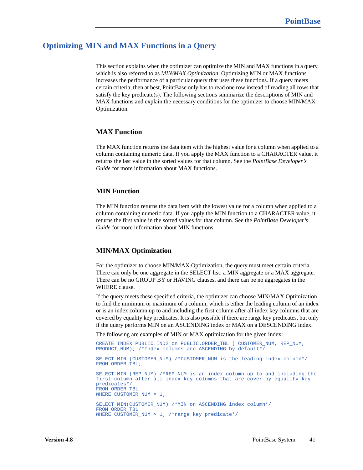# **Optimizing MIN and MAX Functions in a Query**

This section explains when the optimizer can optimize the MIN and MAX functions in a query, which is also referred to as *MIN/MAX Optimization*. Optimizing MIN or MAX functions increases the performance of a particular query that uses these functions. If a query meets certain criteria, then at best, PointBase only has to read one row instead of reading all rows that satisfy the key predicate(s). The following sections summarize the descriptions of MIN and MAX functions and explain the necessary conditions for the optimizer to choose MIN/MAX Optimization.

# **MAX Function**

The MAX function returns the data item with the highest value for a column when applied to a column containing numeric data. If you apply the MAX function to a CHARACTER value, it returns the last value in the sorted values for that column. See the *PointBase Developer's Guide* for more information about MAX functions.

## **MIN Function**

The MIN function returns the data item with the lowest value for a column when applied to a column containing numeric data. If you apply the MIN function to a CHARACTER value, it returns the first value in the sorted values for that column. See the *PointBase Developer's Guide* for more information about MIN functions.

### **MIN/MAX Optimization**

For the optimizer to choose MIN/MAX Optimization, the query must meet certain criteria. There can only be one aggregate in the SELECT list: a MIN aggregate or a MAX aggregate. There can be no GROUP BY or HAVING clauses, and there can be no aggregates in the WHERE clause.

If the query meets these specified criteria, the optimizer can choose MIN/MAX Optimization to find the minimum or maximum of a column, which is either the leading column of an index or is an index column up to and including the first column after all index key columns that are covered by equality key predicates. It is also possible if there are range key predicates, but only if the query performs MIN on an ASCENDING index or MAX on a DESCENDING index.

The following are examples of MIN or MAX optimization for the given index:

```
CREATE INDEX PUBLIC.IND2 on PUBLIC.ORDER_TBL ( CUSTOMER_NUM, REP_NUM, 
PRODUCT_NUM); /*Index columns are ASCENDING by default*/
SELECT MIN (CUSTOMER_NUM) /*CUSTOMER_NUM is the leading index column*/
FROM ORDER TBL;
SELECT MIN (REP_NUM) /*REP_NUM is an index column up to and including the 
first column after all index key columns that are cover by equality key 
predicates*/
FROM ORDER_TBL
WHERE CUSTOMER_NUM = 1;
SELECT MIN(CUSTOMER_NUM) /*MIN on ASCENDING index column*/
FROM ORDER_TBL 
WHERE CUSTOMER NUM > 1; /*range key predicate*/
```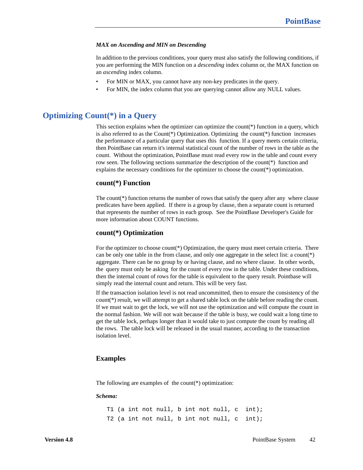#### *MAX on Ascending and MIN on Descending*

In addition to the previous conditions, your query must also satisfy the following conditions, if you are performing the MIN function on a *descending* index column or, the MAX function on an *ascending* index column.

- For MIN or MAX, you cannot have any non-key predicates in the query.
- For MIN, the index column that you are querying cannot allow any NULL values.

# **Optimizing Count(\*) in a Query**

This section explains when the optimizer can optimize the count(\*) function in a query, which is also referred to as the Count(\*) Optimization. Optimizing the count(\*) function increases the performance of a particular query that uses this function. If a query meets certain criteria, then PointBase can return it's internal statistical count of the number of rows in the table as the count. Without the optimization, PointBase must read every row in the table and count every row seen. The following sections summarize the description of the count(\*) function and explains the necessary conditions for the optimizer to choose the count(\*) optimization.

### **count(\*) Function**

The count  $(*)$  function returns the number of rows that satisfy the query after any where clause predicates have been applied. If there is a group by clause, then a separate count is returned that represents the number of rows in each group. See the PointBase Developer's Guide for more information about COUNT functions.

## **count(\*) Optimization**

For the optimizer to choose count(\*) Optimization, the query must meet certain criteria. There can be only one table in the from clause, and only one aggregate in the select list: a count(\*) aggregate. There can be no group by or having clause, and no where clause. In other words, the query must only be asking for the count of every row in the table. Under these conditions, then the internal count of rows for the table is equivalent to the query result. Pointbase will simply read the internal count and return. This will be very fast.

If the transaction isolation level is not read uncommitted, then to ensure the consistency of the count(\*) result, we will attempt to get a shared table lock on the table before reading the count. If we must wait to get the lock, we will not use the optimization and will compute the count in the normal fashion. We will not wait because if the table is busy, we could wait a long time to get the table lock, perhaps longer than it would take to just compute the count by reading all the rows. The table lock will be released in the usual manner, according to the transaction isolation level.

#### **Examples**

The following are examples of the count(\*) optimization:

#### *Schema:*

T1 (a int not null, b int not null, c int); T2 (a int not null, b int not null, c int);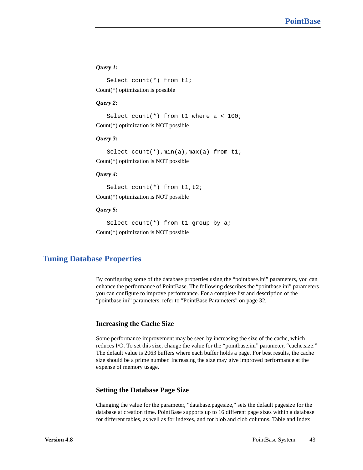## *Query 1:*

Select count(\*) from t1; Count(\*) optimization is possible

#### *Query 2:*

Select count(\*) from  $t1$  where a <  $100$ ; Count(\*) optimization is NOT possible

#### *Query 3:*

Select count(\*),  $min(a)$ ,  $max(a)$  from tl; Count(\*) optimization is NOT possible

### *Query 4:*

Select count(\*) from t1, t2; Count(\*) optimization is NOT possible

### *Query 5:*

Select count(\*) from t1 group by a; Count(\*) optimization is NOT possible

# **Tuning Database Properties**

By configuring some of the database properties using the "pointbase.ini" parameters, you can enhance the performance of PointBase. The following describes the "pointbase.ini" parameters you can configure to improve performance. For a complete list and description of the "pointbase.ini" parameters, refer to ["PointBase Parameters" on page 32](#page-31-0).

## **Increasing the Cache Size**

Some performance improvement may be seen by increasing the size of the cache, which reduces I/O. To set this size, change the value for the "pointbase.ini" parameter, "cache.size." The default value is 2063 buffers where each buffer holds a page. For best results, the cache size should be a prime number. Increasing the size may give improved performance at the expense of memory usage.

## **Setting the Database Page Size**

Changing the value for the parameter, "database.pagesize," sets the default pagesize for the database at creation time. PointBase supports up to 16 different page sizes within a database for different tables, as well as for indexes, and for blob and clob columns. Table and Index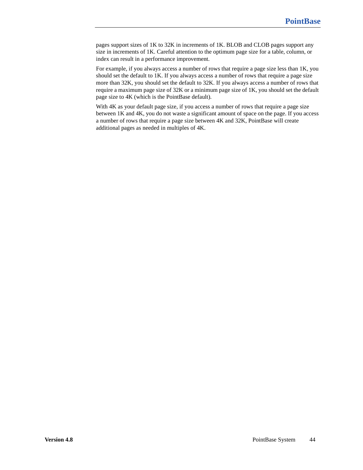pages support sizes of 1K to 32K in increments of 1K. BLOB and CLOB pages support any size in increments of 1K. Careful attention to the optimum page size for a table, column, or index can result in a performance improvement.

For example, if you always access a number of rows that require a page size less than 1K, you should set the default to 1K. If you always access a number of rows that require a page size more than 32K, you should set the default to 32K. If you always access a number of rows that require a maximum page size of 32K or a minimum page size of 1K, you should set the default page size to 4K (which is the PointBase default).

With 4K as your default page size, if you access a number of rows that require a page size between 1K and 4K, you do not waste a significant amount of space on the page. If you access a number of rows that require a page size between 4K and 32K, PointBase will create additional pages as needed in multiples of 4K.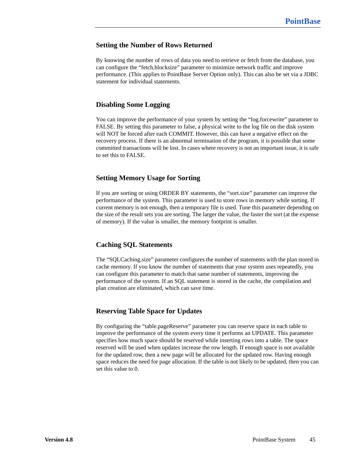# **Setting the Number of Rows Returned**

By knowing the number of rows of data you need to retrieve or fetch from the database, you can configure the "fetch.blocksize" parameter to minimize network traffic and improve performance. (This applies to PointBase Server Option only). This can also be set via a JDBC statement for individual statements.

# **Disabling Some Logging**

You can improve the performance of your system by setting the "log.forcewrite" parameter to FALSE. By setting this parameter to false, a physical write to the log file on the disk system will NOT be forced after each COMMIT. However, this can have a negative effect on the recovery process. If there is an abnormal termination of the program, it is possible that some committed transactions will be lost. In cases where recovery is not an important issue, it is safe to set this to FALSE.

# **Setting Memory Usage for Sorting**

If you are sorting or using ORDER BY statements, the "sort.size" parameter can improve the performance of the system. This parameter is used to store rows in memory while sorting. If current memory is not enough, then a temporary file is used. Tune this parameter depending on the size of the result sets you are sorting. The larger the value, the faster the sort (at the expense of memory). If the value is smaller, the memory footprint is smaller.

# **Caching SQL Statements**

The "SQLCaching.size" parameter configures the number of statements with the plan stored in cache memory. If you know the number of statements that your system uses repeatedly, you can configure this parameter to match that same number of statements, improving the performance of the system. If an SQL statement is stored in the cache, the compilation and plan creation are eliminated, which can save time.

# **Reserving Table Space for Updates**

By configuring the "table.pageReserve" parameter you can reserve space in each table to improve the performance of the system every time it performs an UPDATE. This parameter specifies how much space should be reserved while inserting rows into a table. The space reserved will be used when updates increase the row length. If enough space is not available for the updated row, then a new page will be allocated for the updated row. Having enough space reduces the need for page allocation. If the table is not likely to be updated, then you can set this value to 0.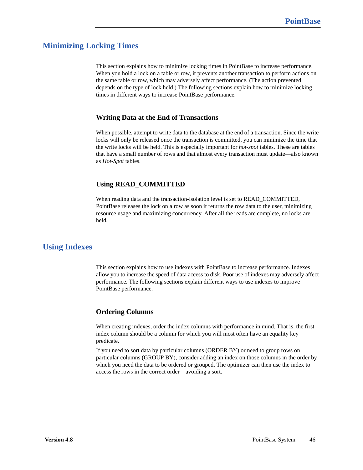# **Minimizing Locking Times**

This section explains how to minimize locking times in PointBase to increase performance. When you hold a lock on a table or row, it prevents another transaction to perform actions on the same table or row, which may adversely affect performance. (The action prevented depends on the type of lock held.) The following sections explain how to minimize locking times in different ways to increase PointBase performance.

# **Writing Data at the End of Transactions**

When possible, attempt to write data to the database at the end of a transaction. Since the write locks will only be released once the transaction is committed, you can minimize the time that the write locks will be held. This is especially important for *hot-spot* tables. These are tables that have a small number of rows and that almost every transaction must update—also known as *Hot-Spot* tables.

# **Using READ\_COMMITTED**

When reading data and the transaction-isolation level is set to READ\_COMMITTED, PointBase releases the lock on a row as soon it returns the row data to the user, minimizing resource usage and maximizing concurrency. After all the reads are complete, no locks are held.

# **Using Indexes**

This section explains how to use indexes with PointBase to increase performance. Indexes allow you to increase the speed of data access to disk. Poor use of indexes may adversely affect performance. The following sections explain different ways to use indexes to improve PointBase performance.

# **Ordering Columns**

When creating indexes, order the index columns with performance in mind. That is, the first index column should be a column for which you will most often have an equality key predicate.

If you need to sort data by particular columns (ORDER BY) or need to group rows on particular columns (GROUP BY), consider adding an index on those columns in the order by which you need the data to be ordered or grouped. The optimizer can then use the index to access the rows in the correct order—avoiding a sort.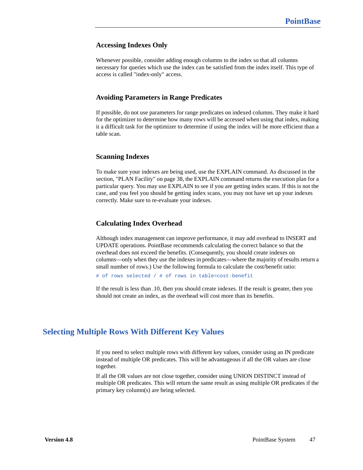## **Accessing Indexes Only**

Whenever possible, consider adding enough columns to the index so that all columns necessary for queries which use the index can be satisfied from the index itself. This type of access is called "index-only" access.

## **Avoiding Parameters in Range Predicates**

If possible, do not use parameters for range predicates on indexed columns. They make it hard for the optimizer to determine how many rows will be accessed when using that index, making it a difficult task for the optimizer to determine if using the index will be more efficient than a table scan.

## **Scanning Indexes**

To make sure your indexes are being used, use the EXPLAIN command. As discussed in the section, ["PLAN Facility" on page 38](#page-37-0), the EXPLAIN command returns the execution plan for a particular query. You may use EXPLAIN to see if you are getting index scans. If this is not the case, and you feel you should be getting index scans, you may not have set up your indexes correctly. Make sure to re-evaluate your indexes.

## **Calculating Index Overhead**

Although index management can improve performance, it may add overhead to INSERT and UPDATE operations. PointBase recommends calculating the correct balance so that the overhead does not exceed the benefits. (Consequently, you should create indexes on columns—only when they use the indexes in predicates—where the majority of results return a small number of rows.) Use the following formula to calculate the cost/benefit ratio:

# of rows selected / # of rows in table=cost-benefit

If the result is less than .10, then you should create indexes. If the result is greater, then you should not create an index, as the overhead will cost more than its benefits.

# **Selecting Multiple Rows With Different Key Values**

If you need to select multiple rows with different key values, consider using an IN predicate instead of multiple OR predicates. This will be advantageous if all the OR values are close together.

If all the OR values are not close together, consider using UNION DISTINCT instead of multiple OR predicates. This will return the same result as using multiple OR predicates if the primary key column(s) are being selected.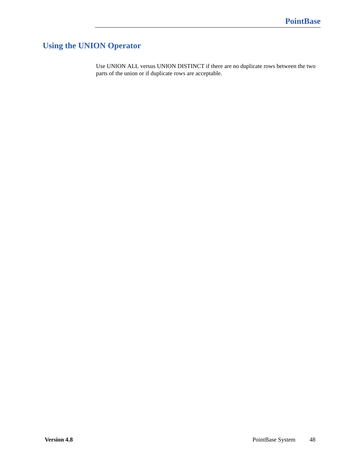# **Using the UNION Operator**

Use UNION ALL versus UNION DISTINCT if there are no duplicate rows between the two parts of the union or if duplicate rows are acceptable.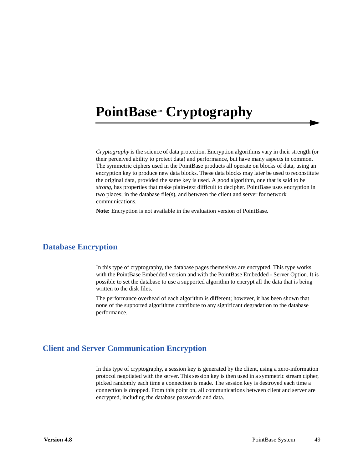# **PointBase™ Cryptography**

*Cryptography* is the science of data protection. Encryption algorithms vary in their strength (or their perceived ability to protect data) and performance, but have many aspects in common. The symmetric ciphers used in the PointBase products all operate on blocks of data, using an encryption key to produce new data blocks. These data blocks may later be used to reconstitute the original data, provided the same key is used. A good algorithm, one that is said to be *strong*, has properties that make plain-text difficult to decipher. PointBase uses encryption in two places; in the database file(s), and between the client and server for network communications.

**Note:** Encryption is not available in the evaluation version of PointBase.

# **Database Encryption**

In this type of cryptography, the database pages themselves are encrypted. This type works with the PointBase Embedded version and with the PointBase Embedded - Server Option. It is possible to set the database to use a supported algorithm to encrypt all the data that is being written to the disk files.

The performance overhead of each algorithm is different; however, it has been shown that none of the supported algorithms contribute to any significant degradation to the database performance.

# **Client and Server Communication Encryption**

In this type of cryptography, a session key is generated by the client, using a zero-information protocol negotiated with the server. This session key is then used in a symmetric stream cipher, picked randomly each time a connection is made. The session key is destroyed each time a connection is dropped. From this point on, all communications between client and server are encrypted, including the database passwords and data.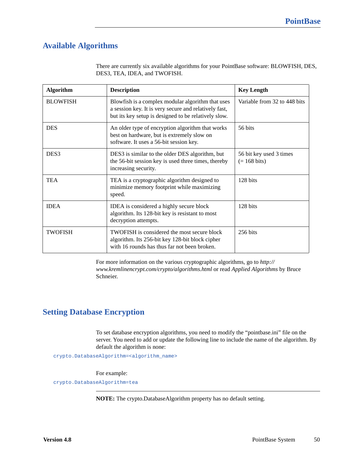# **Available Algorithms**

| <b>Algorithm</b> | <b>Description</b>                                                                                                                                                 | <b>Key Length</b>                                 |
|------------------|--------------------------------------------------------------------------------------------------------------------------------------------------------------------|---------------------------------------------------|
| <b>BLOWFISH</b>  | Blowfish is a complex modular algorithm that uses<br>a session key. It is very secure and relatively fast,<br>but its key setup is designed to be relatively slow. | Variable from 32 to 448 bits                      |
| <b>DES</b>       | An older type of encryption algorithm that works<br>best on hardware, but is extremely slow on<br>software. It uses a 56-bit session key.                          | 56 bits                                           |
| DES <sub>3</sub> | DES3 is similar to the older DES algorithm, but<br>the 56-bit session key is used three times, thereby<br>increasing security.                                     | 56 bit key used 3 times<br>$(= 168 \text{ bits})$ |
| <b>TEA</b>       | TEA is a cryptographic algorithm designed to<br>minimize memory footprint while maximizing<br>speed.                                                               | 128 bits                                          |
| <b>IDEA</b>      | IDEA is considered a highly secure block<br>algorithm. Its 128-bit key is resistant to most<br>decryption attempts.                                                | 128 bits                                          |
| <b>TWOFISH</b>   | TWOFISH is considered the most secure block<br>algorithm. Its 256-bit key 128-bit block cipher<br>with 16 rounds has thus far not been broken.                     | $256 \text{ bits}$                                |

There are currently six available algorithms for your PointBase software: BLOWFISH, DES, DES3, TEA, IDEA, and TWOFISH.

For more information on the various cryptographic algorithms, go to *http:// www.kremlinencrypt.com/crypto/algorithms.html* or read *Applied Algorithms* by Bruce Schneier.

# **Setting Database Encryption**

To set database encryption algorithms, you need to modify the "pointbase.ini" file on the server. You need to add or update the following line to include the name of the algorithm. By default the algorithm is none:

crypto.DatabaseAlgorithm=<algorithm\_name>

For example:

crypto.DatabaseAlgorithm=tea

**NOTE:** The crypto.DatabaseAlgorithm property has no default setting.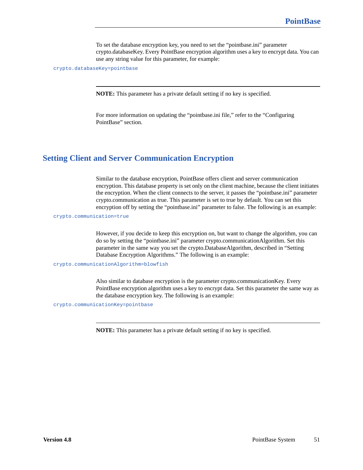To set the database encryption key, you need to set the "pointbase.ini" parameter crypto.databaseKey. Every PointBase encryption algorithm uses a key to encrypt data. You can use any string value for this parameter, for example:

crypto.databaseKey=pointbase

**NOTE:** This parameter has a private default setting if no key is specified.

For more information on updating the "pointbase.ini file," refer to the "Configuring PointBase" section.

# **Setting Client and Server Communication Encryption**

Similar to the database encryption, PointBase offers client and server communication encryption. This database property is set only on the client machine, because the client initiates the encryption. When the client connects to the server, it passes the "pointbase.ini" parameter crypto.communication as true. This parameter is set to true by default. You can set this encryption off by setting the "pointbase.ini" parameter to false. The following is an example:

crypto.communication=true

However, if you decide to keep this encryption on, but want to change the algorithm, you can do so by setting the "pointbase.ini" parameter crypto.communicationAlgorithm. Set this parameter in the same way you set the crypto.DatabaseAlgorithm, described in "Setting Database Encryption Algorithms." The following is an example:

crypto.communicationAlgorithm=blowfish

Also similar to database encryption is the parameter crypto.communicationKey. Every PointBase encryption algorithm uses a key to encrypt data. Set this parameter the same way as the database encryption key. The following is an example:

crypto.communicationKey=pointbase

**NOTE:** This parameter has a private default setting if no key is specified.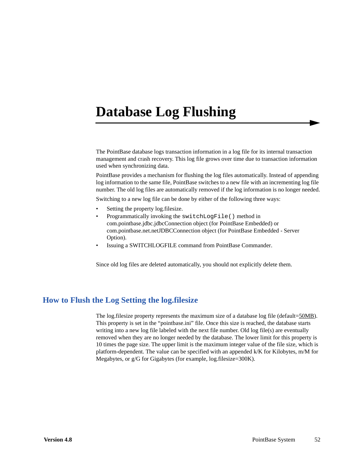# **Database Log Flushing**

The PointBase database logs transaction information in a log file for its internal transaction management and crash recovery. This log file grows over time due to transaction information used when synchronizing data.

PointBase provides a mechanism for flushing the log files automatically. Instead of appending log information to the same file, PointBase switches to a new file with an incrementing log file number. The old log files are automatically removed if the log information is no longer needed.

Switching to a new log file can be done by either of the following three ways:

- Setting the property log.filesize.
- Programmatically invoking the switchLogFile() method in com.pointbase.jdbc.jdbcConnection object (for PointBase Embedded) or com.pointbase.net.netJDBCConnection object (for PointBase Embedded - Server Option).
- Issuing a SWITCHLOGFILE command from PointBase Commander.

Since old log files are deleted automatically, you should not explicitly delete them.

# **How to Flush the Log Setting the log.filesize**

The log.filesize property represents the maximum size of a database log file (default=50MB). This property is set in the "pointbase.ini" file. Once this size is reached, the database starts writing into a new log file labeled with the next file number. Old log file(s) are eventually removed when they are no longer needed by the database. The lower limit for this property is 10 times the page size. The upper limit is the maximum integer value of the file size, which is platform-dependent. The value can be specified with an appended k/K for Kilobytes, m/M for Megabytes, or g/G for Gigabytes (for example, log.filesize=300K).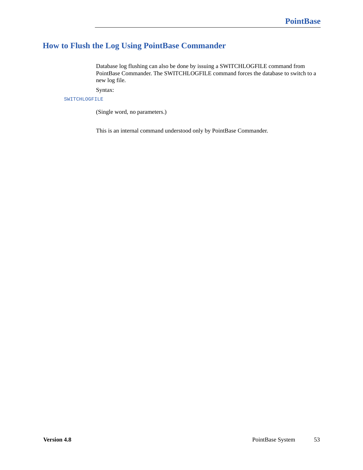# **How to Flush the Log Using PointBase Commander**

Database log flushing can also be done by issuing a SWITCHLOGFILE command from PointBase Commander. The SWITCHLOGFILE command forces the database to switch to a new log file.

Syntax:

SWITCHLOGFILE

(Single word, no parameters.)

This is an internal command understood only by PointBase Commander.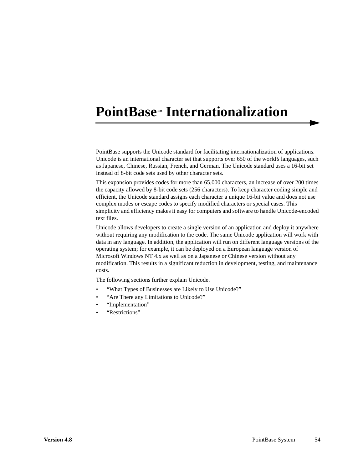# **PointBase™ Internationalization**

PointBase supports the Unicode standard for facilitating internationalization of applications. Unicode is an international character set that supports over 650 of the world's languages, such as Japanese, Chinese, Russian, French, and German. The Unicode standard uses a 16-bit set instead of 8-bit code sets used by other character sets.

This expansion provides codes for more than 65,000 characters, an increase of over 200 times the capacity allowed by 8-bit code sets (256 characters). To keep character coding simple and efficient, the Unicode standard assigns each character a unique 16-bit value and does not use complex modes or escape codes to specify modified characters or special cases. This simplicity and efficiency makes it easy for computers and software to handle Unicode-encoded text files.

Unicode allows developers to create a single version of an application and deploy it anywhere without requiring any modification to the code. The same Unicode application will work with data in any language. In addition, the application will run on different language versions of the operating system; for example, it can be deployed on a European language version of Microsoft Windows NT 4.x as well as on a Japanese or Chinese version without any modification. This results in a significant reduction in development, testing, and maintenance costs.

The following sections further explain Unicode.

- "What Types of Businesses are Likely to Use Unicode?"
- "Are There any Limitations to Unicode?"
- "Implementation"
- "Restrictions"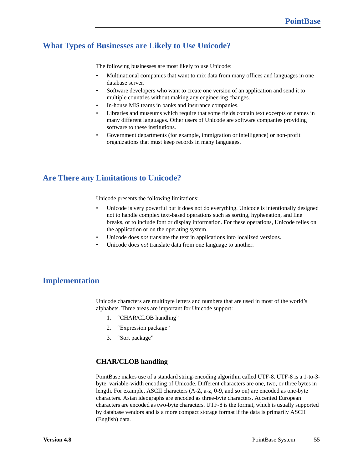# **What Types of Businesses are Likely to Use Unicode?**

The following businesses are most likely to use Unicode:

- Multinational companies that want to mix data from many offices and languages in one database server.
- Software developers who want to create one version of an application and send it to multiple countries without making any engineering changes.
- In-house MIS teams in banks and insurance companies.
- Libraries and museums which require that some fields contain text excerpts or names in many different languages. Other users of Unicode are software companies providing software to these institutions.
- Government departments (for example, immigration or intelligence) or non-profit organizations that must keep records in many languages.

# **Are There any Limitations to Unicode?**

Unicode presents the following limitations:

- Unicode is very powerful but it does not do everything. Unicode is intentionally designed not to handle complex text-based operations such as sorting, hyphenation, and line breaks, or to include font or display information. For these operations, Unicode relies on the application or on the operating system.
- Unicode does *not* translate the text in applications into localized versions.
- Unicode does *not* translate data from one language to another.

# **Implementation**

Unicode characters are multibyte letters and numbers that are used in most of the world's alphabets. Three areas are important for Unicode support:

- 1. "CHAR/CLOB handling"
- 2. "Expression package"
- 3. "Sort package"

# **CHAR/CLOB handling**

PointBase makes use of a standard string-encoding algorithm called UTF-8. UTF-8 is a 1-to-3 byte, variable-width encoding of Unicode. Different characters are one, two, or three bytes in length. For example, ASCII characters (A-Z, a-z, 0-9, and so on) are encoded as one-byte characters. Asian ideographs are encoded as three-byte characters. Accented European characters are encoded as two-byte characters. UTF-8 is the format, which is usually supported by database vendors and is a more compact storage format if the data is primarily ASCII (English) data.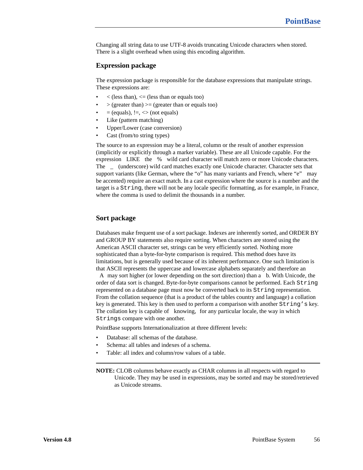Changing all string data to use UTF-8 avoids truncating Unicode characters when stored. There is a slight overhead when using this encoding algorithm.

## **Expression package**

The expression package is responsible for the database expressions that manipulate strings. These expressions are:

- $\langle$  (less than),  $\langle$  = (less than or equals too)
- $\geq$  (greater than)  $\geq$  (greater than or equals too)
- $=$  (equals),  $!=,$   $\lt$  (not equals)
- Like (pattern matching)
- Upper/Lower (case conversion)
- Cast (from/to string types)

The source to an expression may be a literal, column or the result of another expression (implicitly or explicitly through a marker variable). These are all Unicode capable. For the expression LIKE the % wild card character will match zero or more Unicode characters. The \_ (underscore) wild card matches exactly one Unicode character. Character sets that support variants (like German, where the "o" has many variants and French, where "e" may be accented) require an exact match. In a cast expression where the source is a number and the target is a String, there will not be any locale specific formatting, as for example, in France, where the comma is used to delimit the thousands in a number.

## **Sort package**

Databases make frequent use of a sort package. Indexes are inherently sorted, and ORDER BY and GROUP BY statements also require sorting. When characters are stored using the American ASCII character set, strings can be very efficiently sorted. Nothing more sophisticated than a byte-for-byte comparison is required. This method does have its limitations, but is generally used because of its inherent performance. One such limitation is that ASCII represents the uppercase and lowercase alphabets separately and therefore an

A may sort higher (or lower depending on the sort direction) than a b. With Unicode, the order of data sort is changed. Byte-for-byte comparisons cannot be performed. Each String represented on a database page must now be converted back to its String representation. From the collation sequence (that is a product of the tables country and language) a collation key is generated. This key is then used to perform a comparison with another String's key. The collation key is capable of knowing, for any particular locale, the way in which Strings compare with one another.

PointBase supports Internationalization at three different levels:

- Database: all schemas of the database.
- Schema: all tables and indexes of a schema.
- Table: all index and column/row values of a table.

**NOTE:** CLOB columns behave exactly as CHAR columns in all respects with regard to Unicode. They may be used in expressions, may be sorted and may be stored/retrieved as Unicode streams.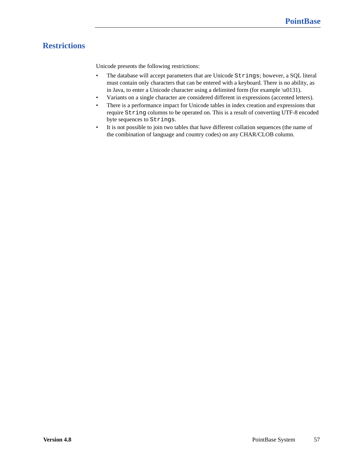# **Restrictions**

Unicode presents the following restrictions:

- The database will accept parameters that are Unicode Strings; however, a SQL literal must contain only characters that can be entered with a keyboard. There is no ability, as in Java, to enter a Unicode character using a delimited form (for example \u0131).
- Variants on a single character are considered different in expressions (accented letters).
- There is a performance impact for Unicode tables in index creation and expressions that require String columns to be operated on. This is a result of converting UTF-8 encoded byte sequences to Strings.
- It is not possible to join two tables that have different collation sequences (the name of the combination of language and country codes) on any CHAR/CLOB column.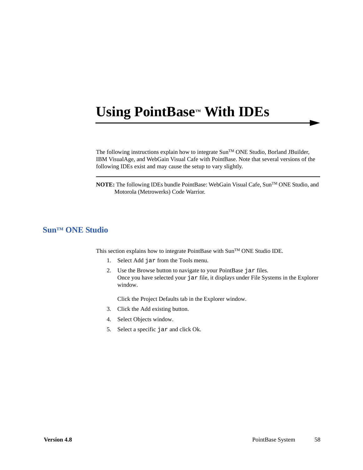# **Using PointBase™ With IDEs**

The following instructions explain how to integrate  $\text{Sun}^{\text{TM}}$  ONE Studio, Borland JBuilder, IBM VisualAge, and WebGain Visual Cafe with PointBase. Note that several versions of the following IDEs exist and may cause the setup to vary slightly.

**NOTE:** The following IDEs bundle PointBase: WebGain Visual Cafe, Sun™ ONE Studio, and Motorola (Metrowerks) Code Warrior.

# **SunTM ONE Studio**

This section explains how to integrate PointBase with Sun™ ONE Studio IDE.

- 1. Select Add jar from the Tools menu.
- 2. Use the Browse button to navigate to your PointBase jar files. Once you have selected your jar file, it displays under File Systems in the Explorer window.

Click the Project Defaults tab in the Explorer window.

- 3. Click the Add existing button.
- 4. Select Objects window.
- 5. Select a specific jar and click Ok.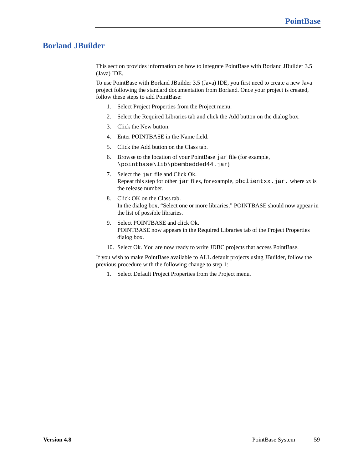# **Borland JBuilder**

This section provides information on how to integrate PointBase with Borland JBuilder 3.5 (Java) IDE.

To use PointBase with Borland JBuilder 3.5 (Java) IDE, you first need to create a new Java project following the standard documentation from Borland. Once your project is created, follow these steps to add PointBase:

- 1. Select Project Properties from the Project menu.
- 2. Select the Required Libraries tab and click the Add button on the dialog box.
- 3. Click the New button.
- 4. Enter POINTBASE in the Name field.
- 5. Click the Add button on the Class tab.
- 6. Browse to the location of your PointBase jar file (for example, \pointbase\lib\pbembedded44.jar)
- 7. Select the jar file and Click Ok. Repeat this step for other jar files, for example, pbclientxx.jar, where *xx* is the release number.
- 8. Click OK on the Class tab. In the dialog box, "Select one or more libraries," POINTBASE should now appear in the list of possible libraries.
- 9. Select POINTBASE and click Ok. POINTBASE now appears in the Required Libraries tab of the Project Properties dialog box.
- 10. Select Ok. You are now ready to write JDBC projects that access PointBase.

If you wish to make PointBase available to ALL default projects using JBuilder, follow the previous procedure with the following change to step 1:

1. Select Default Project Properties from the Project menu.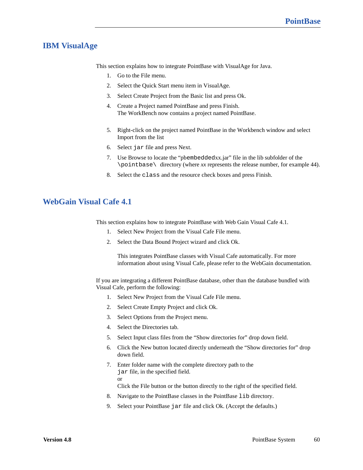# **IBM VisualAge**

This section explains how to integrate PointBase with VisualAge for Java.

- 1. Go to the File menu.
- 2. Select the Quick Start menu item in VisualAge.
- 3. Select Create Project from the Basic list and press Ok.
- 4. Create a Project named PointBase and press Finish. The WorkBench now contains a project named PointBase.
- 5. Right-click on the project named PointBase in the Workbench window and select Import from the list
- 6. Select jar file and press Next.
- 7. Use Browse to locate the "pbembeddedxx.jar" file in the lib subfolder of the \pointbase\ directory (where *xx* represents the release number, for example 44).
- 8. Select the class and the resource check boxes and press Finish.

# **WebGain Visual Cafe 4.1**

This section explains how to integrate PointBase with Web Gain Visual Cafe 4.1.

- 1. Select New Project from the Visual Cafe File menu.
- 2. Select the Data Bound Project wizard and click Ok.

This integrates PointBase classes with Visual Cafe automatically. For more information about using Visual Cafe, please refer to the WebGain documentation.

If you are integrating a different PointBase database, other than the database bundled with Visual Cafe, perform the following:

- 1. Select New Project from the Visual Cafe File menu.
- 2. Select Create Empty Project and click Ok.
- 3. Select Options from the Project menu.
- 4. Select the Directories tab.
- 5. Select Input class files from the "Show directories for" drop down field.
- 6. Click the New button located directly underneath the "Show directories for" drop down field.
- 7. Enter folder name with the complete directory path to the jar file, in the specified field. or

Click the File button or the button directly to the right of the specified field.

- 8. Navigate to the PointBase classes in the PointBase lib directory.
- 9. Select your PointBase jar file and click Ok. (Accept the defaults.)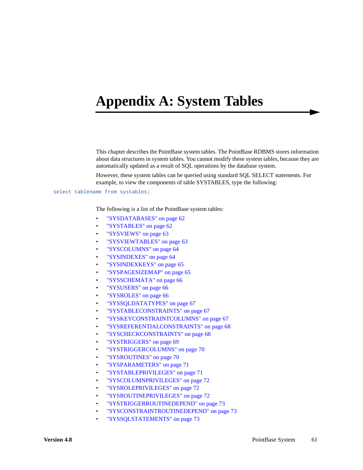# **Appendix A: System Tables**

This chapter describes the PointBase system tables. The PointBase RDBMS stores information about data structures in system tables. You cannot modify these system tables, because they are automatically updated as a result of SQL operations by the database system.

However, these system tables can be queried using standard SQL SELECT statements. For example, to view the components of table SYSTABLES, type the following:

#### select tablename from systables;

The following is a list of the PointBase system tables:

- ["SYSDATABASES" on page 62](#page-61-1)
- ["SYSTABLES" on page 62](#page-61-0)
- ["SYSVIEWS" on page 63](#page-62-0)
- ["SYSVIEWTABLES" on page 63](#page-62-1)
- ["SYSCOLUMNS" on page 64](#page-63-0)
- ["SYSINDEXES" on page 64](#page-63-1)
- ["SYSINDEXKEYS" on page 65](#page-64-0)
- ["SYSPAGESIZEMAP" on page 65](#page-64-1)
- ["SYSSCHEMATA" on page 66](#page-65-0)
- ["SYSUSERS" on page 66](#page-65-1)
- ["SYSROLES" on page 66](#page-65-2)
- ["SYSSQLDATATYPES" on page 67](#page-66-0)
- ["SYSTABLECONSTRAINTS" on page 67](#page-66-1)
- ["SYSKEYCONSTRAINTCOLUMNS" on page 67](#page-66-2)
- ["SYSREFERENTIALCONSTRAINTS" on page 68](#page-67-0)
- ["SYSCHECKCONSTRAINTS" on page 68](#page-67-1)
- ["SYSTRIGGERS" on page 69](#page-68-0)
- ["SYSTRIGGERCOLUMNS" on page 70](#page-69-0)
- ["SYSROUTINES" on page 70](#page-69-1)
- ["SYSPARAMETERS" on page 71](#page-70-0)
- ["SYSTABLEPRIVILEGES" on page 71](#page-70-1)
- ["SYSCOLUMNPRIVILEGES" on page 72](#page-71-0)
- ["SYSROLEPRIVILEGES" on page 72](#page-71-2)
- ["SYSROUTINEPRIVILEGES" on page 72](#page-71-1)
- ["SYSTRIGGERROUTINEDEPEND" on page 73](#page-72-0)
- ["SYSCONSTRAINTROUTINEDEPEND" on page 73](#page-72-1)
- ["SYSSQLSTATEMENTS" on page 73](#page-72-2)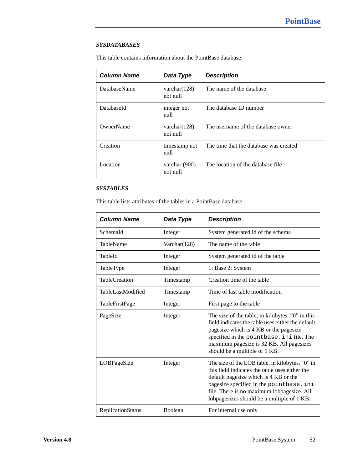## <span id="page-61-1"></span>*SYSDATABASES*

This table contains information about the PointBase database.

| <b>Column Name</b>  | Data Type                   | <b>Description</b>                     |  |
|---------------------|-----------------------------|----------------------------------------|--|
| <b>DatabaseName</b> | varchar $(128)$<br>not null | The name of the database               |  |
| DatabaseId          | integer not<br>null         | The database ID number                 |  |
| OwnerName           | varchar $(128)$<br>not null | The username of the database owner     |  |
| Creation            | timestamp not<br>null       | The time that the database was created |  |
| Location            | varchar $(900)$<br>not null | The location of the database file      |  |

# <span id="page-61-0"></span>*SYSTABLES*

This table lists attributes of the tables in a PointBase database.

| <b>Column Name</b>       | Data Type    | <b>Description</b>                                                                                                                                                                                                                                                                |
|--------------------------|--------------|-----------------------------------------------------------------------------------------------------------------------------------------------------------------------------------------------------------------------------------------------------------------------------------|
| SchemaId                 | Integer      | System generated id of the schema                                                                                                                                                                                                                                                 |
| TableName                | Varchar(128) | The name of the table                                                                                                                                                                                                                                                             |
| TableId                  | Integer      | System generated id of the table                                                                                                                                                                                                                                                  |
| TableType                | Integer      | 1: Base 2: System                                                                                                                                                                                                                                                                 |
| <b>TableCreation</b>     | Timestamp    | Creation time of the table                                                                                                                                                                                                                                                        |
| TableLastModified        | Timestamp    | Time of last table modification                                                                                                                                                                                                                                                   |
| <b>TableFirstPage</b>    | Integer      | First page to the table                                                                                                                                                                                                                                                           |
| PageSize                 | Integer      | The size of the table, in kilobytes. "O" in this<br>field indicates the table uses either the default<br>pagesize which is 4 KB or the pagesize<br>specified in the pointbase. ini file. The<br>maximum pagesize is 32 KB. All pagesizes<br>should be a multiple of 1 KB.         |
| LOBPageSize              | Integer      | The size of the LOB table, in kilobytes. "O" in<br>this field indicates the table uses either the<br>default pagesize which is 4 KB or the<br>pagesize specified in the pointbase.ini<br>file. There is no maximum lobpagesize. All<br>lobpagesizes should be a multiple of 1 KB. |
| <b>ReplicationStatus</b> | Boolean      | For internal use only                                                                                                                                                                                                                                                             |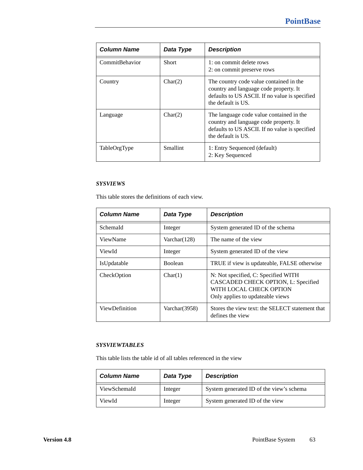| <b>Column Name</b> | Data Type | <b>Description</b>                                                                                                                                         |
|--------------------|-----------|------------------------------------------------------------------------------------------------------------------------------------------------------------|
| CommitBehavior     | Short     | 1: on commit delete rows<br>2: on commit preserve rows                                                                                                     |
| Country            | Char(2)   | The country code value contained in the<br>country and language code property. It<br>defaults to US ASCII. If no value is specified<br>the default is US.  |
| Language           | Char(2)   | The language code value contained in the<br>country and language code property. It<br>defaults to US ASCII. If no value is specified<br>the default is US. |
| TableOrgType       | Smallint  | 1: Entry Sequenced (default)<br>2: Key Sequenced                                                                                                           |

## <span id="page-62-0"></span>*SYSVIEWS*

This table stores the definitions of each view.

| <b>Column Name</b> | Data Type        | <b>Description</b>                                                                                                                        |
|--------------------|------------------|-------------------------------------------------------------------------------------------------------------------------------------------|
| SchemaId           | Integer          | System generated ID of the schema                                                                                                         |
| ViewName           | Varchar $(128)$  | The name of the view                                                                                                                      |
| ViewId             | Integer          | System generated ID of the view                                                                                                           |
| IsUpdatable        | Boolean          | TRUE if view is updateable, FALSE otherwise                                                                                               |
| CheckOption        | Char(1)          | N: Not specified, C: Specified WITH<br>CASCADED CHECK OPTION, L: Specified<br>WITH LOCAL CHECK OPTION<br>Only applies to updateable views |
| ViewDefinition     | Varchar $(3958)$ | Stores the view text: the SELECT statement that<br>defines the view                                                                       |

# <span id="page-62-1"></span>*SYSVIEWTABLES*

This table lists the table id of all tables referenced in the view

| <b>Column Name</b> | Data Type | <b>Description</b>                       |
|--------------------|-----------|------------------------------------------|
| ViewSchemaId       | Integer   | System generated ID of the view's schema |
| ViewId             | Integer   | System generated ID of the view          |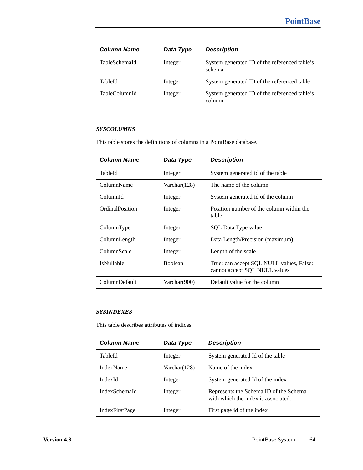| <b>Column Name</b>   | Data Type | <b>Description</b>                                      |
|----------------------|-----------|---------------------------------------------------------|
| TableSchemaId        | Integer   | System generated ID of the referenced table's<br>schema |
| TableId              | Integer   | System generated ID of the referenced table             |
| <b>TableColumnId</b> | Integer   | System generated ID of the referenced table's<br>column |

## <span id="page-63-0"></span>*SYSCOLUMNS*

This table stores the definitions of columns in a PointBase database.

| <b>Column Name</b> | Data Type      | <b>Description</b>                                                        |
|--------------------|----------------|---------------------------------------------------------------------------|
| TableId            | Integer        | System generated id of the table                                          |
| ColumnName         | Varchar(128)   | The name of the column                                                    |
| ColumnId           | Integer        | System generated id of the column                                         |
| OrdinalPosition    | Integer        | Position number of the column within the<br>table                         |
| ColumnType         | Integer        | SQL Data Type value                                                       |
| ColumnLength       | Integer        | Data Length/Precision (maximum)                                           |
| ColumnScale        | Integer        | Length of the scale                                                       |
| <b>IsNullable</b>  | <b>Boolean</b> | True: can accept SQL NULL values, False:<br>cannot accept SQL NULL values |
| ColumnDefault      | Varchar(900)   | Default value for the column                                              |

# <span id="page-63-1"></span>*SYSINDEXES*

This table describes attributes of indices.

| <b>Column Name</b>    | Data Type    | <b>Description</b>                                                            |  |  |
|-----------------------|--------------|-------------------------------------------------------------------------------|--|--|
| TableId               | Integer      | System generated Id of the table                                              |  |  |
| <b>IndexName</b>      | Varchar(128) | Name of the index                                                             |  |  |
| IndexId               | Integer      | System generated Id of the index                                              |  |  |
| IndexSchemaId         | Integer      | Represents the Schema ID of the Schema<br>with which the index is associated. |  |  |
| <b>IndexFirstPage</b> | Integer      | First page id of the index                                                    |  |  |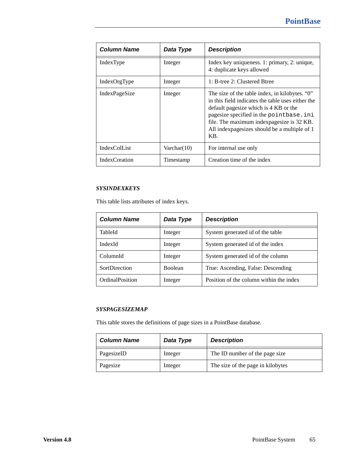| <b>Column Name</b>   | Data Type      | <b>Description</b>                                                                                                                                                                                                                                                                            |
|----------------------|----------------|-----------------------------------------------------------------------------------------------------------------------------------------------------------------------------------------------------------------------------------------------------------------------------------------------|
| IndexType            | Integer        | Index key uniqueness. 1: primary, 2: unique,<br>4: duplicate keys allowed                                                                                                                                                                                                                     |
| IndexOrgType         | Integer        | 1: B-tree 2: Clustered Btree                                                                                                                                                                                                                                                                  |
| IndexPageSize        | Integer        | The size of the table index, in kilobytes. "0"<br>in this field indicates the table uses either the<br>default pagesize which is 4 KB or the<br>pagesize specified in the point base.ini<br>file. The maximum indexpagesize is 32 KB.<br>All indexpage sizes should be a multiple of 1<br>KB. |
| IndexColList         | Varchar $(10)$ | For internal use only                                                                                                                                                                                                                                                                         |
| <b>IndexCreation</b> | Timestamp      | Creation time of the index                                                                                                                                                                                                                                                                    |

# <span id="page-64-0"></span>*SYSINDEXKEYS*

This table lists attributes of index keys.

| <b>Column Name</b> | Data Type      | <b>Description</b>                      |
|--------------------|----------------|-----------------------------------------|
| TableId            | Integer        | System generated id of the table        |
| IndexId            | Integer        | System generated id of the index        |
| ColumnId           | Integer        | System generated id of the column       |
| SortDirection      | <b>Boolean</b> | True: Ascending, False: Descending      |
| OrdinalPosition    | Integer        | Position of the column within the index |

## <span id="page-64-1"></span>*SYSPAGESIZEMAP*

This table stores the definitions of page sizes in a PointBase database.

| <b>Column Name</b> | Data Type | <b>Description</b>                |
|--------------------|-----------|-----------------------------------|
| PagesizeID         | Integer   | The ID number of the page size    |
| Pagesize           | Integer   | The size of the page in kilobytes |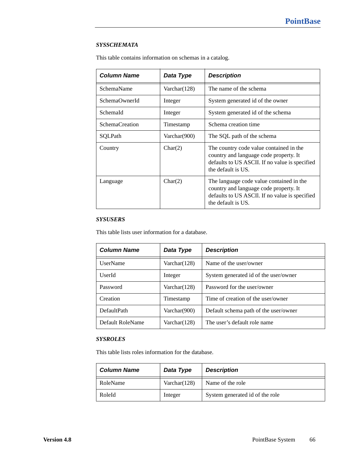## <span id="page-65-0"></span>*SYSSCHEMATA*

This table contains information on schemas in a catalog.

| <b>Column Name</b>    | Data Type    | <b>Description</b>                                                                                                                                         |
|-----------------------|--------------|------------------------------------------------------------------------------------------------------------------------------------------------------------|
| SchemaName            | Varchar(128) | The name of the schema                                                                                                                                     |
| SchemaOwnerId         | Integer      | System generated id of the owner                                                                                                                           |
| SchemaId              | Integer      | System generated id of the schema                                                                                                                          |
| <b>SchemaCreation</b> | Timestamp    | Schema creation time                                                                                                                                       |
| SQLPath               | Varchar(900) | The SQL path of the schema                                                                                                                                 |
| Country               | Char(2)      | The country code value contained in the<br>country and language code property. It<br>defaults to US ASCII. If no value is specified<br>the default is US.  |
| Language              | Char(2)      | The language code value contained in the<br>country and language code property. It<br>defaults to US ASCII. If no value is specified<br>the default is US. |

## <span id="page-65-1"></span>*SYSUSERS*

This table lists user information for a database.

| <b>Column Name</b> | Data Type       | <b>Description</b>                    |
|--------------------|-----------------|---------------------------------------|
| <b>UserName</b>    | Varchar $(128)$ | Name of the user/owner                |
| UserId             | Integer         | System generated id of the user/owner |
| Password           | Varchar $(128)$ | Password for the user/owner           |
| Creation           | Timestamp       | Time of creation of the user/owner    |
| DefaultPath        | Varchar(900)    | Default schema path of the user/owner |
| Default RoleName   | Varchar $(128)$ | The user's default role name          |

## <span id="page-65-2"></span>*SYSROLES*

This table lists roles information for the database.

| <b>Column Name</b> | Data Type       | <b>Description</b>              |
|--------------------|-----------------|---------------------------------|
| RoleName           | Varchar $(128)$ | Name of the role                |
| RoleId             | Integer         | System generated id of the role |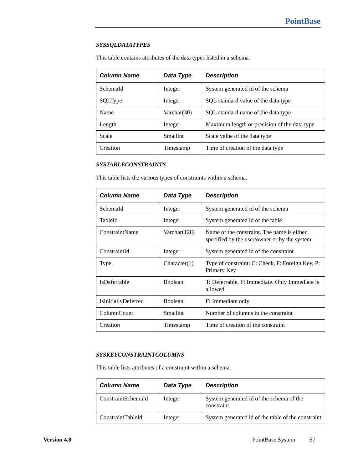## <span id="page-66-0"></span>*SYSSQLDATATYPES*

This table contains attributes of the data types listed in a schema.

| <b>Column Name</b> | Data Type       | <b>Description</b>                           |
|--------------------|-----------------|----------------------------------------------|
| SchemaId           | Integer         | System generated id of the schema            |
| SQLType            | Integer         | SQL standard value of the data type          |
| Name               | Varchar $(30)$  | SQL standard name of the data type           |
| Length             | Integer         | Maximum length or precision of the data type |
| Scale              | <b>Smallint</b> | Scale value of the data type                 |
| Creation           | Timestamp       | Time of creation of the data type            |

## <span id="page-66-1"></span>*SYSTABLECONSTRAINTS*

This table lists the various types of constraints within a schema.

| <b>Column Name</b>  | Data Type       | <b>Description</b>                                                                         |
|---------------------|-----------------|--------------------------------------------------------------------------------------------|
| SchemaId            | Integer         | System generated id of the schema                                                          |
| TableId             | Integer         | System generated id of the table                                                           |
| ConstraintName      | Varchar $(128)$ | Name of the constraint. The name is either<br>specified by the user/owner or by the system |
| ConstraintId        | Integer         | System generated id of the constraint                                                      |
| Type                | Character(1)    | Type of constraint: C: Check, F: Foreign Key, P:<br>Primary Key                            |
| <b>IsDeferrable</b> | <b>Boolean</b>  | T: Deferrable, F: Immediate. Only Immediate is<br>allowed                                  |
| IsInitiallyDeferred | <b>Boolean</b>  | F: Immediate only                                                                          |
| ColumnCount         | Smallint        | Number of columns in the constraint                                                        |
| Creation            | Timestamp       | Time of creation of the constraint                                                         |

## <span id="page-66-2"></span>*SYSKEYCONSTRAINTCOLUMNS*

This table lists attributes of a constraint within a schema.

| <b>Column Name</b> | Data Type | <b>Description</b>                                     |
|--------------------|-----------|--------------------------------------------------------|
| ConstraintSchemaId | Integer   | System generated id of the schema of the<br>constraint |
| ConstraintTableId  | Integer   | System generated id of the table of the constraint     |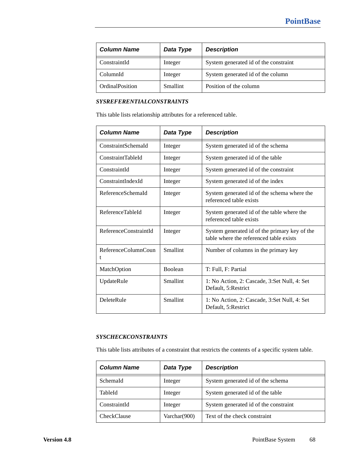| <b>Column Name</b> | Data Type       | <b>Description</b>                    |
|--------------------|-----------------|---------------------------------------|
| ConstraintId       | Integer         | System generated id of the constraint |
| ColumnId           | Integer         | System generated id of the column     |
| OrdinalPosition    | <b>Smallint</b> | Position of the column                |

# <span id="page-67-0"></span>*SYSREFERENTIALCONSTRAINTS*

This table lists relationship attributes for a referenced table.

| <b>Column Name</b>       | Data Type      | <b>Description</b>                                                                       |
|--------------------------|----------------|------------------------------------------------------------------------------------------|
| ConstraintSchemaId       | Integer        | System generated id of the schema                                                        |
| ConstraintTableId        | Integer        | System generated id of the table                                                         |
| ConstraintId             | Integer        | System generated id of the constraint                                                    |
| ConstraintIndexId        | Integer        | System generated id of the index                                                         |
| ReferenceSchemaId        | Integer        | System generated id of the schema where the<br>referenced table exists                   |
| ReferenceTableId         | Integer        | System generated id of the table where the<br>referenced table exists                    |
| ReferenceConstraintId    | Integer        | System generated id of the primary key of the<br>table where the referenced table exists |
| ReferenceColumnCoun<br>t | Smallint       | Number of columns in the primary key                                                     |
| MatchOption              | <b>Boolean</b> | T: Full, F: Partial                                                                      |
| UpdateRule               | Smallint       | 1: No Action, 2: Cascade, 3:Set Null, 4: Set<br>Default, 5:Restrict                      |
| DeleteRule               | Smallint       | 1: No Action, 2: Cascade, 3:Set Null, 4: Set<br>Default, 5: Restrict                     |

## <span id="page-67-1"></span>*SYSCHECKCONSTRAINTS*

This table lists attributes of a constraint that restricts the contents of a specific system table.

| <b>Column Name</b> | Data Type    | <b>Description</b>                    |
|--------------------|--------------|---------------------------------------|
| SchemaId           | Integer      | System generated id of the schema     |
| TableId            | Integer      | System generated id of the table      |
| ConstraintId       | Integer      | System generated id of the constraint |
| CheckClause        | Varchar(900) | Text of the check constraint          |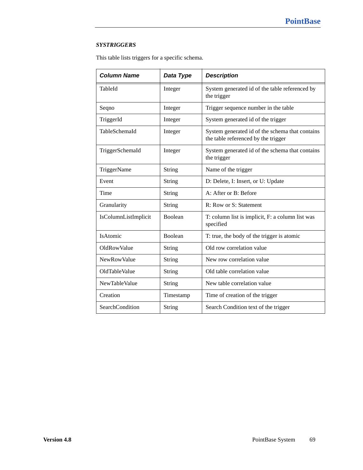# <span id="page-68-0"></span>*SYSTRIGGERS*

This table lists triggers for a specific schema.

| <b>Column Name</b>   | Data Type      | <b>Description</b>                                                                     |
|----------------------|----------------|----------------------------------------------------------------------------------------|
| TableId              | Integer        | System generated id of the table referenced by<br>the trigger                          |
| Seqno                | Integer        | Trigger sequence number in the table                                                   |
| TriggerId            | Integer        | System generated id of the trigger                                                     |
| TableSchemaId        | Integer        | System generated id of the schema that contains<br>the table referenced by the trigger |
| TriggerSchemaId      | Integer        | System generated id of the schema that contains<br>the trigger                         |
| TriggerName          | <b>String</b>  | Name of the trigger                                                                    |
| Event                | String         | D: Delete, I: Insert, or U: Update                                                     |
| Time                 | String         | A: After or B: Before                                                                  |
| Granularity          | String         | R: Row or S: Statement                                                                 |
| IsColumnListImplicit | <b>Boolean</b> | T: column list is implicit, F: a column list was<br>specified                          |
| IsAtomic             | <b>Boolean</b> | T: true, the body of the trigger is atomic                                             |
| <b>OldRowValue</b>   | String         | Old row correlation value                                                              |
| <b>NewRowValue</b>   | String         | New row correlation value                                                              |
| OldTableValue        | String         | Old table correlation value                                                            |
| NewTableValue        | String         | New table correlation value                                                            |
| Creation             | Timestamp      | Time of creation of the trigger                                                        |
| SearchCondition      | String         | Search Condition text of the trigger                                                   |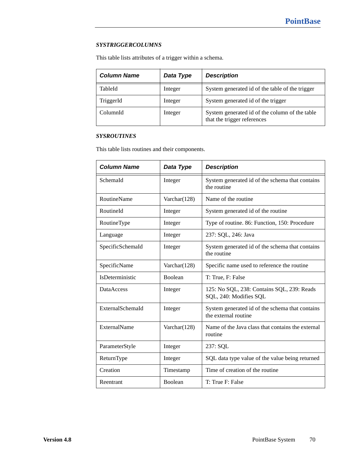## <span id="page-69-0"></span>*SYSTRIGGERCOLUMNS*

This table lists attributes of a trigger within a schema.

| <b>Column Name</b> | Data Type | <b>Description</b>                                                            |
|--------------------|-----------|-------------------------------------------------------------------------------|
| TableId            | Integer   | System generated id of the table of the trigger                               |
| TriggerId          | Integer   | System generated id of the trigger                                            |
| ColumnId           | Integer   | System generated id of the column of the table<br>that the trigger references |

## <span id="page-69-1"></span>*SYSROUTINES*

This table lists routines and their components.

| <b>Column Name</b> | Data Type       | <b>Description</b>                                                      |
|--------------------|-----------------|-------------------------------------------------------------------------|
| SchemaId           | Integer         | System generated id of the schema that contains<br>the routine          |
| <b>RoutineName</b> | Varchar $(128)$ | Name of the routine.                                                    |
| RoutineId          | Integer         | System generated id of the routine                                      |
| RoutineType        | Integer         | Type of routine. 86: Function, 150: Procedure                           |
| Language           | Integer         | 237: SQL, 246: Java                                                     |
| SpecificSchemaId   | Integer         | System generated id of the schema that contains<br>the routine          |
| SpecificName       | Varchar(128)    | Specific name used to reference the routine                             |
| IsDeterministic    | Boolean         | T: True, F: False                                                       |
| <b>DataAccess</b>  | Integer         | 125: No SQL, 238: Contains SQL, 239: Reads<br>SQL, 240: Modifies SQL    |
| ExternalSchemaId   | Integer         | System generated id of the schema that contains<br>the external routine |
| ExternalName       | Varchar $(128)$ | Name of the Java class that contains the external<br>routine            |
| ParameterStyle     | Integer         | 237: SQL                                                                |
| ReturnType         | Integer         | SQL data type value of the value being returned                         |
| Creation           | Timestamp       | Time of creation of the routine                                         |
| Reentrant          | Boolean         | T: True F: False                                                        |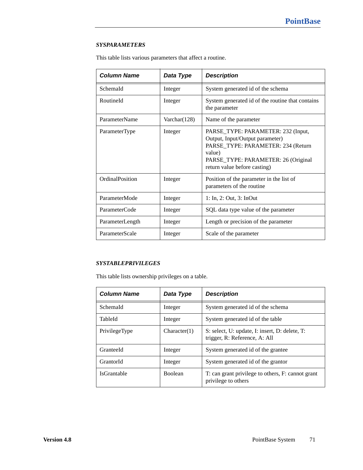## <span id="page-70-0"></span>*SYSPARAMETERS*

This table lists various parameters that affect a routine.

| <b>Column Name</b> | Data Type       | <b>Description</b>                                                                                                                                                                           |
|--------------------|-----------------|----------------------------------------------------------------------------------------------------------------------------------------------------------------------------------------------|
| SchemaId           | Integer         | System generated id of the schema                                                                                                                                                            |
| RoutineId          | Integer         | System generated id of the routine that contains<br>the parameter                                                                                                                            |
| ParameterName      | Varchar $(128)$ | Name of the parameter                                                                                                                                                                        |
| ParameterType      | Integer         | PARSE_TYPE: PARAMETER: 232 (Input,<br>Output, Input/Output parameter)<br>PARSE_TYPE: PARAMETER: 234 (Return<br>value)<br>PARSE_TYPE: PARAMETER: 26 (Original<br>return value before casting) |
| OrdinalPosition    | Integer         | Position of the parameter in the list of<br>parameters of the routine                                                                                                                        |
| ParameterMode      | Integer         | $1:$ In, $2:$ Out, $3:$ InOut                                                                                                                                                                |
| ParameterCode      | Integer         | SQL data type value of the parameter                                                                                                                                                         |
| ParameterLength    | Integer         | Length or precision of the parameter                                                                                                                                                         |
| ParameterScale     | Integer         | Scale of the parameter                                                                                                                                                                       |

# <span id="page-70-1"></span>*SYSTABLEPRIVILEGES*

This table lists ownership privileges on a table.

| <b>Column Name</b> | Data Type      | <b>Description</b>                                                              |
|--------------------|----------------|---------------------------------------------------------------------------------|
| SchemaId           | Integer        | System generated id of the schema                                               |
| TableId            | Integer        | System generated id of the table                                                |
| PrivilegeType      | Character(1)   | S: select, U: update, I: insert, D: delete, T:<br>trigger, R: Reference, A: All |
| GranteeId          | Integer        | System generated id of the grantee                                              |
| GrantorId          | Integer        | System generated id of the grantor                                              |
| IsGrantable        | <b>Boolean</b> | T: can grant privilege to others, F: cannot grant<br>privilege to others        |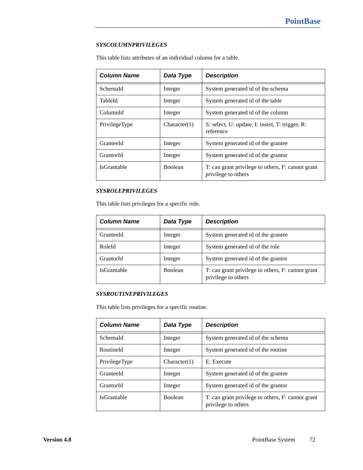## <span id="page-71-0"></span>*SYSCOLUMNPRIVILEGES*

This table lists attributes of an individual column for a table.

| <b>Column Name</b> | Data Type      | <b>Description</b>                                                       |
|--------------------|----------------|--------------------------------------------------------------------------|
| Schemald           | Integer        | System generated id of the schema                                        |
| TableId            | Integer        | System generated id of the table                                         |
| ColumnId           | Integer        | System generated id of the column                                        |
| PrivilegeType      | Character(1)   | S: select, U: update, I: insert, T: trigger, R:<br>reference             |
| GranteeId          | Integer        | System generated id of the grantee                                       |
| GrantorId          | Integer        | System generated id of the grantor                                       |
| <b>IsGrantable</b> | <b>Boolean</b> | T: can grant privilege to others, F: cannot grant<br>privilege to others |

# <span id="page-71-2"></span>*SYSROLEPRIVILEGES*

This table lists privileges for a specific role.

| <b>Column Name</b> | Data Type      | <b>Description</b>                                                       |
|--------------------|----------------|--------------------------------------------------------------------------|
| GranteeId          | Integer        | System generated id of the grantee                                       |
| RoleId             | Integer        | System generated id of the role                                          |
| GrantorId          | Integer        | System generated id of the grantor                                       |
| <b>IsGrantable</b> | <b>Boolean</b> | T: can grant privilege to others, F: cannot grant<br>privilege to others |

## <span id="page-71-1"></span>*SYSROUTINEPRIVILEGES*

This table lists privileges for a specific routine.

| <b>Column Name</b> | Data Type      | <b>Description</b>                                                       |
|--------------------|----------------|--------------------------------------------------------------------------|
| SchemaId           | Integer        | System generated id of the schema                                        |
| RoutineId          | Integer        | System generated id of the routine                                       |
| PrivilegeType      | Character(1)   | E: Execute                                                               |
| GranteeId          | Integer        | System generated id of the grantee                                       |
| GrantorId          | Integer        | System generated id of the grantor                                       |
| <b>IsGrantable</b> | <b>Boolean</b> | T: can grant privilege to others, F: cannot grant<br>privilege to others |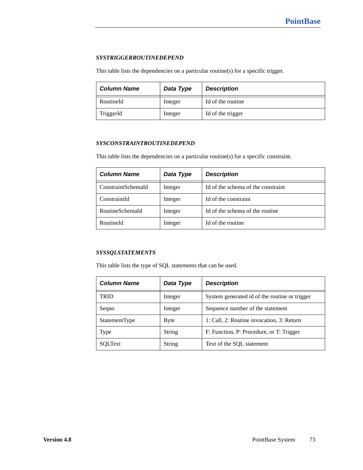### *SYSTRIGGERROUTINEDEPEND*

This table lists the dependencies on a particular routine(s) for a specific trigger.

| <b>Column Name</b> | Data Type | <b>Description</b> |
|--------------------|-----------|--------------------|
| RoutineId          | Integer   | Id of the routine  |
| TriggerId          | Integer   | Id of the trigger  |

### *SYSCONSTRAINTROUTINEDEPEND*

This table lists the dependencies on a particular routine(s) for a specific constraint.

| <b>Column Name</b> | Data Type | <b>Description</b>                 |
|--------------------|-----------|------------------------------------|
| ConstraintSchemaId | Integer   | Id of the schema of the constraint |
| ConstraintId       | Integer   | Id of the constraint               |
| RoutineSchemaId    | Integer   | Id of the schema of the routine    |
| RoutineId          | Integer   | Id of the routine                  |

#### *SYSSQLSTATEMENTS*

This table lists the type of SQL statements that can be used.

| <b>Column Name</b>   | Data Type     | <b>Description</b>                            |
|----------------------|---------------|-----------------------------------------------|
| TRID                 | Integer       | System generated id of the routine or trigger |
| Segno                | Integer       | Sequence number of the statement              |
| <b>StatementType</b> | Byte          | 1: Call, 2: Routine invocation, 3: Return     |
| Type                 | String        | F: Function, P: Procedure, or T: Trigger      |
| SOLText              | <b>String</b> | Text of the SQL statement                     |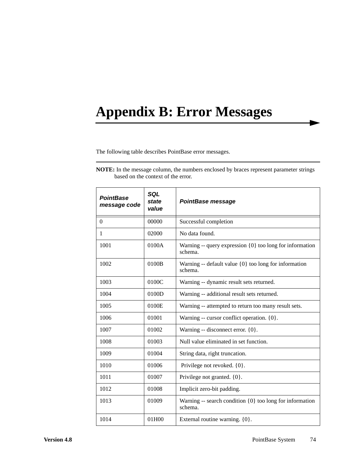# **Appendix B: Error Messages**

The following table describes PointBase error messages.

| <b>PointBase</b><br>message code | SQL<br>state<br>value | PointBase message                                                       |
|----------------------------------|-----------------------|-------------------------------------------------------------------------|
| $\Omega$                         | 00000                 | Successful completion                                                   |
| 1                                | 02000                 | No data found.                                                          |
| 1001                             | 0100A                 | Warning -- query expression $\{0\}$ too long for information<br>schema. |
| 1002                             | 0100B                 | Warning -- default value $\{0\}$ too long for information<br>schema.    |
| 1003                             | 0100C                 | Warning -- dynamic result sets returned.                                |
| 1004                             | 0100D                 | Warning -- additional result sets returned.                             |
| 1005                             | 0100E                 | Warning -- attempted to return too many result sets.                    |
| 1006                             | 01001                 | Warning -- cursor conflict operation. $\{0\}$ .                         |
| 1007                             | 01002                 | Warning -- disconnect error. {0}.                                       |
| 1008                             | 01003                 | Null value eliminated in set function.                                  |
| 1009                             | 01004                 | String data, right truncation.                                          |
| 1010                             | 01006                 | Privilege not revoked. {0}.                                             |
| 1011                             | 01007                 | Privilege not granted. $\{0\}$ .                                        |
| 1012                             | 01008                 | Implicit zero-bit padding.                                              |
| 1013                             | 01009                 | Warning -- search condition $\{0\}$ too long for information<br>schema. |
| 1014                             | 01H00                 | External routine warning. {0}.                                          |

**NOTE:** In the message column, the numbers enclosed by braces represent parameter strings based on the context of the error.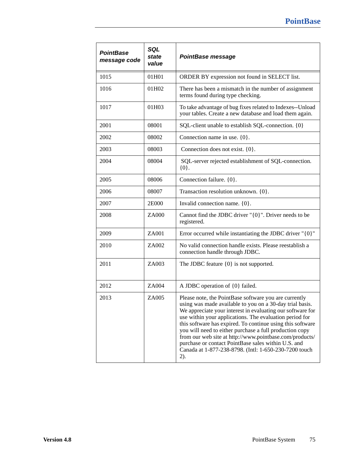| <b>PointBase</b><br>message code | SQL<br>state<br>value | <b>PointBase message</b>                                                                                                                                                                                                                                                                                                                                                                                                                                                                                                                              |
|----------------------------------|-----------------------|-------------------------------------------------------------------------------------------------------------------------------------------------------------------------------------------------------------------------------------------------------------------------------------------------------------------------------------------------------------------------------------------------------------------------------------------------------------------------------------------------------------------------------------------------------|
| 1015                             | 01H01                 | ORDER BY expression not found in SELECT list.                                                                                                                                                                                                                                                                                                                                                                                                                                                                                                         |
| 1016                             | 01H02                 | There has been a mismatch in the number of assignment<br>terms found during type checking.                                                                                                                                                                                                                                                                                                                                                                                                                                                            |
| 1017                             | 01H03                 | To take advantage of bug fixes related to Indexes--Unload<br>your tables. Create a new database and load them again.                                                                                                                                                                                                                                                                                                                                                                                                                                  |
| 2001                             | 08001                 | SQL-client unable to establish SQL-connection. {0}                                                                                                                                                                                                                                                                                                                                                                                                                                                                                                    |
| 2002                             | 08002                 | Connection name in use. $\{0\}$ .                                                                                                                                                                                                                                                                                                                                                                                                                                                                                                                     |
| 2003                             | 08003                 | Connection does not exist. $\{0\}$ .                                                                                                                                                                                                                                                                                                                                                                                                                                                                                                                  |
| 2004                             | 08004                 | SQL-server rejected establishment of SQL-connection.<br>${0}.$                                                                                                                                                                                                                                                                                                                                                                                                                                                                                        |
| 2005                             | 08006                 | Connection failure. {0}.                                                                                                                                                                                                                                                                                                                                                                                                                                                                                                                              |
| 2006                             | 08007                 | Transaction resolution unknown. {0}.                                                                                                                                                                                                                                                                                                                                                                                                                                                                                                                  |
| 2007                             | 2E000                 | Invalid connection name. {0}.                                                                                                                                                                                                                                                                                                                                                                                                                                                                                                                         |
| 2008                             | ZA000                 | Cannot find the JDBC driver " $\{0\}$ ". Driver needs to be<br>registered.                                                                                                                                                                                                                                                                                                                                                                                                                                                                            |
| 2009                             | ZA001                 | Error occurred while instantiating the JDBC driver "{0}"                                                                                                                                                                                                                                                                                                                                                                                                                                                                                              |
| 2010                             | ZA002                 | No valid connection handle exists. Please reestablish a<br>connection handle through JDBC.                                                                                                                                                                                                                                                                                                                                                                                                                                                            |
| 2011                             | ZA003                 | The JDBC feature $\{0\}$ is not supported.                                                                                                                                                                                                                                                                                                                                                                                                                                                                                                            |
| 2012                             | ZA004                 | A JDBC operation of {0} failed.                                                                                                                                                                                                                                                                                                                                                                                                                                                                                                                       |
| 2013                             | ZA005                 | Please note, the PointBase software you are currently<br>using was made available to you on a 30-day trial basis.<br>We appreciate your interest in evaluating our software for<br>use within your applications. The evaluation period for<br>this software has expired. To continue using this software<br>you will need to either purchase a full production copy<br>from our web site at http://www.pointbase.com/products/<br>purchase or contact PointBase sales within U.S. and<br>Canada at 1-877-238-8798. (Intl: 1-650-230-7200 touch<br>2). |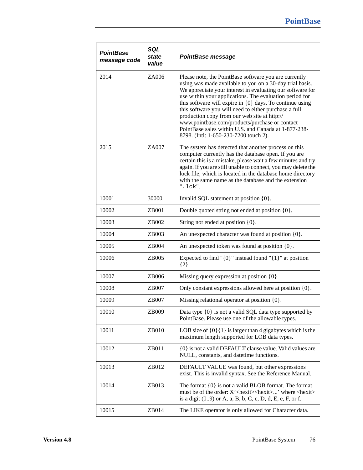| PointBase<br>message code | SQL<br>state<br>value | <b>PointBase message</b>                                                                                                                                                                                                                                                                                                                                                                                                                                                                                                                                               |
|---------------------------|-----------------------|------------------------------------------------------------------------------------------------------------------------------------------------------------------------------------------------------------------------------------------------------------------------------------------------------------------------------------------------------------------------------------------------------------------------------------------------------------------------------------------------------------------------------------------------------------------------|
| 2014                      | ZA006                 | Please note, the PointBase software you are currently<br>using was made available to you on a 30-day trial basis.<br>We appreciate your interest in evaluating our software for<br>use within your applications. The evaluation period for<br>this software will expire in $\{0\}$ days. To continue using<br>this software you will need to either purchase a full<br>production copy from our web site at http://<br>www.pointbase.com/products/purchase or contact<br>PointBase sales within U.S. and Canada at 1-877-238-<br>8798. (Intl: 1-650-230-7200 touch 2). |
| 2015                      | ZA007                 | The system has detected that another process on this<br>computer currently has the database open. If you are<br>certain this is a mistake, please wait a few minutes and try<br>again. If you are still unable to connect, you may delete the<br>lock file, which is located in the database home directory<br>with the same name as the database and the extension<br>$".$ lck".                                                                                                                                                                                      |
| 10001                     | 30000                 | Invalid SQL statement at position {0}.                                                                                                                                                                                                                                                                                                                                                                                                                                                                                                                                 |
| 10002                     | ZB001                 | Double quoted string not ended at position {0}.                                                                                                                                                                                                                                                                                                                                                                                                                                                                                                                        |
| 10003                     | ZB002                 | String not ended at position {0}.                                                                                                                                                                                                                                                                                                                                                                                                                                                                                                                                      |
| 10004                     | ZB003                 | An unexpected character was found at position {0}.                                                                                                                                                                                                                                                                                                                                                                                                                                                                                                                     |
| 10005                     | ZB004                 | An unexpected token was found at position {0}.                                                                                                                                                                                                                                                                                                                                                                                                                                                                                                                         |
| 10006                     | ZB005                 | Expected to find " $\{0\}$ " instead found " $\{1\}$ " at position<br>${2}.$                                                                                                                                                                                                                                                                                                                                                                                                                                                                                           |
| 10007                     | ZB006                 | Missing query expression at position {0}                                                                                                                                                                                                                                                                                                                                                                                                                                                                                                                               |
| 10008                     | ZB007                 | Only constant expressions allowed here at position {0}.                                                                                                                                                                                                                                                                                                                                                                                                                                                                                                                |
| 10009                     | ZB007                 | Missing relational operator at position {0}.                                                                                                                                                                                                                                                                                                                                                                                                                                                                                                                           |
| 10010                     | ZB009                 | Data type $\{0\}$ is not a valid SQL data type supported by<br>PointBase. Please use one of the allowable types.                                                                                                                                                                                                                                                                                                                                                                                                                                                       |
| 10011                     | ZB010                 | LOB size of $\{0\}\{1\}$ is larger than 4 gigabytes which is the<br>maximum length supported for LOB data types.                                                                                                                                                                                                                                                                                                                                                                                                                                                       |
| 10012                     | ZB011                 | {0} is not a valid DEFAULT clause value. Valid values are<br>NULL, constants, and datetime functions.                                                                                                                                                                                                                                                                                                                                                                                                                                                                  |
| 10013                     | ZB012                 | DEFAULT VALUE was found, but other expressions<br>exist. This is invalid syntax. See the Reference Manual.                                                                                                                                                                                                                                                                                                                                                                                                                                                             |
| 10014                     | ZB013                 | The format $\{0\}$ is not a valid BLOB format. The format<br>must be of the order: $X'$ < hexit > < hexit >  ' where < hexit ><br>is a digit $(0.9)$ or A, a, B, b, C, c, D, d, E, e, F, or f.                                                                                                                                                                                                                                                                                                                                                                         |
| 10015                     | ZB014                 | The LIKE operator is only allowed for Character data.                                                                                                                                                                                                                                                                                                                                                                                                                                                                                                                  |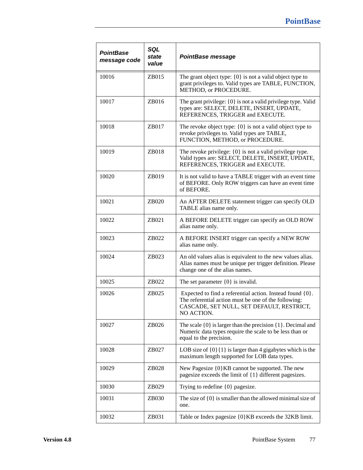| <b>PointBase</b><br>message code | SQL<br>state<br>value | <b>PointBase message</b>                                                                                                                                                          |
|----------------------------------|-----------------------|-----------------------------------------------------------------------------------------------------------------------------------------------------------------------------------|
| 10016                            | ZB015                 | The grant object type: $\{0\}$ is not a valid object type to<br>grant privileges to. Valid types are TABLE, FUNCTION,<br>METHOD, or PROCEDURE.                                    |
| 10017                            | ZB016                 | The grant privilege: $\{0\}$ is not a valid privilege type. Valid<br>types are: SELECT, DELETE, INSERT, UPDATE,<br>REFERENCES, TRIGGER and EXECUTE.                               |
| 10018                            | ZB017                 | The revoke object type: $\{0\}$ is not a valid object type to<br>revoke privileges to. Valid types are TABLE,<br>FUNCTION, METHOD, or PROCEDURE.                                  |
| 10019                            | ZB018                 | The revoke privilege: $\{0\}$ is not a valid privilege type.<br>Valid types are: SELECT, DELETE, INSERT, UPDATE,<br>REFERENCES, TRIGGER and EXECUTE.                              |
| 10020                            | ZB019                 | It is not valid to have a TABLE trigger with an event time<br>of BEFORE. Only ROW triggers can have an event time<br>of BEFORE.                                                   |
| 10021                            | ZB020                 | An AFTER DELETE statement trigger can specify OLD<br>TABLE alias name only.                                                                                                       |
| 10022                            | ZB021                 | A BEFORE DELETE trigger can specify an OLD ROW<br>alias name only.                                                                                                                |
| 10023                            | ZB022                 | A BEFORE INSERT trigger can specify a NEW ROW<br>alias name only.                                                                                                                 |
| 10024                            | ZB023                 | An old values alias is equivalent to the new values alias.<br>Alias names must be unique per trigger definition. Please<br>change one of the alias names.                         |
| 10025                            | ZB022                 | The set parameter $\{0\}$ is invalid.                                                                                                                                             |
| 10026                            | ZB025                 | Expected to find a referential action. Instead found $\{0\}$ .<br>The referential action must be one of the following:<br>CASCADE, SET NULL, SET DEFAULT, RESTRICT,<br>NO ACTION. |
| 10027                            | ZB026                 | The scale $\{0\}$ is larger than the precision $\{1\}$ . Decimal and<br>Numeric data types require the scale to be less than or<br>equal to the precision.                        |
| 10028                            | ZB027                 | LOB size of $\{0\}\{1\}$ is larger than 4 gigabytes which is the<br>maximum length supported for LOB data types.                                                                  |
| 10029                            | ZB028                 | New Pagesize {0}KB cannot be supported. The new<br>pagesize exceeds the limit of $\{1\}$ different pagesizes.                                                                     |
| 10030                            | ZB029                 | Trying to redefine $\{0\}$ pagesize.                                                                                                                                              |
| 10031                            | ZB030                 | The size of $\{0\}$ is smaller than the allowed minimal size of<br>one.                                                                                                           |
| 10032                            | ZB031                 | Table or Index pagesize {0} KB exceeds the 32KB limit.                                                                                                                            |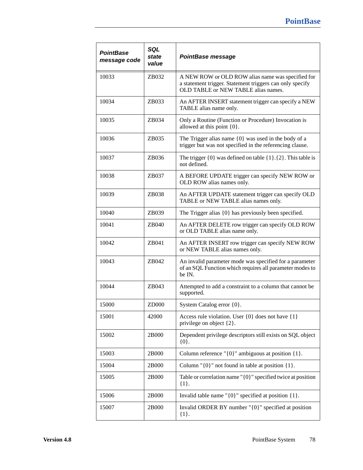| <b>PointBase</b><br>message code | SQL<br>state<br>value | <b>PointBase message</b>                                                                                                                             |
|----------------------------------|-----------------------|------------------------------------------------------------------------------------------------------------------------------------------------------|
| 10033                            | ZB032                 | A NEW ROW or OLD ROW alias name was specified for<br>a statement trigger. Statement triggers can only specify<br>OLD TABLE or NEW TABLE alias names. |
| 10034                            | ZB033                 | An AFTER INSERT statement trigger can specify a NEW<br>TABLE alias name only.                                                                        |
| 10035                            | ZB034                 | Only a Routine (Function or Procedure) Invocation is<br>allowed at this point $\{0\}$ .                                                              |
| 10036                            | ZB035                 | The Trigger alias name $\{0\}$ was used in the body of a<br>trigger but was not specified in the referencing clause.                                 |
| 10037                            | ZB036                 | The trigger $\{0\}$ was defined on table $\{1\}$ . $\{2\}$ . This table is<br>not defined.                                                           |
| 10038                            | ZB037                 | A BEFORE UPDATE trigger can specify NEW ROW or<br>OLD ROW alias names only.                                                                          |
| 10039                            | ZB038                 | An AFTER UPDATE statement trigger can specify OLD<br>TABLE or NEW TABLE alias names only.                                                            |
| 10040                            | ZB039                 | The Trigger alias $\{0\}$ has previously been specified.                                                                                             |
| 10041                            | ZB040                 | An AFTER DELETE row trigger can specify OLD ROW<br>or OLD TABLE alias name only.                                                                     |
| 10042                            | ZB041                 | An AFTER INSERT row trigger can specify NEW ROW<br>or NEW TABLE alias names only.                                                                    |
| 10043                            | ZB042                 | An invalid parameter mode was specified for a parameter<br>of an SQL Function which requires all parameter modes to<br>be IN.                        |
| 10044                            | ZB043                 | Attempted to add a constraint to a column that cannot be<br>supported.                                                                               |
| 15000                            | ZD000                 | System Catalog error {0}.                                                                                                                            |
| 15001                            | 42000                 | Access rule violation. User $\{0\}$ does not have $\{1\}$<br>privilege on object {2}.                                                                |
| 15002                            | 2B000                 | Dependent privilege descriptors still exists on SQL object<br>${0}.$                                                                                 |
| 15003                            | 2B000                 | Column reference " $\{0\}$ " ambiguous at position $\{1\}$ .                                                                                         |
| 15004                            | 2B000                 | Column " $\{0\}$ " not found in table at position $\{1\}$ .                                                                                          |
| 15005                            | 2B000                 | Table or correlation name " $\{0\}$ " specified twice at position<br>${1}.$                                                                          |
| 15006                            | 2B000                 | Invalid table name " $\{0\}$ " specified at position $\{1\}$ .                                                                                       |
| 15007                            | 2B000                 | Invalid ORDER BY number " $\{0\}$ " specified at position<br>$\{1\}.$                                                                                |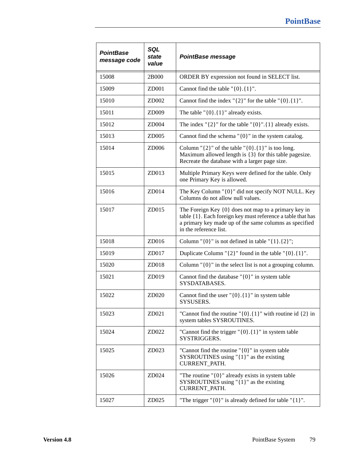| <b>PointBase</b><br>message code | SQL<br>state<br>value | <b>PointBase message</b>                                                                                                                                                                                    |
|----------------------------------|-----------------------|-------------------------------------------------------------------------------------------------------------------------------------------------------------------------------------------------------------|
| 15008                            | 2B000                 | ORDER BY expression not found in SELECT list.                                                                                                                                                               |
| 15009                            | ZD001                 | Cannot find the table $\{0\}.\{1\}$ ".                                                                                                                                                                      |
| 15010                            | ZD002                 | Cannot find the index " $\{2\}$ " for the table " $\{0\}.\{1\}$ ".                                                                                                                                          |
| 15011                            | ZD009                 | The table $\lceil \{0\} \cdot \{1\} \rceil$ already exists.                                                                                                                                                 |
| 15012                            | ZD004                 | The index " $\{2\}$ " for the table " $\{0\}$ ". $\{1\}$ already exists.                                                                                                                                    |
| 15013                            | ZD005                 | Cannot find the schema $\lceil 0 \rceil$ " in the system catalog.                                                                                                                                           |
| 15014                            | ZD006                 | Column " $\{2\}$ " of the table " $\{0\}$ . $\{1\}$ " is too long.<br>Maximum allowed length is {3} for this table pagesize.<br>Recreate the database with a larger page size.                              |
| 15015                            | ZD013                 | Multiple Primary Keys were defined for the table. Only<br>one Primary Key is allowed.                                                                                                                       |
| 15016                            | ZD014                 | The Key Column "{0}" did not specify NOT NULL. Key<br>Columns do not allow null values.                                                                                                                     |
| 15017                            | ZD015                 | The Foreign Key $\{0\}$ does not map to a primary key in<br>table {1}. Each foreign key must reference a table that has<br>a primary key made up of the same columns as specified<br>in the reference list. |
| 15018                            | ZD016                 | Column " $\{0\}$ " is not defined in table " $\{1\}.\{2\}$ ";                                                                                                                                               |
| 15019                            | ZD017                 | Duplicate Column " $\{2\}$ " found in the table " $\{0\}$ . $\{1\}$ ".                                                                                                                                      |
| 15020                            | ZD018                 | Column $\lceil 0 \rceil$ " in the select list is not a grouping column.                                                                                                                                     |
| 15021                            | ZD019                 | Cannot find the database " $\{0\}$ " in system table<br>SYSDATABASES.                                                                                                                                       |
| 15022                            | ZD020                 | Cannot find the user " $\{0\}$ . $\{1\}$ " in system table<br>SYSUSERS.                                                                                                                                     |
| 15023                            | ZD021                 | "Cannot find the routine " $\{0\}$ . $\{1\}$ " with routine id $\{2\}$ in<br>system tables SYSROUTINES.                                                                                                     |
| 15024                            | ZD022                 | "Cannot find the trigger " $\{0\}$ . $\{1\}$ " in system table<br>SYSTRIGGERS.                                                                                                                              |
| 15025                            | ZD023                 | "Cannot find the routine " $\{0\}$ " in system table<br>SYSROUTINES using "{1}" as the existing<br>CURRENT_PATH.                                                                                            |
| 15026                            | ZD024                 | "The routine " $\{0\}$ " already exists in system table<br>SYSROUTINES using " $\{1\}$ " as the existing<br>CURRENT_PATH.                                                                                   |
| 15027                            | ZD025                 | "The trigger " $\{0\}$ " is already defined for table " $\{1\}$ ".                                                                                                                                          |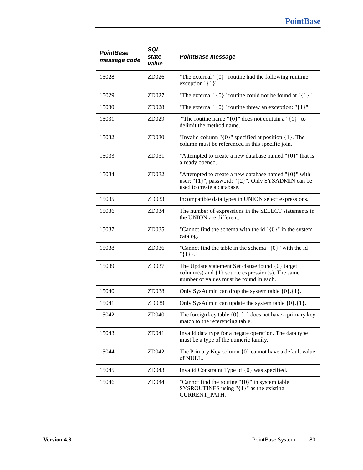| <b>PointBase</b><br>message code | SQL<br>state<br>value | <b>PointBase message</b>                                                                                                                             |
|----------------------------------|-----------------------|------------------------------------------------------------------------------------------------------------------------------------------------------|
| 15028                            | ZD026                 | "The external " $\{0\}$ " routine had the following runtime<br>exception " $\{1\}$ "                                                                 |
| 15029                            | ZD027                 | "The external " $\{0\}$ " routine could not be found at " $\{1\}$ "                                                                                  |
| 15030                            | ZD028                 | "The external " $\{0\}$ " routine threw an exception: " $\{1\}$ "                                                                                    |
| 15031                            | ZD029                 | "The routine name " $\{0\}$ " does not contain a " $\{1\}$ " to<br>delimit the method name.                                                          |
| 15032                            | ZD030                 | "Invalid column " $\{0\}$ " specified at position $\{1\}$ . The<br>column must be referenced in this specific join.                                  |
| 15033                            | ZD031                 | "Attempted to create a new database named " $\{0\}$ " that is<br>already opened.                                                                     |
| 15034                            | ZD032                 | "Attempted to create a new database named "{0}" with<br>user: " $\{1\}$ ", password: " $\{2\}$ ". Only SYSADMIN can be<br>used to create a database. |
| 15035                            | ZD033                 | Incompatible data types in UNION select expressions.                                                                                                 |
| 15036                            | ZD034                 | The number of expressions in the SELECT statements in<br>the UNION are different.                                                                    |
| 15037                            | ZD035                 | "Cannot find the schema with the id " $\{0\}$ " in the system<br>catalog.                                                                            |
| 15038                            | ZD036                 | "Cannot find the table in the schema" $\{0\}$ " with the id<br>$"{1}\}.$                                                                             |
| 15039                            | ZD037                 | The Update statement Set clause found {0} target<br>column(s) and $\{1\}$ source expression(s). The same<br>number of values must be found in each.  |
| 15040                            | ZD038                 | Only SysAdmin can drop the system table $\{0\}.\{1\}$ .                                                                                              |
| 15041                            | ZD039                 | Only SysAdmin can update the system table $\{0\}$ . $\{1\}$ .                                                                                        |
| 15042                            | ZD040                 | The foreign key table $\{0\}$ . $\{1\}$ does not have a primary key<br>match to the referencing table.                                               |
| 15043                            | ZD041                 | Invalid data type for a negate operation. The data type<br>must be a type of the numeric family.                                                     |
| 15044                            | ZD042                 | The Primary Key column $\{0\}$ cannot have a default value<br>of NULL.                                                                               |
| 15045                            | ZD043                 | Invalid Constraint Type of {0} was specified.                                                                                                        |
| 15046                            | ZD044                 | "Cannot find the routine " $\{0\}$ " in system table<br>SYSROUTINES using "{1}" as the existing<br>CURRENT_PATH.                                     |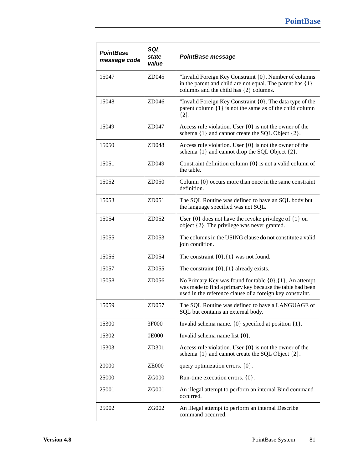| <b>PointBase</b><br>message code | SQL<br>state<br>value | <b>PointBase message</b>                                                                                                                                                                    |
|----------------------------------|-----------------------|---------------------------------------------------------------------------------------------------------------------------------------------------------------------------------------------|
| 15047                            | ZD045                 | "Invalid Foreign Key Constraint {0}. Number of columns<br>in the parent and child are not equal. The parent has $\{1\}$<br>columns and the child has {2} columns.                           |
| 15048                            | ZD046                 | "Invalid Foreign Key Constraint {0}. The data type of the<br>parent column $\{1\}$ is not the same as of the child column<br>${2}.$                                                         |
| 15049                            | ZD047                 | Access rule violation. User $\{0\}$ is not the owner of the<br>schema $\{1\}$ and cannot create the SQL Object $\{2\}$ .                                                                    |
| 15050                            | ZD048                 | Access rule violation. User $\{0\}$ is not the owner of the<br>schema $\{1\}$ and cannot drop the SQL Object $\{2\}$ .                                                                      |
| 15051                            | ZD049                 | Constraint definition column $\{0\}$ is not a valid column of<br>the table.                                                                                                                 |
| 15052                            | ZD050                 | Column $\{0\}$ occurs more than once in the same constraint<br>definition.                                                                                                                  |
| 15053                            | ZD051                 | The SQL Routine was defined to have an SQL body but<br>the language specified was not SQL.                                                                                                  |
| 15054                            | ZD052                 | User $\{0\}$ does not have the revoke privilege of $\{1\}$ on<br>object $\{2\}$ . The privilege was never granted.                                                                          |
| 15055                            | ZD053                 | The columns in the USING clause do not constitute a valid<br>join condition.                                                                                                                |
| 15056                            | ZD054                 | The constraint $\{0\}$ . $\{1\}$ was not found.                                                                                                                                             |
| 15057                            | ZD055                 | The constraint $\{0\}.\{1\}$ already exists.                                                                                                                                                |
| 15058                            | ZD056                 | No Primary Key was found for table $\{0\}$ . $\{1\}$ . An attempt<br>was made to find a primary key because the table had been<br>used in the reference clause of a foreign key constraint. |
| 15059                            | ZD057                 | The SQL Routine was defined to have a LANGUAGE of<br>SQL but contains an external body.                                                                                                     |
| 15300                            | 3F000                 | Invalid schema name. $\{0\}$ specified at position $\{1\}$ .                                                                                                                                |
| 15302                            | 0E000                 | Invalid schema name list $\{0\}$ .                                                                                                                                                          |
| 15303                            | ZD301                 | Access rule violation. User $\{0\}$ is not the owner of the<br>schema $\{1\}$ and cannot create the SQL Object $\{2\}$ .                                                                    |
| 20000                            | <b>ZE000</b>          | query optimization errors. {0}.                                                                                                                                                             |
| 25000                            | ZG000                 | Run-time execution errors. {0}.                                                                                                                                                             |
| 25001                            | ZG001                 | An illegal attempt to perform an internal Bind command<br>occurred.                                                                                                                         |
| 25002                            | ZG002                 | An illegal attempt to perform an internal Describe<br>command occurred.                                                                                                                     |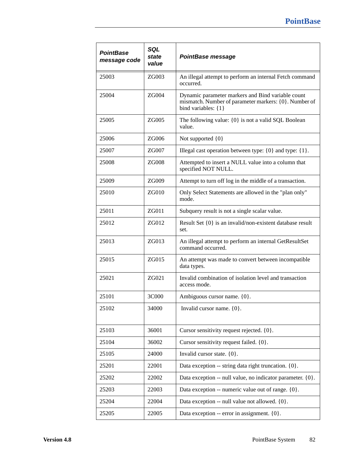| <b>PointBase</b><br>message code | SQL<br>state<br>value | <b>PointBase message</b>                                                                                                          |
|----------------------------------|-----------------------|-----------------------------------------------------------------------------------------------------------------------------------|
| 25003                            | ZG003                 | An illegal attempt to perform an internal Fetch command<br>occurred.                                                              |
| 25004                            | ZG004                 | Dynamic parameter markers and Bind variable count<br>mismatch. Number of parameter markers: {0}. Number of<br>bind variables: {1} |
| 25005                            | ZG005                 | The following value: $\{0\}$ is not a valid SQL Boolean<br>value.                                                                 |
| 25006                            | ZG006                 | Not supported {0}                                                                                                                 |
| 25007                            | ZG007                 | Illegal cast operation between type: $\{0\}$ and type: $\{1\}$ .                                                                  |
| 25008                            | ZG008                 | Attempted to insert a NULL value into a column that<br>specified NOT NULL.                                                        |
| 25009                            | ZG009                 | Attempt to turn off log in the middle of a transaction.                                                                           |
| 25010                            | ZG010                 | Only Select Statements are allowed in the "plan only"<br>mode.                                                                    |
| 25011                            | ZG011                 | Subquery result is not a single scalar value.                                                                                     |
| 25012                            | ZG012                 | Result Set {0} is an invalid/non-existent database result<br>set.                                                                 |
| 25013                            | ZG013                 | An illegal attempt to perform an internal GetResultSet<br>command occurred.                                                       |
| 25015                            | ZG015                 | An attempt was made to convert between incompatible<br>data types.                                                                |
| 25021                            | ZG021                 | Invalid combination of isolation level and transaction<br>access mode.                                                            |
| 25101                            | 3C000                 | Ambiguous cursor name. {0}.                                                                                                       |
| 25102                            | 34000                 | Invalid cursor name. {0}.                                                                                                         |
| 25103                            | 36001                 | Cursor sensitivity request rejected. {0}.                                                                                         |
| 25104                            | 36002                 | Cursor sensitivity request failed. {0}.                                                                                           |
| 25105                            | 24000                 | Invalid cursor state. $\{0\}$ .                                                                                                   |
| 25201                            | 22001                 | Data exception -- string data right truncation. {0}.                                                                              |
| 25202                            | 22002                 | Data exception -- null value, no indicator parameter. {0}.                                                                        |
| 25203                            | 22003                 | Data exception -- numeric value out of range. {0}.                                                                                |
| 25204                            | 22004                 | Data exception -- null value not allowed. {0}.                                                                                    |
| 25205                            | 22005                 | Data exception -- error in assignment. {0}.                                                                                       |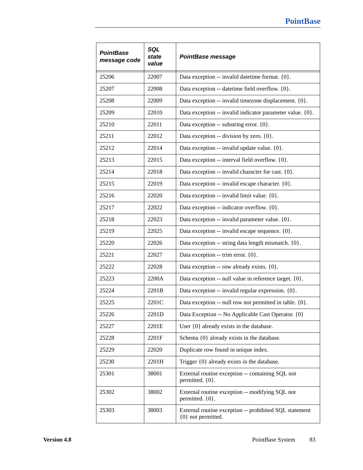| <b>PointBase</b><br>message code | SQL<br>state<br>value | PointBase message                                                            |  |
|----------------------------------|-----------------------|------------------------------------------------------------------------------|--|
| 25206                            | 22007                 | Data exception -- invalid date time format. {0}.                             |  |
| 25207                            | 22008                 | Data exception -- datetime field overflow. {0}.                              |  |
| 25208                            | 22009                 | Data exception -- invalid timezone displacement. {0}.                        |  |
| 25209                            | 22010                 | Data exception -- invalid indicator parameter value. {0}.                    |  |
| 25210                            | 22011                 | Data exception -- substring error. {0}.                                      |  |
| 25211                            | 22012                 | Data exception -- division by zero. {0}.                                     |  |
| 25212                            | 22014                 | Data exception -- invalid update value. {0}.                                 |  |
| 25213                            | 22015                 | Data exception -- interval field overflow. {0}.                              |  |
| 25214                            | 22018                 | Data exception -- invalid character for cast. {0}.                           |  |
| 25215                            | 22019                 | Data exception -- invalid escape character. {0}.                             |  |
| 25216                            | 22020                 | Data exception -- invalid limit value. {0}.                                  |  |
| 25217                            | 22022                 | Data exception -- indicator overflow. {0}.                                   |  |
| 25218                            | 22023                 | Data exception -- invalid parameter value. {0}.                              |  |
| 25219                            | 22025                 | Data exception -- invalid escape sequence. {0}.                              |  |
| 25220                            | 22026                 | Data exception -- string data length mismatch. {0}.                          |  |
| 25221                            | 22027                 | Data exception -- trim error. {0}.                                           |  |
| 25222                            | 22028                 | Data exception -- row already exists. {0}.                                   |  |
| 25223                            | 2200A                 | Data exception -- null value in reference target. {0}.                       |  |
| 25224                            | 2201B                 | Data exception -- invalid regular expression. {0}.                           |  |
| 25225                            | 2201C                 | Data exception -- null row not permitted in table. {0}.                      |  |
| 25226                            | 2201D                 | Data Exception -- No Applicable Cast Operator. {0}                           |  |
| 25227                            | 2201E                 | User $\{0\}$ already exists in the database.                                 |  |
| 25228                            | 2201F                 | Schema {0} already exists in the database.                                   |  |
| 25229                            | 22020                 | Duplicate row found in unique index.                                         |  |
| 25230                            | 2201H                 | Trigger $\{0\}$ already exists in the database.                              |  |
| 25301                            | 38001                 | External routine exception -- containing SQL not<br>permitted. {0}.          |  |
| 25302                            | 38002                 | External routine exception -- modifying SQL not<br>permitted. {0}.           |  |
| 25303                            | 38003                 | External routine exception -- prohibited SQL statement<br>{0} not permitted. |  |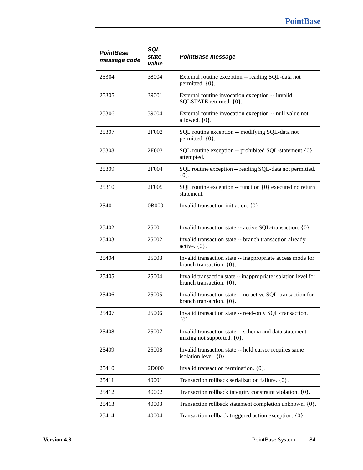| <b>PointBase</b><br>message code | SQL<br>state<br>value | PointBase message                                                                           |  |
|----------------------------------|-----------------------|---------------------------------------------------------------------------------------------|--|
| 25304                            | 38004                 | External routine exception -- reading SQL-data not<br>permitted. {0}.                       |  |
| 25305                            | 39001                 | External routine invocation exception -- invalid<br>SQLSTATE returned. {0}.                 |  |
| 25306                            | 39004                 | External routine invocation exception -- null value not<br>allowed. $\{0\}$ .               |  |
| 25307                            | 2F002                 | SQL routine exception -- modifying SQL-data not<br>permitted. {0}.                          |  |
| 25308                            | 2F003                 | SQL routine exception -- prohibited SQL-statement {0}<br>attempted.                         |  |
| 25309                            | 2F004                 | SQL routine exception -- reading SQL-data not permitted.<br>${0}.$                          |  |
| 25310                            | 2F005                 | SQL routine exception -- function {0} executed no return<br>statement.                      |  |
| 25401                            | 0B000                 | Invalid transaction initiation. {0}.                                                        |  |
| 25402                            | 25001                 | Invalid transaction state -- active SQL-transaction. {0}.                                   |  |
| 25403                            | 25002                 | Invalid transaction state -- branch transaction already<br>active. $\{0\}$ .                |  |
| 25404                            | 25003                 | Invalid transaction state -- inappropriate access mode for<br>branch transaction. $\{0\}$ . |  |
| 25405                            | 25004                 | Invalid transaction state -- inappropriate isolation level for<br>branch transaction. {0}.  |  |
| 25406                            | 25005                 | Invalid transaction state -- no active SQL-transaction for<br>branch transaction. $\{0\}$ . |  |
| 25407                            | 25006                 | Invalid transaction state -- read-only SQL-transaction.<br>${0}.$                           |  |
| 25408                            | 25007                 | Invalid transaction state -- schema and data statement<br>mixing not supported. {0}.        |  |
| 25409                            | 25008                 | Invalid transaction state -- held cursor requires same<br>isolation level. {0}.             |  |
| 25410                            | 2D000                 | Invalid transaction termination. {0}.                                                       |  |
| 25411                            | 40001                 | Transaction rollback serialization failure. {0}.                                            |  |
| 25412                            | 40002                 | Transaction rollback integrity constraint violation. {0}.                                   |  |
| 25413                            | 40003                 | Transaction rollback statement completion unknown. {0}.                                     |  |
| 25414                            | 40004                 | Transaction rollback triggered action exception. {0}.                                       |  |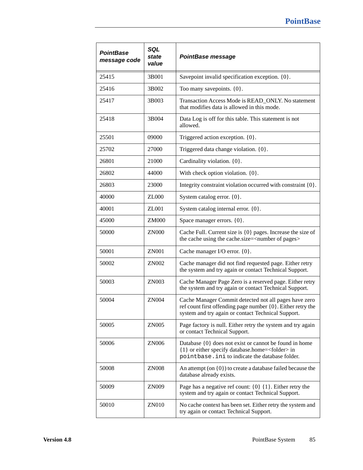| <b>PointBase</b><br>message code | SQL<br>state<br>value | PointBase message                                                                                                                                                          |  |
|----------------------------------|-----------------------|----------------------------------------------------------------------------------------------------------------------------------------------------------------------------|--|
| 25415                            | 3B001                 | Savepoint invalid specification exception. $\{0\}$ .                                                                                                                       |  |
| 25416                            | 3B002                 | Too many savepoints. $\{0\}$ .                                                                                                                                             |  |
| 25417                            | 3B003                 | Transaction Access Mode is READ_ONLY. No statement<br>that modifies data is allowed in this mode.                                                                          |  |
| 25418                            | 3B004                 | Data Log is off for this table. This statement is not<br>allowed.                                                                                                          |  |
| 25501                            | 09000                 | Triggered action exception. $\{0\}$ .                                                                                                                                      |  |
| 25702                            | 27000                 | Triggered data change violation. {0}.                                                                                                                                      |  |
| 26801                            | 21000                 | Cardinality violation. {0}.                                                                                                                                                |  |
| 26802                            | 44000                 | With check option violation. {0}.                                                                                                                                          |  |
| 26803                            | 23000                 | Integrity constraint violation occurred with constraint {0}.                                                                                                               |  |
| 40000                            | <b>ZL000</b>          | System catalog error. $\{0\}$ .                                                                                                                                            |  |
| 40001                            | ZL001                 | System catalog internal error. {0}.                                                                                                                                        |  |
| 45000                            | <b>ZM000</b>          | Space manager errors. {0}.                                                                                                                                                 |  |
| 50000                            | <b>ZN000</b>          | Cache Full. Current size is $\{0\}$ pages. Increase the size of<br>the cache using the cache.size= <number of="" pages=""></number>                                        |  |
| 50001                            | <b>ZN001</b>          | Cache manager I/O error. {0}.                                                                                                                                              |  |
| 50002                            | ZN002                 | Cache manager did not find requested page. Either retry<br>the system and try again or contact Technical Support.                                                          |  |
| 50003                            | ZN003                 | Cache Manager Page Zero is a reserved page. Either retry<br>the system and try again or contact Technical Support.                                                         |  |
| 50004                            | <b>ZN004</b>          | Cache Manager Commit detected not all pages have zero<br>ref count first offending page number {0}. Either retry the<br>system and try again or contact Technical Support. |  |
| 50005                            | <b>ZN005</b>          | Page factory is null. Either retry the system and try again<br>or contact Technical Support.                                                                               |  |
| 50006                            | ZN006                 | Database $\{0\}$ does not exist or cannot be found in home<br>{1} or either specify database.home= <folder> in<br/>pointbase.ini to indicate the database folder.</folder> |  |
| 50008                            | <b>ZN008</b>          | An attempt (on $\{0\}$ ) to create a database failed because the<br>database already exists.                                                                               |  |
| 50009                            | ZN009                 | Page has a negative ref count: $\{0\}$ $\{1\}$ . Either retry the<br>system and try again or contact Technical Support.                                                    |  |
| 50010                            | ZN010                 | No cache context has been set. Either retry the system and<br>try again or contact Technical Support.                                                                      |  |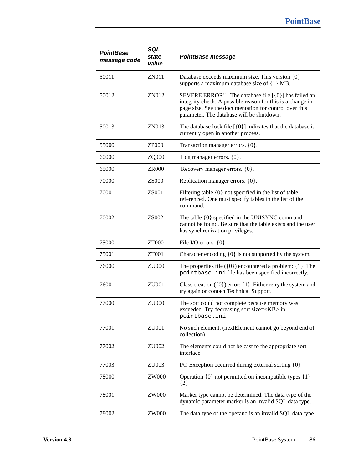| <b>PointBase</b><br>message code | SQL<br>state<br>value | <b>PointBase message</b>                                                                                                                                                                                                   |  |
|----------------------------------|-----------------------|----------------------------------------------------------------------------------------------------------------------------------------------------------------------------------------------------------------------------|--|
| 50011                            | <b>ZN011</b>          | Database exceeds maximum size. This version {0}<br>supports a maximum database size of {1} MB.                                                                                                                             |  |
| 50012                            | ZN012                 | SEVERE ERROR!!! The database file [{0}] has failed an<br>integrity check. A possible reason for this is a change in<br>page size. See the documentation for control over this<br>parameter. The database will be shutdown. |  |
| 50013                            | ZN013                 | The database lock file $[\{0\}]$ indicates that the database is<br>currently open in another process.                                                                                                                      |  |
| 55000                            | <b>ZP000</b>          | Transaction manager errors. {0}.                                                                                                                                                                                           |  |
| 60000                            | ZQ000                 | Log manager errors. $\{0\}$ .                                                                                                                                                                                              |  |
| 65000                            | <b>ZR000</b>          | Recovery manager errors. {0}.                                                                                                                                                                                              |  |
| 70000                            | <b>ZS000</b>          | Replication manager errors. {0}.                                                                                                                                                                                           |  |
| 70001                            | <b>ZS001</b>          | Filtering table $\{0\}$ not specified in the list of table<br>referenced. One must specify tables in the list of the<br>command.                                                                                           |  |
| 70002                            | ZS002                 | The table {0} specified in the UNISYNC command<br>cannot be found. Be sure that the table exists and the user<br>has synchronization privileges.                                                                           |  |
| 75000                            | <b>ZT000</b>          | File I/O errors. $\{0\}$ .                                                                                                                                                                                                 |  |
| 75001                            | ZT001                 | Character encoding {0} is not supported by the system.                                                                                                                                                                     |  |
| 76000                            | ZU000                 | The properties file $({0})$ encountered a problem: ${1}$ . The<br>pointbase. ini file has been specified incorrectly.                                                                                                      |  |
| 76001                            | ZU001                 | Class creation $({0})$ error: ${1}$ . Either retry the system and<br>try again or contact Technical Support.                                                                                                               |  |
| 77000                            | ZU000                 | The sort could not complete because memory was<br>exceeded. Try decreasing sort.size= <kb> in<br/>pointbase.ini</kb>                                                                                                       |  |
| 77001                            | ZU001                 | No such element. (nextElement cannot go beyond end of<br>collection)                                                                                                                                                       |  |
| 77002                            | ZU002                 | The elements could not be cast to the appropriate sort<br>interface                                                                                                                                                        |  |
| 77003                            | ZU003                 | I/O Exception occurred during external sorting {0}                                                                                                                                                                         |  |
| 78000                            | <b>ZW000</b>          | Operation $\{0\}$ not permitted on incompatible types $\{1\}$<br>$\{2\}$                                                                                                                                                   |  |
| 78001                            | <b>ZW000</b>          | Marker type cannot be determined. The data type of the<br>dynamic parameter marker is an invalid SQL data type.                                                                                                            |  |
| 78002                            | ZW000                 | The data type of the operand is an invalid SQL data type.                                                                                                                                                                  |  |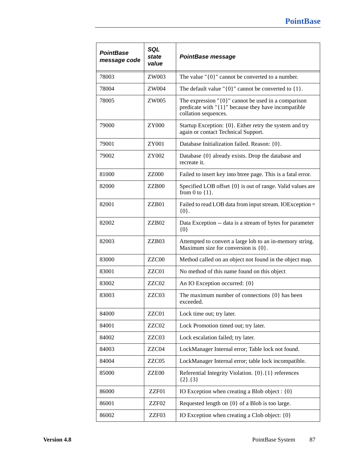| PointBase<br>message code | SQL<br>state<br>value | <b>PointBase message</b>                                                                                                                       |  |
|---------------------------|-----------------------|------------------------------------------------------------------------------------------------------------------------------------------------|--|
| 78003                     | ZW003                 | The value " $\{0\}$ " cannot be converted to a number.                                                                                         |  |
| 78004                     | ZW004                 | The default value " $\{0\}$ " cannot be converted to $\{1\}$ .                                                                                 |  |
| 78005                     | ZW005                 | The expression " $\{0\}$ " cannot be used in a comparison<br>predicate with " $\{1\}$ " because they have incompatible<br>collation sequences. |  |
| 79000                     | ZY000                 | Startup Exception: {0}. Either retry the system and try<br>again or contact Technical Support.                                                 |  |
| 79001                     | ZY001                 | Database Initialization failed. Reason: {0}.                                                                                                   |  |
| 79002                     | ZY002                 | Database {0} already exists. Drop the database and<br>recreate it.                                                                             |  |
| 81000                     | <b>ZZ000</b>          | Failed to insert key into btree page. This is a fatal error.                                                                                   |  |
| 82000                     | ZZB <sub>00</sub>     | Specified LOB offset {0} is out of range. Valid values are<br>from 0 to $\{1\}$ .                                                              |  |
| 82001                     | ZZB01                 | Failed to read LOB data from input stream. IOException =<br>${0}.$                                                                             |  |
| 82002                     | ZZB <sub>02</sub>     | Data Exception -- data is a stream of bytes for parameter<br>${0}$                                                                             |  |
| 82003                     | ZZB03                 | Attempted to convert a large lob to an in-memory string.<br>Maximum size for conversion is $\{0\}$ .                                           |  |
| 83000                     | ZZC00                 | Method called on an object not found in the object map.                                                                                        |  |
| 83001                     | ZZC01                 | No method of this name found on this object                                                                                                    |  |
| 83002                     | ZZC02                 | An IO Exception occurred: {0}                                                                                                                  |  |
| 83003                     | ZZC03                 | The maximum number of connections $\{0\}$ has been<br>exceeded.                                                                                |  |
| 84000                     | ZZC01                 | Lock time out; try later.                                                                                                                      |  |
| 84001                     | ZZC02                 | Lock Promotion timed out; try later.                                                                                                           |  |
| 84002                     | ZZC03                 | Lock escalation failed; try later.                                                                                                             |  |
| 84003                     | ZZC04                 | LockManager Internal error; Table lock not found.                                                                                              |  |
| 84004                     | ZZC05                 | LockManager Internal error; table lock incompatible.                                                                                           |  |
| 85000                     | ZZE00                 | Referential Integrity Violation. {0}. {1} references<br>${2}.{3}$                                                                              |  |
| 86000                     | ZZF01                 | IO Exception when creating a Blob object : {0}                                                                                                 |  |
| 86001                     | ZZF02                 | Requested length on {0} of a Blob is too large.                                                                                                |  |
| 86002                     | ZZF03                 | IO Exception when creating a Clob object: {0}                                                                                                  |  |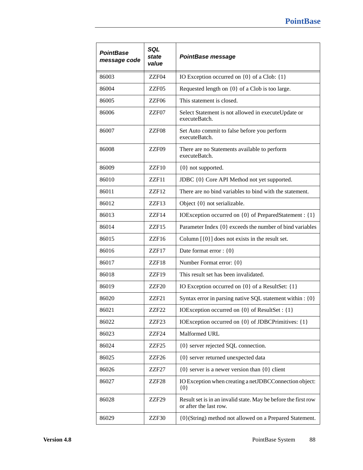| <b>PointBase</b><br>message code | SQL<br>state<br>value | <b>PointBase message</b>                                                                 |  |
|----------------------------------|-----------------------|------------------------------------------------------------------------------------------|--|
| 86003                            | ZZF04                 | IO Exception occurred on $\{0\}$ of a Clob: $\{1\}$                                      |  |
| 86004                            | ZZF05                 | Requested length on {0} of a Clob is too large.                                          |  |
| 86005                            | ZZF06                 | This statement is closed.                                                                |  |
| 86006                            | ZZF07                 | Select Statement is not allowed in executeUpdate or<br>executeBatch.                     |  |
| 86007                            | ZZF08                 | Set Auto commit to false before you perform<br>executeBatch.                             |  |
| 86008                            | ZZF09                 | There are no Statements available to perform<br>executeBatch.                            |  |
| 86009                            | ZZF10                 | {0} not supported.                                                                       |  |
| 86010                            | ZZF11                 | JDBC {0} Core API Method not yet supported.                                              |  |
| 86011                            | ZZF12                 | There are no bind variables to bind with the statement.                                  |  |
| 86012                            | ZZF13                 | Object {0} not serializable.                                                             |  |
| 86013                            | ZZF14                 | IOException occurred on {0} of PreparedStatement : {1}                                   |  |
| 86014                            | ZZF15                 | Parameter Index {0} exceeds the number of bind variables                                 |  |
| 86015                            | ZZF16                 | Column $[\{0\}]$ does not exists in the result set.                                      |  |
| 86016                            | ZZF17                 | Date format error : {0}                                                                  |  |
| 86017                            | ZZF18                 | Number Format error: {0}                                                                 |  |
| 86018                            | ZZF19                 | This result set has been invalidated.                                                    |  |
| 86019                            | ZZF <sub>20</sub>     | IO Exception occurred on {0} of a ResultSet: {1}                                         |  |
| 86020                            | ZZF <sub>21</sub>     | Syntax error in parsing native SQL statement within : {0}                                |  |
| 86021                            | ZZF22                 | IOException occurred on $\{0\}$ of ResultSet : $\{1\}$                                   |  |
| 86022                            | ZZF <sub>23</sub>     | IOException occurred on {0} of JDBCPrimitives: {1}                                       |  |
| 86023                            | ZZF24                 | Malformed URL                                                                            |  |
| 86024                            | ZZF25                 | {0} server rejected SQL connection.                                                      |  |
| 86025                            | ZZF26                 | {0} server returned unexpected data                                                      |  |
| 86026                            | ZZF27                 | $\{0\}$ server is a newer version than $\{0\}$ client                                    |  |
| 86027                            | ZZF <sub>28</sub>     | IO Exception when creating a netJDBCConnection object:<br>${0}$                          |  |
| 86028                            | ZZF29                 | Result set is in an invalid state. May be before the first row<br>or after the last row. |  |
| 86029                            | ZZF30                 | {0}(String) method not allowed on a Prepared Statement.                                  |  |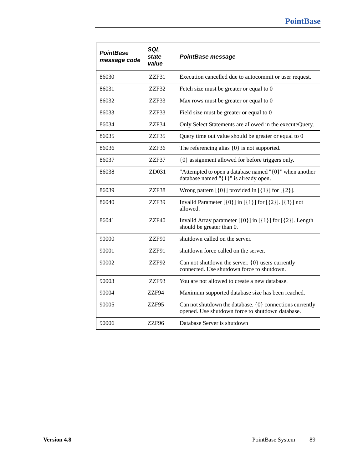| <b>PointBase</b><br>message code | SQL<br>state<br>value | <b>PointBase message</b>                                                                                     |  |
|----------------------------------|-----------------------|--------------------------------------------------------------------------------------------------------------|--|
| 86030                            | ZZF31                 | Execution cancelled due to autocommit or user request.                                                       |  |
| 86031                            | ZZF32                 | Fetch size must be greater or equal to 0                                                                     |  |
| 86032                            | ZZF33                 | Max rows must be greater or equal to 0                                                                       |  |
| 86033                            | ZZF33                 | Field size must be greater or equal to 0                                                                     |  |
| 86034                            | ZZF34                 | Only Select Statements are allowed in the executeQuery.                                                      |  |
| 86035                            | ZZF35                 | Query time out value should be greater or equal to 0                                                         |  |
| 86036                            | ZZF36                 | The referencing alias $\{0\}$ is not supported.                                                              |  |
| 86037                            | ZZF37                 | {0} assignment allowed for before triggers only.                                                             |  |
| 86038                            | ZD031                 | "Attempted to open a database named " $\{0\}$ " when another<br>database named "{1}" is already open.        |  |
| 86039                            | ZZF38                 | Wrong pattern $[\{0\}]$ provided in $[\{1\}]$ for $[\{2\}]$ .                                                |  |
| 86040                            | ZZF39                 | Invalid Parameter $[\{0\}]$ in $[\{1\}]$ for $[\{2\}]$ . $[\{3\}]$ not<br>allowed.                           |  |
| 86041                            | ZZF40                 | Invalid Array parameter $[\{0\}]$ in $[\{1\}]$ for $[\{2\}]$ . Length<br>should be greater than 0.           |  |
| 90000                            | ZZF90                 | shutdown called on the server.                                                                               |  |
| 90001                            | ZZF91                 | shutdown force called on the server.                                                                         |  |
| 90002                            | ZZF92                 | Can not shutdown the server. $\{0\}$ users currently<br>connected. Use shutdown force to shutdown.           |  |
| 90003                            | ZZF93                 | You are not allowed to create a new database.                                                                |  |
| 90004                            | ZZF94                 | Maximum supported database size has been reached.                                                            |  |
| 90005                            | ZZF95                 | Can not shutdown the database. {0} connections currently<br>opened. Use shutdown force to shutdown database. |  |
| 90006                            | ZZF96                 | Database Server is shutdown                                                                                  |  |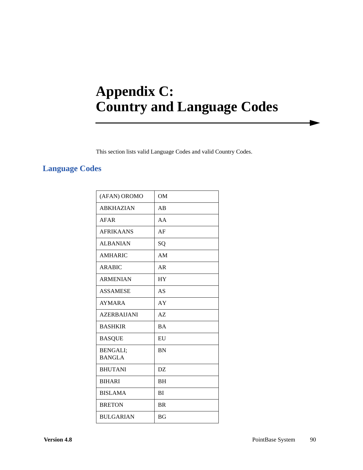# **Appendix C: Country and Language Codes**

This section lists valid Language Codes and valid Country Codes.

### **Language Codes**

| (AFAN) OROMO                     | <b>OM</b> |
|----------------------------------|-----------|
| <b>ABKHAZIAN</b>                 | AB        |
| AFAR                             | AA        |
| <b>AFRIKAANS</b>                 | AF        |
| <b>ALBANIAN</b>                  | SQ        |
| <b>AMHARIC</b>                   | AM        |
| ARABIC                           | AR        |
| <b>ARMENIAN</b>                  | <b>HY</b> |
| <b>ASSAMESE</b>                  | AS        |
| <b>AYMARA</b>                    | AY        |
| <b>AZERBAIJANI</b>               | AZ        |
| <b>BASHKIR</b>                   | <b>BA</b> |
| <b>BASQUE</b>                    | EU        |
| <b>BENGALI;</b><br><b>BANGLA</b> | <b>BN</b> |
|                                  |           |
| <b>BHUTANI</b>                   | DZ        |
| <b>BIHARI</b>                    | <b>BH</b> |
| <b>BISLAMA</b>                   | BI        |
| <b>BRETON</b>                    | <b>BR</b> |
| <b>BULGARIAN</b>                 | <b>BG</b> |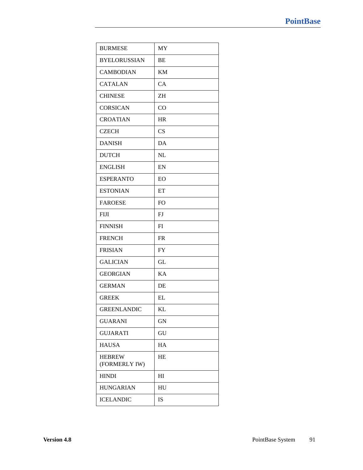| <b>BURMESE</b>                 | MY             |
|--------------------------------|----------------|
| <b>BYELORUSSIAN</b>            | BE             |
| <b>CAMBODIAN</b>               | KM             |
| <b>CATALAN</b>                 | CA             |
| <b>CHINESE</b>                 | ΖH             |
| <b>CORSICAN</b>                | CO             |
| <b>CROATIAN</b>                | HR             |
| <b>CZECH</b>                   | CS             |
| <b>DANISH</b>                  | DA             |
| <b>DUTCH</b>                   | NL             |
| <b>ENGLISH</b>                 | EN             |
| <b>ESPERANTO</b>               | EO             |
| <b>ESTONIAN</b>                | ET             |
| <b>FAROESE</b>                 | F <sub>O</sub> |
| <b>FIJI</b>                    | FJ             |
| <b>FINNISH</b>                 | FI             |
| <b>FRENCH</b>                  | <b>FR</b>      |
| <b>FRISIAN</b>                 | <b>FY</b>      |
| <b>GALICIAN</b>                | GL             |
| <b>GEORGIAN</b>                | KA             |
| <b>GERMAN</b>                  | DE             |
| <b>GREEK</b>                   | EL             |
| <b>GREENLANDIC</b>             | KL             |
| <b>GUARANI</b>                 | GN             |
| <b>GUJARATI</b>                | GU             |
| <b>HAUSA</b>                   | HA             |
| <b>HEBREW</b><br>(FORMERLY IW) | HE             |
| <b>HINDI</b>                   | HI             |
| <b>HUNGARIAN</b>               | HU             |
| <b>ICELANDIC</b>               | IS             |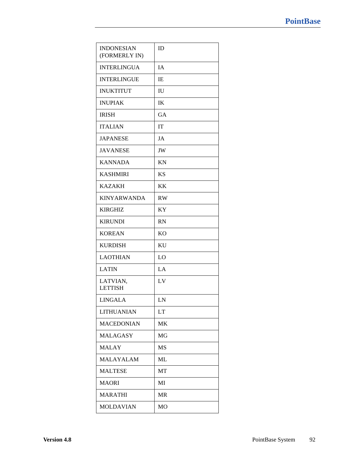| <b>INDONESIAN</b><br>(FORMERLY IN) | ID             |
|------------------------------------|----------------|
| <b>INTERLINGUA</b>                 | IA             |
| <b>INTERLINGUE</b>                 | <b>IE</b>      |
| <b>INUKTITUT</b>                   | IU             |
| <b>INUPIAK</b>                     | IK             |
| <b>IRISH</b>                       | GA             |
| <b>ITALIAN</b>                     | IT             |
| <b>JAPANESE</b>                    | JA             |
| <b>JAVANESE</b>                    | JW             |
| <b>KANNADA</b>                     | <b>KN</b>      |
| <b>KASHMIRI</b>                    | <b>KS</b>      |
| <b>KAZAKH</b>                      | KK             |
| <b>KINYARWANDA</b>                 | <b>RW</b>      |
| <b>KIRGHIZ</b>                     | <b>KY</b>      |
| <b>KIRUNDI</b>                     | <b>RN</b>      |
| <b>KOREAN</b>                      | K <sub>O</sub> |
| <b>KURDISH</b>                     | KU             |
| <b>LAOTHIAN</b>                    | LO             |
| <b>LATIN</b>                       | LA             |
| LATVIAN,<br><b>LETTISH</b>         | LV             |
| <b>LINGALA</b>                     | LN             |
| <b>LITHUANIAN</b>                  | LT             |
| <b>MACEDONIAN</b>                  | MK             |
| <b>MALAGASY</b>                    | MG             |
| <b>MALAY</b>                       | MS             |
| <b>MALAYALAM</b>                   | ML             |
| <b>MALTESE</b>                     | MT             |
| <b>MAORI</b>                       | MI             |
| <b>MARATHI</b>                     | <b>MR</b>      |
| <b>MOLDAVIAN</b>                   | MO             |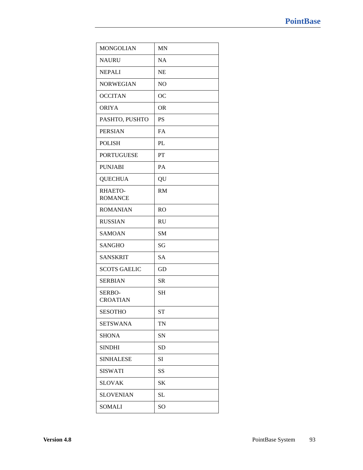| <b>MONGOLIAN</b>          | <b>MN</b>      |
|---------------------------|----------------|
| <b>NAURU</b>              | <b>NA</b>      |
| <b>NEPALI</b>             | <b>NE</b>      |
| <b>NORWEGIAN</b>          | N <sub>O</sub> |
| <b>OCCITAN</b>            | <b>OC</b>      |
| <b>ORIYA</b>              | <b>OR</b>      |
| PASHTO, PUSHTO            | <b>PS</b>      |
| <b>PERSIAN</b>            | FA             |
| <b>POLISH</b>             | PL             |
| <b>PORTUGUESE</b>         | PT             |
| <b>PUNJABI</b>            | PA             |
| <b>QUECHUA</b>            | QU             |
| RHAETO-<br><b>ROMANCE</b> | <b>RM</b>      |
| <b>ROMANIAN</b>           | <b>RO</b>      |
| <b>RUSSIAN</b>            | <b>RU</b>      |
| <b>SAMOAN</b>             | SM             |
| <b>SANGHO</b>             | SG             |
| <b>SANSKRIT</b>           | <b>SA</b>      |
| <b>SCOTS GAELIC</b>       | GD             |
| <b>SERBIAN</b>            | <b>SR</b>      |
| SERBO-<br><b>CROATIAN</b> | <b>SH</b>      |
| <b>SESOTHO</b>            | ST             |
| <b>SETSWANA</b>           | TN             |
| <b>SHONA</b>              | SN             |
| <b>SINDHI</b>             | <b>SD</b>      |
| <b>SINHALESE</b>          | SI             |
| <b>SISWATI</b>            | SS             |
| <b>SLOVAK</b>             | SΚ             |
| <b>SLOVENIAN</b>          | SL             |
| <b>SOMALI</b>             | SO             |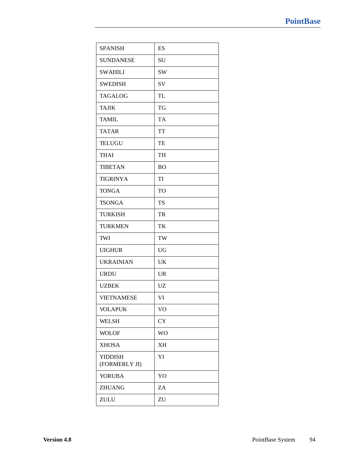| <b>SPANISH</b>                  | ES        |
|---------------------------------|-----------|
| <b>SUNDANESE</b>                | SU        |
| <b>SWAHILI</b>                  | <b>SW</b> |
| <b>SWEDISH</b>                  | SV        |
| <b>TAGALOG</b>                  | <b>TL</b> |
| <b>TAJIK</b>                    | <b>TG</b> |
| <b>TAMIL</b>                    | <b>TA</b> |
| <b>TATAR</b>                    | <b>TT</b> |
| <b>TELUGU</b>                   | TE        |
| <b>THAI</b>                     | <b>TH</b> |
| <b>TIBETAN</b>                  | <b>BO</b> |
| <b>TIGRINYA</b>                 | TI        |
| <b>TONGA</b>                    | <b>TO</b> |
| <b>TSONGA</b>                   | TS        |
| <b>TURKISH</b>                  | <b>TR</b> |
| <b>TURKMEN</b>                  | TK        |
| TWI                             | TW        |
| <b>UIGHUR</b>                   | <b>UG</b> |
| <b>UKRAINIAN</b>                | UK        |
| <b>URDU</b>                     | <b>UR</b> |
| <b>UZBEK</b>                    | UZ        |
| <b>VIETNAMESE</b>               | VI        |
| <b>VOLAPUK</b>                  | VO        |
| <b>WELSH</b>                    | <b>CY</b> |
| <b>WOLOF</b>                    | <b>WO</b> |
| <b>XHOSA</b>                    | <b>XH</b> |
| <b>YIDDISH</b><br>(FORMERLY JI) | YI        |
| <b>YORUBA</b>                   | YO        |
| <b>ZHUANG</b>                   | ZA        |
| ZULU                            | ZU        |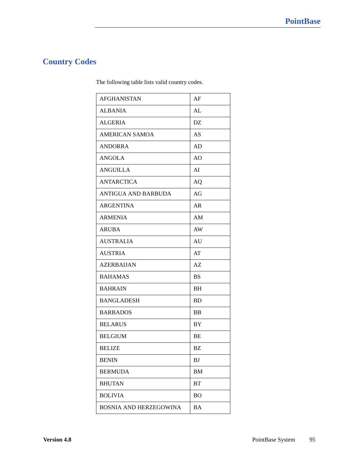### **Country Codes**

The following table lists valid country codes.

| <b>AFGHANISTAN</b>         | AF                     |
|----------------------------|------------------------|
| <b>ALBANIA</b>             | AL                     |
| <b>ALGERIA</b>             | $\mathbf{D}\mathbf{Z}$ |
| <b>AMERICAN SAMOA</b>      | AS                     |
| <b>ANDORRA</b>             | AD                     |
| <b>ANGOLA</b>              | A <sub>O</sub>         |
| <b>ANGUILLA</b>            | AI                     |
| <b>ANTARCTICA</b>          | AQ                     |
| <b>ANTIGUA AND BARBUDA</b> | AG                     |
| <b>ARGENTINA</b>           | AR                     |
| <b>ARMENIA</b>             | AM                     |
| <b>ARUBA</b>               | AW                     |
| <b>AUSTRALIA</b>           | AU                     |
| <b>AUSTRIA</b>             | AT                     |
| <b>AZERBAIJAN</b>          | AZ                     |
| <b>BAHAMAS</b>             | <b>BS</b>              |
| <b>BAHRAIN</b>             | BH                     |
| <b>BANGLADESH</b>          | <b>BD</b>              |
| <b>BARBADOS</b>            | BB                     |
| <b>BELARUS</b>             | BY                     |
| <b>BELGIUM</b>             | BE                     |
| <b>BELIZE</b>              | BΖ                     |
| <b>BENIN</b>               | BJ                     |
| <b>BERMUDA</b>             | BM                     |
| <b>BHUTAN</b>              | BT                     |
| <b>BOLIVIA</b>             | <b>BO</b>              |
| BOSNIA AND HERZEGOWINA     | BA                     |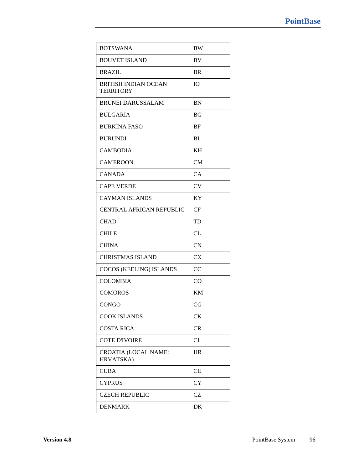| <b>BOTSWANA</b>                                 | <b>BW</b> |
|-------------------------------------------------|-----------|
| <b>BOUVET ISLAND</b>                            | BV        |
| <b>BRAZIL</b>                                   | <b>BR</b> |
| <b>BRITISH INDIAN OCEAN</b><br><b>TERRITORY</b> | <b>IO</b> |
| <b>BRUNEI DARUSSALAM</b>                        | <b>BN</b> |
| <b>BULGARIA</b>                                 | BG        |
| <b>BURKINA FASO</b>                             | BF        |
| <b>BURUNDI</b>                                  | BI        |
| <b>CAMBODIA</b>                                 | KH        |
| <b>CAMEROON</b>                                 | <b>CM</b> |
| <b>CANADA</b>                                   | CA        |
| <b>CAPE VERDE</b>                               | <b>CV</b> |
| <b>CAYMAN ISLANDS</b>                           | KY        |
| <b>CENTRAL AFRICAN REPUBLIC</b>                 | CF        |
| <b>CHAD</b>                                     | TD        |
| <b>CHILE</b>                                    | <b>CL</b> |
| <b>CHINA</b>                                    | CN        |
| <b>CHRISTMAS ISLAND</b>                         | <b>CX</b> |
| COCOS (KEELING) ISLANDS                         | CC        |
| <b>COLOMBIA</b>                                 | CO        |
| <b>COMOROS</b>                                  | KM        |
| <b>CONGO</b>                                    | CG        |
| <b>COOK ISLANDS</b>                             | <b>CK</b> |
| <b>COSTA RICA</b>                               | CR        |
| <b>COTE D'IVOIRE</b>                            | CI        |
| <b>CROATIA (LOCAL NAME:</b><br>HRVATSKA)        | <b>HR</b> |
| <b>CUBA</b>                                     | CU        |
| <b>CYPRUS</b>                                   | <b>CY</b> |
| <b>CZECH REPUBLIC</b>                           | CZ        |
| <b>DENMARK</b>                                  | DK        |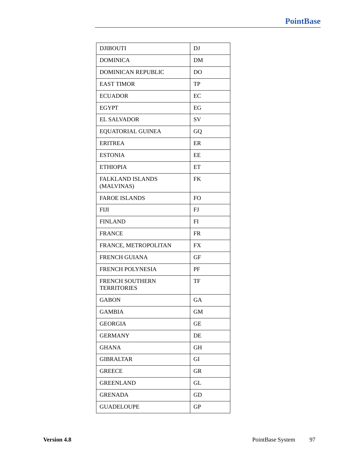| <b>DJIBOUTI</b>                              | DJ             |
|----------------------------------------------|----------------|
| <b>DOMINICA</b>                              | DM             |
| <b>DOMINICAN REPUBLIC</b>                    | D <sub>O</sub> |
| <b>EAST TIMOR</b>                            | TP             |
| <b>ECUADOR</b>                               | EC             |
| <b>EGYPT</b>                                 | EG             |
| <b>EL SALVADOR</b>                           | SV             |
| <b>EQUATORIAL GUINEA</b>                     | GQ             |
| <b>ERITREA</b>                               | ER             |
| <b>ESTONIA</b>                               | EE             |
| <b>ETHIOPIA</b>                              | ET             |
| <b>FALKLAND ISLANDS</b><br>(MALVINAS)        | <b>FK</b>      |
| <b>FAROE ISLANDS</b>                         | <b>FO</b>      |
| <b>FIJI</b>                                  | FJ             |
| <b>FINLAND</b>                               | FI             |
| <b>FRANCE</b>                                | <b>FR</b>      |
| FRANCE, METROPOLITAN                         | <b>FX</b>      |
| <b>FRENCH GUIANA</b>                         | GF             |
| <b>FRENCH POLYNESIA</b>                      | PF             |
| <b>FRENCH SOUTHERN</b><br><b>TERRITORIES</b> | TF             |
| <b>GABON</b>                                 | GA             |
| <b>GAMBIA</b>                                | <b>GM</b>      |
| <b>GEORGIA</b>                               | <b>GE</b>      |
| <b>GERMANY</b>                               | DE             |
| <b>GHANA</b>                                 | <b>GH</b>      |
| <b>GIBRALTAR</b>                             | GI             |
| <b>GREECE</b>                                | <b>GR</b>      |
| <b>GREENLAND</b>                             | GL             |
| <b>GRENADA</b>                               | GD             |
| <b>GUADELOUPE</b>                            | <b>GP</b>      |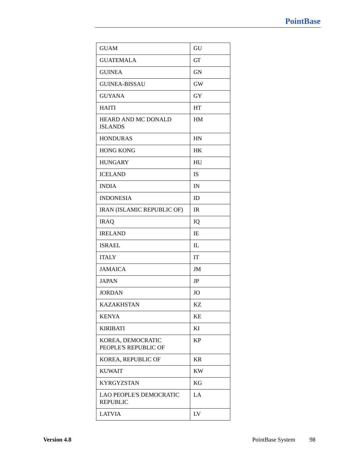| <b>GUAM</b>                                       | GU          |
|---------------------------------------------------|-------------|
| <b>GUATEMALA</b>                                  | GT          |
| <b>GUINEA</b>                                     | <b>GN</b>   |
| <b>GUINEA-BISSAU</b>                              | <b>GW</b>   |
| <b>GUYANA</b>                                     | GY          |
| <b>HAITI</b>                                      | HT          |
| HEARD AND MC DONALD<br><b>ISLANDS</b>             | HM          |
| <b>HONDURAS</b>                                   | HN          |
| <b>HONG KONG</b>                                  | HK          |
| <b>HUNGARY</b>                                    | HU          |
| <b>ICELAND</b>                                    | <b>IS</b>   |
| <b>INDIA</b>                                      | IN          |
| <b>INDONESIA</b>                                  | ID          |
| IRAN (ISLAMIC REPUBLIC OF)                        | IR          |
| <b>IRAQ</b>                                       | IQ          |
| <b>IRELAND</b>                                    | IE          |
| <b>ISRAEL</b>                                     | $_{\rm IL}$ |
| <b>ITALY</b>                                      | IT          |
| <b>JAMAICA</b>                                    | JM          |
| <b>JAPAN</b>                                      | JP          |
| <b>JORDAN</b>                                     | JO          |
| <b>KAZAKHSTAN</b>                                 | KZ          |
| <b>KENYA</b>                                      | KE          |
| <b>KIRIBATI</b>                                   | KI          |
| KOREA, DEMOCRATIC<br>PEOPLE'S REPUBLIC OF         | <b>KP</b>   |
| KOREA, REPUBLIC OF                                | <b>KR</b>   |
| <b>KUWAIT</b>                                     | <b>KW</b>   |
| <b>KYRGYZSTAN</b>                                 | KG          |
| <b>LAO PEOPLE'S DEMOCRATIC</b><br><b>REPUBLIC</b> | LA          |
| <b>LATVIA</b>                                     | LV          |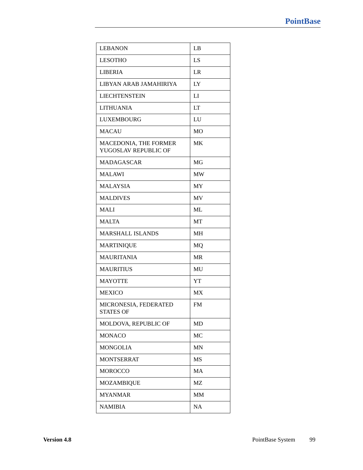| <b>LEBANON</b>                                | LB         |
|-----------------------------------------------|------------|
| <b>LESOTHO</b>                                | LS         |
| <b>LIBERIA</b>                                | LR         |
| LIBYAN ARAB JAMAHIRIYA                        | LY         |
| <b>LIECHTENSTEIN</b>                          | LI         |
| <b>LITHUANIA</b>                              | <b>LT</b>  |
| <b>LUXEMBOURG</b>                             | ${\rm LU}$ |
| <b>MACAU</b>                                  | MO         |
| MACEDONIA, THE FORMER<br>YUGOSLAV REPUBLIC OF | MK         |
| <b>MADAGASCAR</b>                             | MG         |
| <b>MALAWI</b>                                 | <b>MW</b>  |
| <b>MALAYSIA</b>                               | MY         |
| <b>MALDIVES</b>                               | <b>MV</b>  |
| <b>MALI</b>                                   | ML         |
| <b>MALTA</b>                                  | MT         |
| <b>MARSHALL ISLANDS</b>                       | <b>MH</b>  |
| <b>MARTINIQUE</b>                             | MQ         |
| <b>MAURITANIA</b>                             | <b>MR</b>  |
| <b>MAURITIUS</b>                              | MU         |
| <b>MAYOTTE</b>                                | YT         |
| <b>MEXICO</b>                                 | MX         |
| MICRONESIA, FEDERATED<br><b>STATES OF</b>     | <b>FM</b>  |
| MOLDOVA, REPUBLIC OF                          | MD         |
| <b>MONACO</b>                                 | MC         |
| <b>MONGOLIA</b>                               | <b>MN</b>  |
| <b>MONTSERRAT</b>                             | <b>MS</b>  |
| <b>MOROCCO</b>                                | MA         |
| MOZAMBIQUE                                    | МZ         |
| <b>MYANMAR</b>                                | MM         |
| <b>NAMIBIA</b>                                | <b>NA</b>  |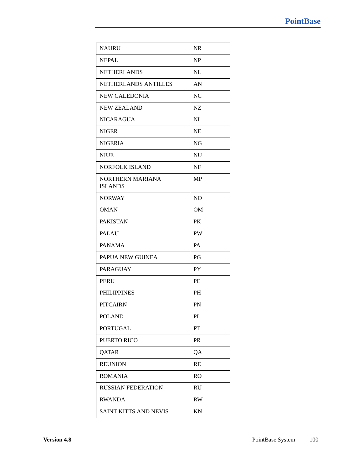| <b>NAURU</b>                       | <b>NR</b>      |
|------------------------------------|----------------|
| <b>NEPAL</b>                       | NP             |
| <b>NETHERLANDS</b>                 | <b>NL</b>      |
| NETHERLANDS ANTILLES               | AN             |
| <b>NEW CALEDONIA</b>               | NC             |
| <b>NEW ZEALAND</b>                 | NZ             |
| <b>NICARAGUA</b>                   | NI             |
| <b>NIGER</b>                       | <b>NE</b>      |
| <b>NIGERIA</b>                     | NG             |
| <b>NIUE</b>                        | NU             |
| <b>NORFOLK ISLAND</b>              | NF             |
| NORTHERN MARIANA<br><b>ISLANDS</b> | <b>MP</b>      |
| <b>NORWAY</b>                      | N <sub>O</sub> |
| <b>OMAN</b>                        | OM             |
| <b>PAKISTAN</b>                    | PK             |
| <b>PALAU</b>                       | PW             |
| <b>PANAMA</b>                      | <b>PA</b>      |
| PAPUA NEW GUINEA                   | PG             |
| <b>PARAGUAY</b>                    | <b>PY</b>      |
| <b>PERU</b>                        | PE             |
| <b>PHILIPPINES</b>                 | <b>PH</b>      |
| <b>PITCAIRN</b>                    | PN             |
| <b>POLAND</b>                      | PL             |
| <b>PORTUGAL</b>                    | PT             |
| PUERTO RICO                        | <b>PR</b>      |
| QATAR                              | QA             |
| <b>REUNION</b>                     | RE             |
| <b>ROMANIA</b>                     | <b>RO</b>      |
| <b>RUSSIAN FEDERATION</b>          | RU             |
| <b>RWANDA</b>                      | <b>RW</b>      |
| SAINT KITTS AND NEVIS              | KN             |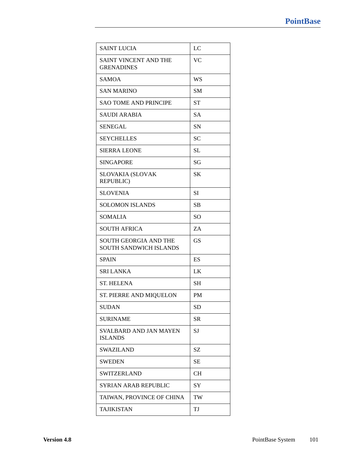| <b>SAINT LUCIA</b>                                            | LC        |
|---------------------------------------------------------------|-----------|
| SAINT VINCENT AND THE<br><b>GRENADINES</b>                    | VC        |
| <b>SAMOA</b>                                                  | WS        |
| <b>SAN MARINO</b>                                             | SМ        |
| <b>SAO TOME AND PRINCIPE</b>                                  | <b>ST</b> |
| <b>SAUDI ARABIA</b>                                           | <b>SA</b> |
| <b>SENEGAL</b>                                                | <b>SN</b> |
| <b>SEYCHELLES</b>                                             | <b>SC</b> |
| <b>SIERRA LEONE</b>                                           | <b>SL</b> |
| <b>SINGAPORE</b>                                              | SG        |
| <b>SLOVAKIA (SLOVAK</b><br><b>REPUBLIC)</b>                   | <b>SK</b> |
| <b>SLOVENIA</b>                                               | <b>SI</b> |
| <b>SOLOMON ISLANDS</b>                                        | <b>SB</b> |
| <b>SOMALIA</b>                                                | <b>SO</b> |
| <b>SOUTH AFRICA</b>                                           | ZA        |
| <b>SOUTH GEORGIA AND THE</b><br><b>SOUTH SANDWICH ISLANDS</b> | <b>GS</b> |
| <b>SPAIN</b>                                                  | ES        |
| <b>SRI LANKA</b>                                              | LK        |
| <b>ST. HELENA</b>                                             | SН        |
| ST. PIERRE AND MIQUELON                                       | <b>PM</b> |
| <b>SUDAN</b>                                                  | <b>SD</b> |
| <b>SURINAME</b>                                               | SR        |
| <b>SVALBARD AND JAN MAYEN</b><br><b>ISLANDS</b>               | SJ        |
| <b>SWAZILAND</b>                                              | SZ        |
| <b>SWEDEN</b>                                                 | SЕ        |
| <b>SWITZERLAND</b>                                            | <b>CH</b> |
| SYRIAN ARAB REPUBLIC                                          | SY        |
| TAIWAN, PROVINCE OF CHINA                                     | TW        |
| <b>TAJIKISTAN</b>                                             | TJ        |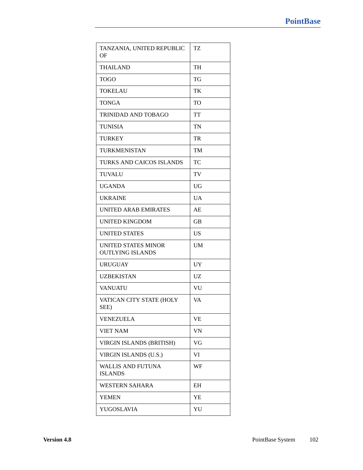| TANZANIA, UNITED REPUBLIC<br>OF                | TZ        |
|------------------------------------------------|-----------|
| <b>THAILAND</b>                                | <b>TH</b> |
| <b>TOGO</b>                                    | TG        |
| <b>TOKELAU</b>                                 | TK        |
| <b>TONGA</b>                                   | <b>TO</b> |
| <b>TRINIDAD AND TOBAGO</b>                     | TT        |
| <b>TUNISIA</b>                                 | <b>TN</b> |
| <b>TURKEY</b>                                  | TR        |
| <b>TURKMENISTAN</b>                            | <b>TM</b> |
| TURKS AND CAICOS ISLANDS                       | TC        |
| <b>TUVALU</b>                                  | TV        |
| <b>UGANDA</b>                                  | <b>UG</b> |
| <b>UKRAINE</b>                                 | <b>UA</b> |
| <b>UNITED ARAB EMIRATES</b>                    | AE        |
| <b>UNITED KINGDOM</b>                          | <b>GB</b> |
| <b>UNITED STATES</b>                           | <b>US</b> |
| UNITED STATES MINOR<br><b>OUTLYING ISLANDS</b> | <b>UM</b> |
| <b>URUGUAY</b>                                 | UY        |
| <b>UZBEKISTAN</b>                              | UZ        |
| <b>VANUATU</b>                                 | VU        |
| VATICAN CITY STATE (HOLY<br>SEE)               | VA        |
| <b>VENEZUELA</b>                               | VE        |
| <b>VIET NAM</b>                                | VN        |
| VIRGIN ISLANDS (BRITISH)                       | VG        |
| VIRGIN ISLANDS (U.S.)                          | VI        |
| <b>WALLIS AND FUTUNA</b><br><b>ISLANDS</b>     | WF        |
| <b>WESTERN SAHARA</b>                          | EΗ        |
| <b>YEMEN</b>                                   | YE        |
| YUGOSLAVIA                                     | YU        |